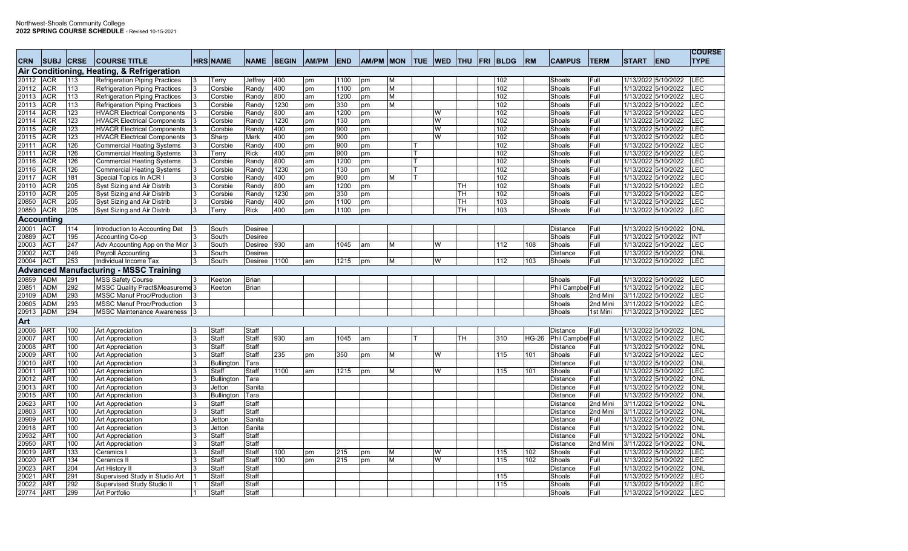| <b>CRN</b>     | <b>SUBJ CRSE</b>         |                         | <b>COURSE TITLE</b>                           | <b>HRS NAME</b>    | <b>NAME</b>          | <b>BEGIN</b> | <b>AM/PM</b> | <b>END</b>               | AM/PM MON |   | <b>TUE</b> | <b>WED</b> | <b>THU</b> | <b>FRI</b> | <b>BLDG</b> | <b>RM</b> | <b>CAMPUS</b>            | <b>TERM</b>  | <b>START</b>        | <b>END</b>                                 | <b>COURSE</b><br><b>TYPE</b> |
|----------------|--------------------------|-------------------------|-----------------------------------------------|--------------------|----------------------|--------------|--------------|--------------------------|-----------|---|------------|------------|------------|------------|-------------|-----------|--------------------------|--------------|---------------------|--------------------------------------------|------------------------------|
|                |                          |                         | Air Conditioning, Heating, & Refrigeration    |                    |                      |              |              |                          |           |   |            |            |            |            |             |           |                          |              |                     |                                            |                              |
| 20112          | <b>ACR</b>               | 113                     | <b>Refrigeration Piping Practices</b>         | Terry              | Jeffrey              | 400          | pm           | 1100                     | pm        | M |            |            |            |            | 102         |           | Shoals                   | Full         |                     | 1/13/2022 5/10/2022                        | <b>LEC</b>                   |
| 20112          | <b>ACR</b>               | 113                     | <b>Refrigeration Piping Practices</b>         | Corsbie            | Randy                | 400          | pm           | 1100                     | pm        | M |            |            |            |            | 102         |           | Shoals                   | Full         |                     | 1/13/2022 5/10/2022                        | LEC                          |
| 20113          | <b>ACR</b>               | 113                     | <b>Refrigeration Piping Practices</b>         | Corsbie            | Randy                | 800          | am           | 1200                     | pm        | M |            |            |            |            | 102         |           | Shoals                   | Full         |                     | 1/13/2022 5/10/2022                        | LEC                          |
| 20113          | <b>ACR</b>               | 113                     | <b>Refrigeration Piping Practices</b>         | Corsbie            | Randy                | 1230         | pm           | 330                      | pm        | M |            |            |            |            | 102         |           | Shoals                   | Full         |                     | 1/13/2022 5/10/2022                        | LEC                          |
| 20114          | <b>ACR</b>               | 123                     | <b>HVACR Electrical Components</b>            | Corsbie            | Randy                | 800          | am           | 1200                     | pm        |   |            | W          |            |            | 102         |           | Shoals                   | Full         |                     | 1/13/2022 5/10/2022                        | LEC                          |
| 20114          | <b>ACR</b>               | 123                     | <b>HVACR Electrical Components</b>            | Corsbie            | Randy                | 1230         | pm           | 130                      | pm        |   |            | <b>W</b>   |            |            | 102         |           | Shoals                   | Full         |                     | 1/13/2022 5/10/2022                        | LEC                          |
| 20115          | <b>ACR</b>               | 123                     | <b>HVACR Electrical Components</b>            | Corsbie            | Randy                | 400          | pm           | 900                      | pm        |   |            | W          |            |            | 102         |           | Shoals                   | Full         |                     | 1/13/2022 5/10/2022                        | LEC                          |
| 20115          | <b>ACR</b>               | 123                     | <b>HVACR Electrical Components</b>            | Sharp              | Mark                 | 400          | pm           | 900                      | pm        |   |            | W          |            |            | 102         |           | Shoals                   | Full         |                     | 1/13/2022 5/10/2022                        | LEC                          |
| 20111          | <b>ACR</b>               | 126                     | <b>Commercial Heating Systems</b>             | Corsbie            | Randy                | 400          | pm           | 900                      | pm        |   |            |            |            |            | 102         |           | Shoals                   | Full         |                     | 1/13/2022 5/10/2022                        | LEC                          |
| 20111          | <b>ACR</b>               | 126                     | <b>Commercial Heating Systems</b>             | Terry              | <b>Rick</b>          | 400          | pm           | 900                      | pm        |   |            |            |            |            | 102         |           | Shoals                   | Full         |                     | 1/13/2022 5/10/2022                        | LEC                          |
| 20116          | <b>ACR</b>               | 126                     | <b>Commercial Heating Systems</b>             | Corsbie            | Randy                | 800          | am           | 1200                     | pm        |   |            |            |            |            | 102         |           | Shoals                   | Full         |                     | 1/13/2022 5/10/2022                        | LEC                          |
| 20116          | <b>ACR</b>               | 126                     | <b>Commercial Heating Systems</b>             | Corsbie            | Randy                | 1230<br>400  | pm           | 130<br>900               | pm        |   |            |            |            |            | 102<br>102  |           | Shoals                   | Full<br>Full |                     | 1/13/2022 5/10/2022<br>1/13/2022 5/10/2022 | LEC<br>LEC                   |
| 20117          | <b>ACR</b>               | 181                     | Special Topics In ACR I                       | Corsbie            | Randy                |              | pm           |                          | pm        | м |            |            |            |            |             |           | Shoals                   |              |                     |                                            |                              |
| 20110<br>20110 | <b>ACR</b><br><b>ACR</b> | 205<br>$\overline{205}$ | Syst Sizing and Air Distrib                   | Corsbie<br>Corsbie | Randy<br>Randy       | 800<br>1230  | am           | 1200<br>$\overline{330}$ | pm        |   |            |            | TН<br>TН   |            | 102<br>102  |           | Shoals<br>Shoals         | Full<br>Full |                     | 1/13/2022 5/10/2022<br>1/13/2022 5/10/2022 | LEC<br>LEC                   |
| 20850          |                          | 205                     | Syst Sizing and Air Distrib                   |                    |                      | 400          | pm           |                          | pm        |   |            |            |            |            | 103         |           |                          |              |                     | 1/13/2022 5/10/2022                        | LEC                          |
|                | ACR<br><b>ACR</b>        | 205                     | Syst Sizing and Air Distrib                   | Corsbie            | Randy<br><b>Rick</b> | 400          | pm           | 1100                     | pm        |   |            |            | TН<br>TH   |            | 103         |           | Shoals                   | Full<br>Full |                     |                                            | LEC                          |
| 20850          |                          |                         | Syst Sizing and Air Distrib                   | Terry              |                      |              | pm           | 1100                     | pm        |   |            |            |            |            |             |           | Shoals                   |              |                     | 1/13/2022 5/10/2022                        |                              |
|                | Accounting               |                         |                                               |                    |                      |              |              |                          |           |   |            |            |            |            |             |           |                          |              |                     |                                            |                              |
| 20001          | <b>ACT</b>               | 114                     | Introduction to Accounting Dat                | South              | Desiree              |              |              |                          |           |   |            |            |            |            |             |           | Distance                 | Full         |                     | 1/13/2022 5/10/2022                        | <b>ONL</b>                   |
| 20889          | <b>ACT</b>               | 195                     | Accounting Co-op                              | South              | Desiree              |              |              |                          |           |   |            |            |            |            |             |           | Shoals                   | Full         |                     | 1/13/2022 5/10/2022                        | INT                          |
| 20003          | <b>ACT</b>               | 247                     | Adv Accounting App on the Micr                | South              | Desiree              | 930          | am           | 1045                     | am        | M |            | W          |            |            | 112         | 108       | Shoals                   | Full         |                     | 1/13/2022 5/10/2022                        | LEC                          |
| 20002          | <b>ACT</b>               | 249                     | <b>Payroll Accounting</b>                     | South              | Desiree              |              |              |                          |           |   |            |            |            |            |             |           | Distance                 | Full         |                     | 1/13/2022 5/10/2022                        | <b>ONL</b>                   |
| 20004          | <b>ACT</b>               | 253                     | Individual Income Tax                         | South              | Desiree 1100         |              | am           | 1215                     | pm        | М |            | W          |            |            | 112         | 103       | Shoals                   | Full         |                     | 1/13/2022 5/10/2022                        | <b>LEC</b>                   |
|                |                          |                         | <b>Advanced Manufacturing - MSSC Training</b> |                    |                      |              |              |                          |           |   |            |            |            |            |             |           |                          |              |                     |                                            |                              |
| 20859          | <b>ADM</b>               | 291                     | <b>MSS Safety Course</b>                      | Keeton             | <b>Brian</b>         |              |              |                          |           |   |            |            |            |            |             |           | Shoals                   | Full         |                     | 1/13/2022 5/10/2022                        | <b>LEC</b>                   |
| 20851          | <b>ADM</b>               | 292                     | MSSC Quality Pract&Measureme 3                | Keeton             | <b>Brian</b>         |              |              |                          |           |   |            |            |            |            |             |           | Phil Campbel Full        |              |                     | 1/13/2022 5/10/2022                        | LEC                          |
| 20109          | ADM                      | 293                     | <b>MSSC Manuf Proc/Production</b>             |                    |                      |              |              |                          |           |   |            |            |            |            |             |           | Shoals                   | 2nd Mini     |                     | 3/11/2022 5/10/2022                        | LEC                          |
| 20605          | ADM                      | 293                     | <b>MSSC Manuf Proc/Production</b>             |                    |                      |              |              |                          |           |   |            |            |            |            |             |           | Shoals                   | 2nd Mini     |                     | 3/11/2022 5/10/2022                        | LEC                          |
| 20913          | <b>ADM</b>               | 294                     | <b>MSSC Maintenance Awareness</b>             |                    |                      |              |              |                          |           |   |            |            |            |            |             |           | Shoals                   | 1st Mini     |                     | 1/13/2022 3/10/2022                        | LEC                          |
| Art            |                          |                         |                                               |                    |                      |              |              |                          |           |   |            |            |            |            |             |           |                          |              |                     |                                            |                              |
| 20006          | <b>ART</b>               | 100                     | Art Appreciation                              | Staff              | Staff                |              |              |                          |           |   |            |            |            |            |             |           | <b>Distance</b>          | Full         |                     | 1/13/2022 5/10/2022                        | <b>ONL</b>                   |
| 20007          | <b>ART</b>               | 100                     | <b>Art Appreciation</b>                       | Staff              | Staff                | 930          | am           | 1045                     | am        |   |            |            | TH         |            | 310         | HG-26     | <b>Phil Campbel Full</b> |              |                     | 1/13/2022 5/10/2022                        | LEC                          |
| 20008          | <b>ART</b>               | 100                     | Art Appreciation                              | Staff              | Staff                |              |              |                          |           |   |            |            |            |            |             |           | Distance                 | Full         |                     | 1/13/2022 5/10/2022                        | ONL                          |
| 20009          | ART                      | 100                     | Art Appreciation                              | Staff              | Staff                | 235          | pm           | 350                      | pm        | м |            | lW         |            |            | 115         | 101       | Shoals                   | Full         |                     | 1/13/2022 5/10/2022                        | LEC                          |
| 20010          | <b>ART</b>               | 100                     | <b>Art Appreciation</b>                       | <b>Bullington</b>  | Tara                 |              |              |                          |           |   |            |            |            |            |             |           | Distance                 | Full         |                     | 1/13/2022 5/10/2022                        | <b>ONL</b>                   |
| 20011          | <b>ART</b>               | 100                     | Art Appreciation                              | Staff              | Staff                | 1100         | am           | 1215                     | pm        | м |            | W          |            |            | 115         | 101       | Shoals                   | Full         |                     | 1/13/2022 5/10/2022                        | LEC                          |
| 20012          | <b>ART</b>               | 100                     | <b>Art Appreciation</b>                       | <b>Bullington</b>  | Tara                 |              |              |                          |           |   |            |            |            |            |             |           | Distance                 | Full         |                     | 1/13/2022 5/10/2022                        | <b>ONL</b>                   |
| 20013          | <b>ART</b>               | 100                     | <b>Art Appreciation</b>                       | Jetton             | Sanita               |              |              |                          |           |   |            |            |            |            |             |           | Distance                 | Full         |                     | 1/13/2022 5/10/2022                        | <b>ONL</b>                   |
| 20015          | <b>ART</b>               | 100                     | <b>Art Appreciation</b>                       | <b>Bullington</b>  | Tara                 |              |              |                          |           |   |            |            |            |            |             |           | <b>Distance</b>          | Full         |                     | 1/13/2022 5/10/2022                        | ONL                          |
| 20623          | <b>ART</b>               | 100                     | <b>Art Appreciation</b>                       | Staff              | Staff                |              |              |                          |           |   |            |            |            |            |             |           | Distance                 | 2nd Mini     | 3/11/2022 5/10/2022 |                                            | <b>ONL</b>                   |
| 20803          | <b>ART</b>               | 100                     | Art Appreciation                              | Staff              | Staff                |              |              |                          |           |   |            |            |            |            |             |           | Distance                 | 2nd Mini     |                     | 3/11/2022 5/10/2022                        | ONL                          |
| 20909          | <b>ART</b>               | 100                     | Art Appreciation                              | Jetton             | Sanita               |              |              |                          |           |   |            |            |            |            |             |           | Distance                 | Full         |                     | 1/13/2022 5/10/2022                        | ONL                          |
| 20918          | <b>ART</b>               | 100                     | Art Appreciation                              | Jetton             | Sanita               |              |              |                          |           |   |            |            |            |            |             |           | Distance                 | Full         |                     | 1/13/2022 5/10/2022                        | <b>ONL</b>                   |
| 20932          | <b>ART</b>               | 100                     | <b>Art Appreciation</b>                       | Staff              | Staff                |              |              |                          |           |   |            |            |            |            |             |           | <b>Distance</b>          | Full         |                     | 1/13/2022 5/10/2022                        | ONL                          |
| 20950          | <b>ART</b>               | 100                     | Art Appreciation                              | Staff              | Staff                |              |              |                          |           |   |            |            |            |            |             |           | Distance                 | 2nd Mini     |                     | 3/11/2022 5/10/2022                        | ONL                          |
| 20019          | <b>ART</b>               | 133                     | Ceramics                                      | Staft              | Staff                | 100          | pm           | 215                      | pm        | м |            | W          |            |            | 115         | 102       | Shoals                   | Full         |                     | 1/13/2022 5/10/2022                        | LEC                          |
| 20020          | <b>ART</b>               | 134                     | Ceramics II                                   | Staff              | Staff                | 100          | pm           | 215                      | pm        | М |            | W          |            |            | 115         | 102       | Shoals                   | Full         |                     | 1/13/2022 5/10/2022                        | LEC                          |
| 20023          | ART                      | 204                     | Art History II                                | Staff              | Staff                |              |              |                          |           |   |            |            |            |            |             |           | Distance                 | Full         |                     | 1/13/2022 5/10/2022                        | ONL                          |
| 20021          | <b>ART</b>               | 291                     | Supervised Study in Studio Art                | Staff              | Staff                |              |              |                          |           |   |            |            |            |            | 115         |           | Shoals                   | Full         |                     | 1/13/2022 5/10/2022                        | LEC                          |
| 20022          | <b>ART</b>               | 292                     | Supervised Study Studio II                    | Staff              | Staff                |              |              |                          |           |   |            |            |            |            | 115         |           | Shoals                   | Full         |                     | 1/13/2022 5/10/2022                        | LEC                          |
| 20774          | <b>ART</b>               | 299                     | Art Portfolio                                 | Staff              | Staff                |              |              |                          |           |   |            |            |            |            |             |           | Shoals                   | Full         |                     | 1/13/2022 5/10/2022                        | LEC                          |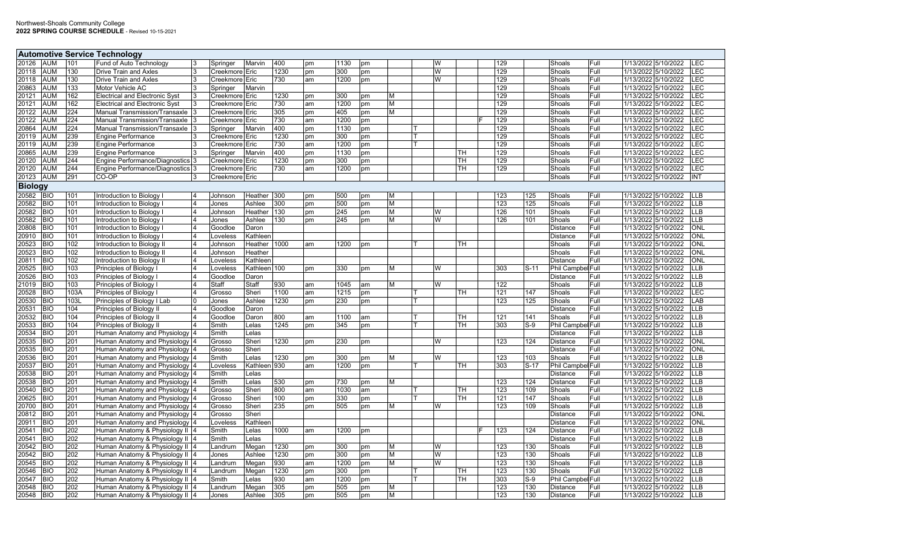|                |            |            | <b>Automotive Service Technology</b>                         |                |                |      |    |      |    |   |   |           |     |        |                             |              |                                            |             |
|----------------|------------|------------|--------------------------------------------------------------|----------------|----------------|------|----|------|----|---|---|-----------|-----|--------|-----------------------------|--------------|--------------------------------------------|-------------|
| 20126          | <b>AUM</b> | 101        | Fund of Auto Technology                                      | Springer       | Marvin         | 400  | pm | 1130 | pm |   | W |           | 129 |        | Shoals                      | Full         | 1/13/2022 5/10/2022                        | LEC         |
| 20118          | <b>AUM</b> | 130        | <b>Drive Train and Axles</b>                                 | Creekmore Eric |                | 1230 | pm | 300  | pm |   | W |           | 129 |        | Shoals                      | Full         | 1/13/2022 5/10/2022                        | <b>LEC</b>  |
| 20118          | <b>AUM</b> | 130        | Drive Train and Axles                                        | Creekmore Eric |                | 730  | am | 1200 | pm |   | W |           | 129 |        | Shoals                      | Full         | 1/13/2022 5/10/2022                        | <b>LEC</b>  |
| 20863          | <b>AUM</b> | 133        | Motor Vehicle AC                                             | Springer       | Marvin         |      |    |      |    |   |   |           | 129 |        | Shoals                      | Full         | 1/13/2022 5/10/2022                        | <b>LEC</b>  |
| 20121          | <b>AUM</b> | 162        | <b>Electrical and Electronic Syst</b>                        | Creekmore Eric |                | 1230 | pm | 300  | pm | м |   |           | 129 |        | Shoals                      | Full         | 1/13/2022 5/10/2022                        | LEC         |
| 20121          | <b>AUM</b> | 162        | <b>Electrical and Electronic Syst</b>                        | Creekmore Eric |                | 730  | am | 1200 | pm | м |   |           | 129 |        | Shoals                      | Full         | 1/13/2022 5/10/2022                        | <b>LEC</b>  |
| 20122          | <b>AUM</b> | 224        | Manual Transmission/Transaxle                                | Creekmore Eric |                | 305  | pm | 405  | pm | м |   |           | 129 |        | Shoals                      | Full         | 1/13/2022 5/10/2022                        | <b>LEC</b>  |
| 20122          | AUM        | 224        | Manual Transmission/Transaxle                                | Creekmore Eric |                | 730  | am | 1200 | pm |   |   |           | 129 |        | Shoals                      | Full         | 1/13/2022 5/10/2022                        | LEC         |
| 20864          | AUM        | 224        | Manual Transmission/Transaxle                                | Springer       | Marvin         | 400  | pm | 1130 | pm |   |   |           | 129 |        | Shoals                      | Full         | 1/13/2022 5/10/2022                        | <b>LEC</b>  |
| 20119          | <b>AUM</b> | 239        | <b>Engine Performance</b>                                    | Creekmore      | Eric           | 1230 | pm | 300  | pm |   |   |           | 129 |        | Shoals                      | Full         | 1/13/2022 5/10/2022                        | <b>LEC</b>  |
| 20119          | AUM        | 239        | <b>Engine Performance</b>                                    | Creekmore      | Eric           | 730  | am | 1200 |    |   |   |           | 129 |        | Shoals                      | Full         | 1/13/2022 5/10/2022                        | LEC         |
|                | AUM        | 239        |                                                              |                | Marvin         | 400  |    |      | pm |   |   |           | 129 |        | Shoals                      | Full         | 1/13/2022 5/10/2022                        | <b>LEC</b>  |
| 20865          |            |            | <b>Engine Performance</b>                                    | Springer       |                |      | pm | 1130 | pm |   |   | TН        |     |        |                             |              |                                            | <b>LEC</b>  |
| 20120          | <b>AUM</b> | 244        | Engine Performance/Diagnostics 3                             | Creekmore Eric |                | 1230 | pm | 300  | pm |   |   | тн        | 129 |        | Shoals                      | Full         | 1/13/2022 5/10/2022                        |             |
| 20120          | <b>AUM</b> | 244        | Engine Performance/Diagnostics 3                             | Creekmore Eric |                | 730  | am | 1200 | pm |   |   | TН        | 129 |        | Shoals                      | Full         | 1/13/2022 5/10/2022                        | <b>LEC</b>  |
| 20123          | <b>AUM</b> | 291        | CO-OP                                                        | Creekmore Eric |                |      |    |      |    |   |   |           |     |        | Shoals                      | Full         | 1/13/2022 5/10/2022                        | INT         |
| <b>Biology</b> |            |            |                                                              |                |                |      |    |      |    |   |   |           |     |        |                             |              |                                            |             |
| 20582          | <b>BIO</b> | 101        | Introduction to Biology I                                    | Johnson        | Heather        | 300  | pm | 500  | pm | М |   |           | 123 | 125    | Shoals                      | Full         | 1/13/2022 5/10/2022                        | <b>LLB</b>  |
| 20582          | <b>BIO</b> | 101        | Introduction to Biology                                      | Jones          | Ashlee         | 300  | pm | 500  | pm | м |   |           | 123 | 125    | Shoals                      | Full         | 1/13/2022 5/10/2022                        | <b>ILLB</b> |
| 20582          | <b>BIO</b> | 101        | Introduction to Biology                                      | Johnson        | Heather        | 130  | pm | 245  | pm | M | W |           | 126 | 101    | Shoals                      | Full         | 1/13/2022 5/10/2022                        | <b>LLB</b>  |
| 20582          | <b>BIO</b> | 101        | Introduction to Biology I                                    | Jones          | Ashlee         | 130  | pm | 245  | pm | М | W |           | 126 | 101    | Shoals                      | Full         | 1/13/2022 5/10/2022                        | <b>LLB</b>  |
| 20808          | <b>BIO</b> | 101        | Introduction to Biology                                      | Goodloe        | Daron          |      |    |      |    |   |   |           |     |        | Distance                    | Full         | 1/13/2022 5/10/2022                        | <b>ONL</b>  |
| 20910          | <b>BIO</b> | 101        | Introduction to Biology                                      | Loveless       | Kathleen       |      |    |      |    |   |   |           |     |        | Distance                    | Full         | 1/13/2022 5/10/2022                        | <b>ONL</b>  |
| 20523          | <b>BIO</b> | 102        | Introduction to Biology II                                   | Johnson        | Heather        | 1000 | am | 1200 | pm |   |   | <b>TH</b> |     |        | Shoals                      | Full         | 1/13/2022 5/10/2022                        | ONL         |
| 20523          | <b>BIO</b> | 102        | Introduction to Biology II                                   | Johnson        | Heather        |      |    |      |    |   |   |           |     |        | Shoals                      | Full         | 1/13/2022 5/10/2022                        | <b>ONL</b>  |
| 20811          | <b>BIO</b> | 102        | Introduction to Biology II                                   | Loveless       | Kathleen       |      |    |      |    |   |   |           |     |        | <b>Distance</b>             | Full         | 1/13/2022 5/10/2022                        | <b>ONL</b>  |
| 20525          | <b>BIO</b> | 103        | Principles of Biology I                                      | Loveless       | Kathleen 100   |      | pm | 330  | pm | Μ | W |           | 303 | S-11   | Phil Campbel Full           |              | 1/13/2022 5/10/2022                        | <b>LLB</b>  |
| 20526          | <b>BIO</b> | 103        | Principles of Biology I                                      | Goodloe        | Daron          |      |    |      |    |   |   |           |     |        | Distance                    | Full         | 1/13/2022 5/10/2022                        | <b>LLB</b>  |
| 21019          | <b>BIO</b> | 103        | Principles of Biology I                                      | Staff          | Staff          | 930  | am | 1045 | am |   | W |           | 122 |        | Shoals                      | Full         | 1/13/2022 5/10/2022                        | <b>LLB</b>  |
| 20528          | <b>BIO</b> | 103A       | Principles of Biology I                                      | Grosso         | Sheri          | 1100 | am | 1215 | pm |   |   | <b>TH</b> | 121 | 147    | Shoals                      | Full         | 1/13/2022 5/10/2022                        | <b>LEC</b>  |
| 20530          | <b>BIO</b> | 103L       | Principles of Biology I Lab                                  | Jones          | Ashlee         | 1230 | pm | 230  | pm |   |   |           | 123 | 125    | Shoals                      | Full         | 1/13/2022 5/10/2022                        | LAB         |
| 20531          | <b>BIO</b> | 104        | Principles of Biology II                                     | Goodloe        | Daron          |      |    |      |    |   |   |           |     |        | <b>Distance</b>             | Full         | 1/13/2022 5/10/2022                        | <b>LLB</b>  |
| 20532          | <b>BIO</b> | 104        | Principles of Biology II                                     | Goodloe        | Daron          | 800  | am | 1100 | am |   |   | <b>TH</b> | 121 | 141    | Shoals                      | Full         | 1/13/2022 5/10/2022                        | <b>LLB</b>  |
| 20533          | <b>BIO</b> | 104        | Principles of Biology II                                     | Smith          | Lelas          | 1245 | pm | 345  | pm |   |   | TН        | 303 | $S-9$  | Phil Campbel Full           |              | 1/13/2022 5/10/2022                        | <b>LLB</b>  |
| 20534          | <b>BIO</b> | 201        | Human Anatomy and Physiology                                 | Smith          | Lelas          |      |    |      |    |   |   |           |     |        | Distance                    | Full         | 1/13/2022 5/10/2022                        | <b>LLB</b>  |
| 20535          | <b>BIO</b> | 201        | Human Anatomy and Physiology                                 | Grosso         | Sheri          | 1230 | pm | 230  | pm |   | W |           | 123 | 124    | <b>Distance</b>             | Full         | 1/13/2022 5/10/2022                        | <b>ONL</b>  |
| 20535          | <b>BIO</b> | 201        | Human Anatomy and Physiology                                 | Grosso         | Sheri          |      |    |      |    |   |   |           |     |        | <b>Distance</b>             | Full         | 1/13/2022 5/10/2022                        | <b>ONL</b>  |
| 20536          | <b>BIO</b> | 201        | Human Anatomy and Physiology                                 | Smith          | Lelas          | 1230 | pm | 300  | pm |   | W |           | 123 | 103    | Shoals                      | Full         | 1/13/2022 5/10/2022                        | <b>LLB</b>  |
| 20537          | <b>BIO</b> | 201        | Human Anatomy and Physiology                                 | Loveless       | Kathleen 930   |      | am | 1200 | pm |   |   | <b>TH</b> | 303 | $S-17$ | Phil Campbel Full           |              | 1/13/2022 5/10/2022                        | <b>LLB</b>  |
|                | <b>BIO</b> |            |                                                              |                |                |      |    |      |    |   |   |           |     |        |                             |              |                                            | <b>LLB</b>  |
| 20538<br>20538 | <b>BIO</b> | 201<br>201 | Human Anatomy and Physiology<br>Human Anatomy and Physiology | Smith<br>Smith | Lelas<br>Lelas | 530  |    | 730  |    |   |   |           | 123 | 124    | Distance<br><b>Distance</b> | Full<br>Full | 1/13/2022 5/10/2022<br>1/13/2022 5/10/2022 | <b>LLB</b>  |
|                |            |            |                                                              |                |                |      | pm |      | pm |   |   |           |     |        |                             |              |                                            |             |
| 20540          | <b>BIO</b> | 201        | Human Anatomy and Physiology                                 | Grosso         | Sheri          | 800  | am | 1030 | am |   |   | <b>TH</b> | 123 | 109    | Shoals                      | Full<br>Full | 1/13/2022 5/10/2022                        | <b>LLB</b>  |
| 20625          | <b>BIO</b> | 201        | Human Anatomy and Physiology                                 | Grosso         | Sheri          | 100  | pm | 330  | pm |   |   | TН        | 121 | 147    | Shoals                      |              | 1/13/2022 5/10/2022                        | <b>LLB</b>  |
| 20700          | <b>BIO</b> | 201        | Human Anatomy and Physiology                                 | Grosso         | Sheri          | 235  | pm | 505  | pm | м | W |           | 123 | 109    | Shoals                      | Full         | 1/13/2022 5/10/2022                        | <b>LLB</b>  |
| 20812          | <b>BIO</b> | 201        | Human Anatomy and Physiology 4                               | Grosso         | Sheri          |      |    |      |    |   |   |           |     |        | Distance                    | Full         | 1/13/2022 5/10/2022                        | <b>ONL</b>  |
| 20911          | <b>BIO</b> | 201        | Human Anatomy and Physiology 4                               | Loveless       | Kathleen       |      |    |      |    |   |   |           |     |        | Distance                    | Full         | 1/13/2022 5/10/2022                        | <b>ONL</b>  |
| 20541          | <b>BIO</b> | 202        | Human Anatomy & Physiology II 4                              | Smith          | Lelas          | 1000 | am | 1200 | pm |   |   |           | 123 | 124    | <b>Distance</b>             | Full         | 1/13/2022 5/10/2022                        | <b>LLB</b>  |
| 20541          | <b>BIO</b> | 202        | Human Anatomy & Physiology II 4                              | Smith          | Lelas          |      |    |      |    |   |   |           |     |        | <b>Distance</b>             | Full         | 1/13/2022 5/10/2022                        | <b>LLB</b>  |
| 20542          | <b>BIO</b> | 202        | Human Anatomy & Physiology II 4                              | Landrum        | Megan          | 1230 | pm | 300  | pm | м | W |           | 123 | 130    | Shoals                      | Full         | 1/13/2022 5/10/2022                        | <b>LLB</b>  |
| 20542          | <b>BIO</b> | 202        | Human Anatomy & Physiology II 4                              | Jones          | Ashlee         | 1230 | pm | 300  | pm | М | W |           | 123 | 130    | Shoals                      | Full         | 1/13/2022 5/10/2022                        | <b>LLB</b>  |
| 20545          | <b>BIO</b> | 202        | Human Anatomy & Physiology II 4                              | Landrum        | Megan          | 930  | am | 1200 | pm | М | W |           | 123 | 130    | Shoals                      | Full         | 1/13/2022 5/10/2022                        | <b>LLB</b>  |
| 20546          | <b>BIO</b> | 202        | Human Anatomy & Physiology II 4                              | Landrum        | Megan          | 1230 | pm | 300  | pm |   |   | lТH       | 123 | 130    | Shoals                      | Full         | 1/13/2022 5/10/2022                        | <b>LLB</b>  |
| 20547          | <b>BIO</b> | 202        | Human Anatomy & Physiology II 4                              | Smith          | ∟elas          | 930  | am | 1200 | pm |   |   | <b>TH</b> | 303 | $S-9$  | Phil Campbel Full           |              | 1/13/2022 5/10/2022                        | <b>LLB</b>  |
| 20548          | <b>BIO</b> | 202        | Human Anatomy & Physiology II 4                              | Landrum        | Megan          | 305  | pm | 505  | pm | М |   |           | 123 | 130    | <b>Distance</b>             | Full         | 1/13/2022 5/10/2022                        | <b>LLB</b>  |
| 20548          | <b>BIO</b> | 202        | Human Anatomy & Physiology II 4                              | Jones          | Ashlee         | 305  | pm | 505  | pm | М |   |           | 123 | 130    | <b>Distance</b>             | Full         | 1/13/2022 5/10/2022                        | <b>ILLB</b> |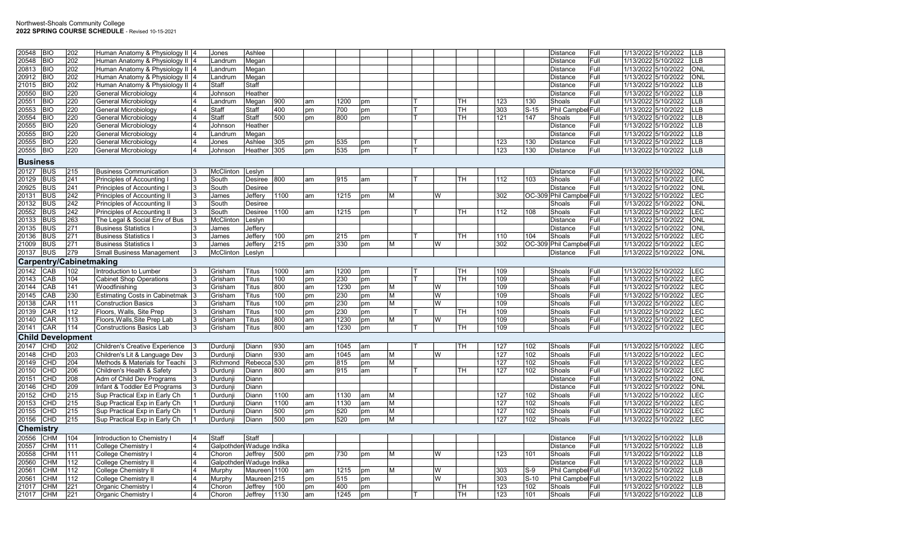| 20548           | <b>BIO</b> | 202                            | Human Anatomy & Physiology II 4       |                | Jones                    | Ashlee       |      |    |      |    |   |   |   |           |     |        | <b>Distance</b>          |                   | Full | 1/13/2022 5/10/2022<br><b>LLB</b> |
|-----------------|------------|--------------------------------|---------------------------------------|----------------|--------------------------|--------------|------|----|------|----|---|---|---|-----------|-----|--------|--------------------------|-------------------|------|-----------------------------------|
| 20548           | <b>BIO</b> | 202                            | Human Anatomy & Physiology II 4       |                | Landrum                  | Megan        |      |    |      |    |   |   |   |           |     |        | Distance                 |                   | Full | 1/13/2022 5/10/2022<br><b>LLB</b> |
| 20813           | <b>BIO</b> | 202                            | Human Anatomy & Physiology II 4       |                | Landrum                  | Megan        |      |    |      |    |   |   |   |           |     |        | Distance                 |                   | Full | 1/13/2022 5/10/2022<br><b>ONL</b> |
| 20912           | <b>BIO</b> | 202                            | Human Anatomy & Physiology II 4       |                | Landrum                  | Megan        |      |    |      |    |   |   |   |           |     |        | Distance                 |                   | Full | 1/13/2022 5/10/2022<br>ONL        |
| 21015           | <b>BIO</b> | 202                            | Human Anatomy & Physiology II 4       |                | Staff                    | Staff        |      |    |      |    |   |   |   |           |     |        | <b>Distance</b>          |                   | Full | 1/13/2022 5/10/2022<br>LLB        |
| 20550           | <b>BIO</b> | 220                            | General Microbiology                  |                | Johnson                  | Heather      |      |    |      |    |   |   |   |           |     |        | <b>Distance</b>          |                   | Full | LLB<br>1/13/2022 5/10/2022        |
| 20551           | <b>BIO</b> | 220                            | General Microbiology                  |                | Landrum                  | Megan        | 900  | am | 1200 | pm |   |   |   | TH        | 123 | 130    | Shoals                   |                   | Full | 1/13/2022 5/10/2022<br>LLB        |
| 20553           | <b>BIO</b> | 220                            | General Microbiology                  |                | Staff                    | <b>Staff</b> | 400  | pm | 700  | pm |   |   |   | <b>TH</b> | 303 | $S-15$ |                          | Phil Campbel Full |      | 1/13/2022 5/10/2022<br>LLB        |
| 20554           | <b>BIO</b> | 220                            | General Microbiology                  |                | Staff                    | Staff        | 500  | pm | 800  | pm |   | т |   | TH        | 121 | 147    | Shoals                   |                   | Full | 1/13/2022 5/10/2022<br>LLB        |
| 20555           | <b>BIO</b> | 220                            | General Microbiology                  |                | Johnson                  | Heather      |      |    |      |    |   |   |   |           |     |        | Distance                 |                   | Full | 1/13/2022 5/10/2022<br><b>LLB</b> |
| 20555           | <b>BIO</b> | 220                            | General Microbiology                  |                | .andrum                  | Megan        |      |    |      |    |   |   |   |           |     |        | Distance                 |                   | Full | LLB<br>1/13/2022 5/10/2022        |
| 20555           | <b>BIO</b> | 220                            | General Microbiology                  | 14             | Jones                    | Ashlee       | 305  | pm | 535  | pm |   |   |   |           | 123 | 130    | Distance                 |                   | Full | 1/13/2022 5/10/2022<br><b>LLB</b> |
| 20555           | <b>BIO</b> | 220                            | General Microbiology                  | $\overline{4}$ | Johnson                  | Heather 305  |      | pm | 535  | pm |   |   |   |           | 123 | 130    | Distance                 |                   | Full | 1/13/2022 5/10/2022<br><b>LLB</b> |
|                 |            |                                |                                       |                |                          |              |      |    |      |    |   |   |   |           |     |        |                          |                   |      |                                   |
| <b>Business</b> |            |                                |                                       |                |                          |              |      |    |      |    |   |   |   |           |     |        |                          |                   |      |                                   |
| 20127           | <b>BUS</b> | 215                            | <b>Business Communication</b>         |                | McClinton                | Leslyn       |      |    |      |    |   |   |   |           |     |        | <b>Distance</b>          |                   | Full | 1/13/2022 5/10/2022<br>ONL        |
| 20129           | <b>BUS</b> | 241                            | Principles of Accounting I            |                | South                    | Desiree      | 800  | am | 915  | am |   |   |   | TН        | 112 | 103    | Shoals                   |                   | Full | 1/13/2022 5/10/2022<br>LEC        |
| 20925           | <b>BUS</b> | 241                            | Principles of Accounting              | 3              | South                    | Desiree      |      |    |      |    |   |   |   |           |     |        | <b>Distance</b>          |                   | Full | <b>ONL</b><br>1/13/2022 5/10/2022 |
| 20131           | <b>BUS</b> | 242                            | Principles of Accounting II           |                | James                    | Jeffery      | 1100 | am | 1215 | pm | М |   | W |           | 302 |        | OC-309 Phil Campbel Full |                   |      | 1/13/2022 5/10/2022<br>LEC        |
| 20132           | <b>BUS</b> | 242                            | Principles of Accounting II           |                | South                    | Desiree      |      |    |      |    |   |   |   |           |     |        | Shoals                   |                   | Full | ONL<br>1/13/2022 5/10/2022        |
| 20552           | <b>BUS</b> | 242                            | Principles of Accounting II           | l3             | South                    | Desiree      | 1100 | am | 1215 | pm |   |   |   | TH        | 112 | 108    | Shoals                   |                   | Full | 1/13/2022 5/10/2022<br>LEC        |
| 20133           | <b>BUS</b> | 263                            | The Legal & Social Env of Bus         |                | McClinton                | _eslyn       |      |    |      |    |   |   |   |           |     |        | Distance                 |                   | Full | ONL<br>1/13/2022 5/10/2022        |
| 20135           | <b>BUS</b> | 271                            | <b>Business Statistics I</b>          |                | James                    | Jeffery      |      |    |      |    |   |   |   |           |     |        | Distance                 |                   | Full | 1/13/2022 5/10/2022<br>ONL        |
| 20136           | <b>BUS</b> | 271                            | <b>Business Statistics I</b>          |                | James                    | Jeffery      | 100  | pm | 215  | pm |   |   |   | TH.       | 110 | 104    | Shoals                   |                   | Full | 1/13/2022 5/10/2022<br>LEC        |
| 21009           | <b>BUS</b> | 271                            | <b>Business Statistics I</b>          |                | James                    | Jeffery      | 215  | pm | 330  | pm | M |   | W |           | 302 |        | OC-309 Phil Campbel Full |                   |      | <b>EC</b><br>1/13/2022 5/10/2022  |
| 20137           | <b>BUS</b> | 279                            | <b>Small Business Management</b>      | 13             | McClinton                | Leslyn       |      |    |      |    |   |   |   |           |     |        | Distance                 |                   | Full | ONL<br>1/13/2022 5/10/2022        |
|                 |            |                                |                                       |                |                          |              |      |    |      |    |   |   |   |           |     |        |                          |                   |      |                                   |
|                 |            | <b>Carpentry/Cabinetmaking</b> |                                       |                |                          |              |      |    |      |    |   |   |   |           |     |        |                          |                   |      |                                   |
| 20142           | CAB        | 102                            | Introduction to Lumber                |                | Grisham                  | <b>Titus</b> | 1000 | am | 1200 | pm |   |   |   | lтн       | 109 |        | Shoals                   |                   | Full | 1/13/2022 5/10/2022<br><b>LEC</b> |
| 20143           | CAB        | 104                            | <b>Cabinet Shop Operations</b>        |                | Grisham                  | Titus        | 100  | pm | 230  | pm |   |   |   | TH        | 109 |        | Shoals                   |                   | Full | 1/13/2022 5/10/2022<br>LEC        |
| 20144           | CAB        | 141                            | Woodfinishing                         |                | Grisham                  | Titus        | 800  | am | 1230 | pm | M |   | W |           | 109 |        | Shoals                   |                   | Full | LEC<br>1/13/2022 5/10/2022        |
| 20145           | CAB        | 230                            | <b>Estimating Costs in Cabinetmak</b> |                | Grisham                  | Titus        | 100  | pm | 230  | pm | M |   | W |           | 109 |        | Shoals                   |                   | Full | LEC<br>1/13/2022 5/10/2022        |
| 20138           | CAR        | 111                            | <b>Construction Basics</b>            |                | Grisham                  | Titus        | 100  | pm | 230  | pm | М |   | W |           | 109 |        | Shoals                   |                   | Full | 1/13/2022 5/10/2022<br>LEC        |
| 20139           | CAR        | 112                            | Floors, Walls, Site Prep              |                | Grisham                  | Titus        | 100  | pm | 230  | pm |   |   |   | TH        | 109 |        | Shoals                   |                   | Full | 1/13/2022 5/10/2022<br>LEC        |
| 20140           | CAR        | 113                            | Floors, Walls, Site Prep Lab          |                | Grisham                  | Titus        | 800  | am | 1230 | pm | M |   | W |           | 109 |        | Shoals                   |                   | Full | 1/13/2022 5/10/2022<br>LEC        |
| 20141           | CAR        | 114                            | <b>Constructions Basics Lab</b>       |                | Grisham                  | <b>Titus</b> | 800  | am | 1230 | pm |   |   |   | TH        | 109 |        | Shoals                   |                   | Full | 1/13/2022 5/10/2022<br><b>LEC</b> |
|                 |            | <b>Child Development</b>       |                                       |                |                          |              |      |    |      |    |   |   |   |           |     |        |                          |                   |      |                                   |
| 20147           | CHD        | 202                            | <b>Children's Creative Experience</b> |                | Durdunji                 | Diann        | 930  | am | 1045 | am |   |   |   | TН        | 127 | 102    | Shoals                   |                   | Full | 1/13/2022 5/10/2022<br>LEC        |
| 20148           | CHD        | 203                            | Children's Lit & Language Dev         |                | Durdunii                 | Diann        | 930  | am | 1045 | am | M |   | W |           | 127 | 102    | Shoals                   |                   | Full | 1/13/2022 5/10/2022<br>LEC        |
| 20149           | CHD        | 204                            | Methods & Materials for Teachi        |                | Richmond                 | Rebecc       | 530  | pm | 815  | pm | M |   |   |           | 127 | 102    | Shoals                   |                   | Full | LEC<br>1/13/2022 5/10/2022        |
| 20150           | <b>CHD</b> | 206                            | Children's Health & Safety            |                |                          |              | 800  |    | 915  |    |   |   |   |           | 127 | 102    | Shoals                   |                   | Full | LEC<br>1/13/2022 5/10/2022        |
| 20151           | CHD        |                                |                                       |                | Durdunji                 | Diann        |      | am |      | am |   |   |   | TH        |     |        |                          |                   |      |                                   |
|                 |            | 208                            | Adm of Child Dev Programs             |                | Durdunji                 | Diann        |      |    |      |    |   |   |   |           |     |        | Distance                 |                   | Full | ONL<br>1/13/2022 5/10/2022        |
| 20146           | CHD        | 209                            | Infant & Toddler Ed Programs          |                | Durdunji                 | Diann        |      |    |      |    |   |   |   |           |     |        | Distance                 |                   | Full | ONL<br>1/13/2022 5/10/2022        |
| 20152           | CHD        | 215                            | Sup Practical Exp in Early Ch         |                | Durdunji                 | Diann        | 1100 | am | 1130 | am | М |   |   |           | 127 | 102    | Shoals                   |                   | Full | 1/13/2022 5/10/2022<br>LEC        |
| 20153           | <b>CHD</b> | 215                            | Sup Practical Exp in Early Ch         |                | Durdunji                 | Diann        | 1100 | am | 1130 | am | M |   |   |           | 127 | 102    | Shoals                   |                   | Full | LEC<br>1/13/2022 5/10/2022        |
| 20155           | CHD        | 215                            | Sup Practical Exp in Early Ch         |                | Durdunji                 | Diann        | 500  | pm | 520  | pm | M |   |   |           | 127 | 102    | Shoals                   |                   | Full | 1/13/2022 5/10/2022<br>LEC        |
| 20156           | <b>CHD</b> | 215                            | Sup Practical Exp in Early Ch         |                | Durdunji                 | Diann        | 500  | pm | 520  | pm | M |   |   |           | 127 | 102    | Shoals                   |                   | Full | LEC<br>1/13/2022 5/10/2022        |
| Chemistry       |            |                                |                                       |                |                          |              |      |    |      |    |   |   |   |           |     |        |                          |                   |      |                                   |
| 20556           | <b>CHM</b> | 104                            | Introduction to Chemistry I           | 14             | Staff                    | Staff        |      |    |      |    |   |   |   |           |     |        | <b>Distance</b>          |                   | Full | 1/13/2022 5/10/2022<br><b>LLB</b> |
| 20557           | CHM        | 111                            | <b>College Chemistry</b>              |                | Galpothden Waduge Indika |              |      |    |      |    |   |   |   |           |     |        | Distance                 |                   | Full | 1/13/2022 5/10/2022<br><b>LLB</b> |
| 20558           | <b>CHM</b> | 111                            | <b>College Chemistry</b>              |                | Choron                   | Jeffrey      | 500  | pm | 730  | pm | M |   | W |           | 123 | 101    | Shoals                   |                   | Full | <b>LLB</b><br>1/13/2022 5/10/2022 |
| 20560           | CHM        | 112                            | <b>College Chemistry II</b>           |                | Galpothden Waduge Indika |              |      |    |      |    |   |   |   |           |     |        | Distance                 |                   | Full | 1/13/2022 5/10/2022<br>LLB        |
| 20561           | <b>CHM</b> | 112                            | <b>College Chemistry II</b>           |                | Murphy                   | Maureen 1100 |      | am | 1215 | pm | М |   | W |           | 303 | $S-9$  |                          | Phil Campbel Full |      | 1/13/2022 5/10/2022<br>LLB        |
| 20561           | <b>CHM</b> | 112                            | College Chemistry II                  |                | Murphy                   | Maureen 215  |      | pm | 515  | pm |   |   | W |           | 303 | $S-10$ |                          | Phil Campbel Full |      | LLB<br>1/13/2022 5/10/2022        |
| 21017           | <b>CHM</b> | 221                            | Organic Chemistry I                   | $\overline{A}$ | Choron                   | Jeffrey      | 100  | pm | 400  | pm |   |   |   | TH        | 123 | 102    | Shoals                   |                   | Full | 1/13/2022 5/10/2022<br>LLB        |
| 21017           | <b>CHM</b> | 221                            | <b>Organic Chemistry I</b>            | $\overline{4}$ | Choron                   | Jeffrey      | 1130 | am | 1245 | pm |   |   |   | TH        | 123 | 101    | Shoals                   |                   | Full | 1/13/2022 5/10/2022<br>LLB        |
|                 |            |                                |                                       |                |                          |              |      |    |      |    |   |   |   |           |     |        |                          |                   |      |                                   |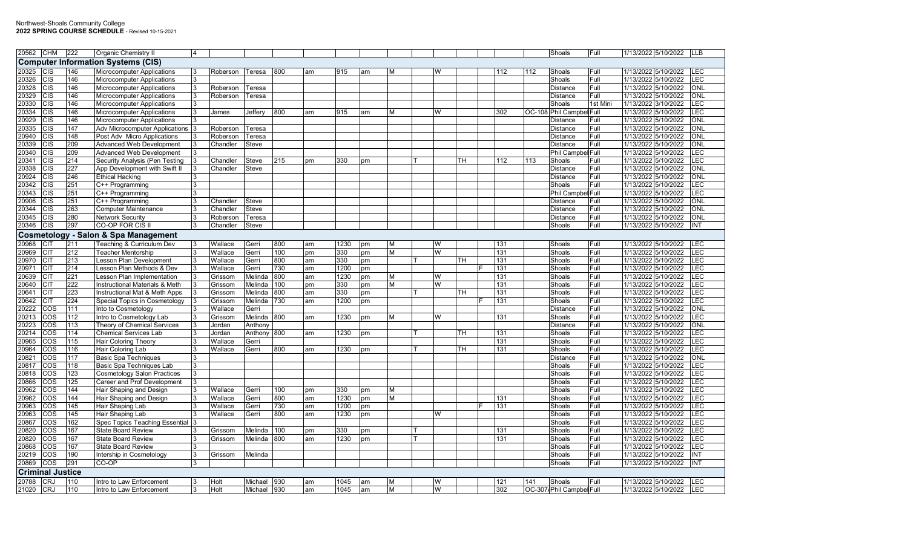| 20562          | <b>CHM</b>                     | 222        | <b>Organic Chemistry II</b>                                    | $\overline{4}$ |              |                    |            |          |              |          |        |   |     |            |     | Shoals                             | Full         | 1/13/2022 5/10/2022                        | LLB                     |
|----------------|--------------------------------|------------|----------------------------------------------------------------|----------------|--------------|--------------------|------------|----------|--------------|----------|--------|---|-----|------------|-----|------------------------------------|--------------|--------------------------------------------|-------------------------|
|                |                                |            | <b>Computer Information Systems (CIS)</b>                      |                |              |                    |            |          |              |          |        |   |     |            |     |                                    |              |                                            |                         |
| 20325          | CIS                            | 146        | <b>Microcomputer Applications</b>                              | 3              | Roberson     | Teresa             | 800        | lam      | 915          | am       | M      | W |     | 112        | 112 | Shoals                             | Full         | 1/13/2022 5/10/2022                        | LEC                     |
| 20326          | CIS                            | 146        | Microcomputer Applications                                     |                |              |                    |            |          |              |          |        |   |     |            |     | Shoals                             | Full         | 1/13/2022 5/10/2022                        | LEC                     |
| 20328          | CIS                            | 146        | Microcomputer Applications                                     | 3              | Roberson     | Teresa             |            |          |              |          |        |   |     |            |     | <b>Distance</b>                    | Full         | 1/13/2022 5/10/2022                        | ONL                     |
| 20329          | CIS                            | 146        | <b>Microcomputer Applications</b>                              | 3              | Roberson     | Гeresa             |            |          |              |          |        |   |     |            |     | <b>Distance</b>                    | Full         | 1/13/2022 5/10/2022                        | ONL                     |
| 20330          | CIS                            | 146        | Microcomputer Applications                                     |                |              |                    |            |          |              |          |        |   |     |            |     | Shoals                             | 1st Mini     | 1/13/2022 3/10/2022                        | LEC                     |
| 20334          | $\overline{\text{CIS}}$        | 146        | <b>Microcomputer Applications</b>                              |                | James        | Jeffery            | 800        | am       | 915          | am       | M      | W |     | 302        |     | OC-108 Phil Campbel Full           |              | 1/13/2022 5/10/2022                        | LEC                     |
| 20929          | CIS                            | 146        | <b>Microcomputer Applications</b>                              |                |              |                    |            |          |              |          |        |   |     |            |     | Distance                           | Full         | 1/13/2022 5/10/2022                        | $\overline{\text{ONL}}$ |
| 20335          | CIS                            | 147        | Adv Microcomputer Applications                                 |                | Roberson     | Teresa             |            |          |              |          |        |   |     |            |     | <b>Distance</b>                    | Full         | 1/13/2022 5/10/2022                        | ONL                     |
| 20940          | CIS                            | 148        | Post Adv Micro Applications                                    |                | Roberson     | Teresa             |            |          |              |          |        |   |     |            |     | <b>Distance</b>                    | Full         | 1/13/2022 5/10/2022                        | $\overline{\text{ONL}}$ |
| 20339          | CIS                            | 209        | Advanced Web Development                                       |                | Chandler     | Steve              |            |          |              |          |        |   |     |            |     | <b>Distance</b>                    | Full         | 1/13/2022 5/10/2022                        | ONL                     |
| 20340          | CIS                            | 209        | Advanced Web Development                                       | 3              |              |                    |            |          |              |          |        |   |     |            |     | Phil Campbel Full                  |              | 1/13/2022 5/10/2022                        | LEC                     |
| 20341          | $\overline{C}$                 | 214        | Security Analysis (Pen Testing                                 |                | Chandler     | Steve              | 215        | pm       | 330          | pm       |        |   | TН  | 112        | 113 | Shoals                             | Full         | 1/13/2022 5/10/2022                        | LEC                     |
| 20338          | CIS                            | 227        | App Development with Swift II                                  |                | Chandler     | Steve              |            |          |              |          |        |   |     |            |     | <b>Distance</b>                    | Full         | 1/13/2022 5/10/2022                        | ONL                     |
| 20924          | CIS                            | 246        | <b>Ethical Hacking</b>                                         | 3              |              |                    |            |          |              |          |        |   |     |            |     | Distance                           | Full         | 1/13/2022 5/10/2022                        | $\overline{\text{ONL}}$ |
| 20342          | $\overline{C}$                 | 251        | C++ Programming                                                |                |              |                    |            |          |              |          |        |   |     |            |     | Shoals                             | Full         | 1/13/2022 5/10/2022                        | LEC                     |
| 20343          | CIS                            | 251        | $C++$ Programming                                              | 3              |              |                    |            |          |              |          |        |   |     |            |     | Phil Campbel Full                  |              | 1/13/2022 5/10/2022                        | LEC                     |
| 20906          | CIS                            | 251        | C++ Programming                                                | 3              | Chandler     | Steve              |            |          |              |          |        |   |     |            |     | <b>Distance</b>                    | Full         | 1/13/2022 5/10/2022                        | $\overline{\text{ONL}}$ |
| 20344          | CIS                            | 263        | <b>Computer Maintenance</b>                                    |                | Chandler     | Steve              |            |          |              |          |        |   |     |            |     | Distance                           | Full         | 1/13/2022 5/10/2022                        | <b>ONL</b>              |
| 20345          | $\overline{\text{CIS}}$        | 280        | <b>Network Security</b>                                        |                | Roberson     | Teresa             |            |          |              |          |        |   |     |            |     | Distance                           | Full         | 1/13/2022 5/10/2022                        | ONL                     |
| 20346          | CIS                            | 297        | CO-OP FOR CIS II                                               | 3              | Chandler     | Steve              |            |          |              |          |        |   |     |            |     | Shoals                             | Full         | 1/13/2022 5/10/2022                        | INT                     |
|                |                                |            | <b>Cosmetology - Salon &amp; Spa Management</b>                |                |              |                    |            |          |              |          |        |   |     |            |     |                                    |              |                                            |                         |
| 20968          | CIT                            | 211        | Teaching & Curriculum Dev                                      | 3              | Wallace      | Gerri              | 800        | am       | 1230         | pm       | M      | W |     | 131        |     | Shoals                             | Full         | 1/13/2022 5/10/2022                        | LEC                     |
| 20969          | <b>CIT</b>                     | 212        | <b>Teacher Mentorship</b>                                      | 3              | Wallace      | Gerri              | 100        | pm       | 330          | pm       | M      | W |     | 131        |     | Shoals                             | Full         | 1/13/2022 5/10/2022                        | E                       |
| 20970          | <b>CIT</b>                     | 213        | Lesson Plan Development                                        |                | Wallace      | Gerri              | 800        | am       | 330          | pm       |        |   | TH  | 131        |     | Shoals                             | Full         | 1/13/2022 5/10/2022                        | E                       |
| 20971          | <b>CIT</b>                     | 214        | esson Plan Methods & Dev                                       |                | Wallace      | Gerri              | 730        | am       | 1200         | pm       |        |   |     | 131        |     | Shoals                             | Full         | 1/13/2022 5/10/2022                        | EC                      |
| 20639          | <b>CIT</b>                     | 221        | Lesson Plan Implementation                                     | 3              | Grissom      | Melinda            | 800        | am       | 1230         | pm       | M      | W |     | 131        |     | Shoals                             | Full         | 1/13/2022 5/10/2022                        | E                       |
| 20640          | CIT                            | 222        | Instructional Materials & Meth                                 |                | Grissom      | Melinda            | 100        | pm       | 330          | pm       | M      | W |     | 131        |     | Shoals                             | Full         | 1/13/2022 5/10/2022                        | E                       |
| 20641          | <b>CIT</b>                     | 223        | Instructional Mat & Meth Apps                                  |                | Grissom      | Melinda            | 800        | am       | 330          | pm       |        |   | TH  | 131        |     | Shoals                             | Full         | 1/13/2022 5/10/2022                        | LEC                     |
| 20642          | <b>CIT</b>                     | 224        | Special Topics in Cosmetology                                  |                | Grissom      | Melinda            | 730        | am       | 1200         | pm       |        |   |     | 131        |     | Shoals                             | Full         | 1/13/2022 5/10/2022                        | LEC                     |
| 20222          | cos                            | 111        | Into to Cosmetology                                            |                | Wallace      | Gerri              |            |          |              |          |        |   |     |            |     | Distance                           | Full         | 1/13/2022 5/10/2022                        | ONL                     |
| 20213          | cos                            | 112        | Intro to Cosmetology Lab                                       |                | Grissom      | Melinda            | 800        | am       | 1230         | pm       | M      | W |     | 131        |     | Shoals                             | Full         | 1/13/2022 5/10/2022                        | LEC                     |
| 20223          | COS                            | 113        | Theory of Chemical Services                                    |                | Jordan       | Anthony            |            |          |              |          |        |   |     |            |     | Distance                           | Full         | 1/13/2022 5/10/2022                        | ONL                     |
| 20214          | $\overline{\text{cos}}$        | 114        | <b>Chemical Services Lab</b>                                   | 3              | Jordan       | Anthony            | 800        | am       | 1230         | pm       |        |   | TH  | 131        |     | Shoals                             | Full         | 1/13/2022 5/10/2022                        | LEC                     |
| 20965          | cos                            | 115        | <b>Hair Coloring Theory</b>                                    |                | Wallace      | Gerri              |            |          |              |          |        |   |     | 131        |     | Shoals                             | Full         | 1/13/2022 5/10/2022                        | LEC                     |
| 20964          | cos                            | 116        | Hair Coloring Lab                                              |                | Wallace      | Gerri              | 800        | am       | 1230         | pm       |        |   | TH. | 131        |     | Shoals                             | Full         | 1/13/2022 5/10/2022                        | LEC                     |
| 20821          | $\overline{\text{cos}}$<br>cos | 117        | <b>Basic Spa Techniques</b>                                    |                |              |                    |            |          |              |          |        |   |     |            |     | <b>Distance</b>                    | Full         | 1/13/2022 5/10/2022                        | $\overline{\text{ONL}}$ |
| 20817<br>20818 | $\overline{\text{cos}}$        | 118<br>123 | Basic Spa Techniques Lab<br><b>Cosmetology Salon Practices</b> | 3              |              |                    |            |          |              |          |        |   |     |            |     | Shoals<br>Shoals                   | Full<br>Full | 1/13/2022 5/10/2022<br>1/13/2022 5/10/2022 | LEC<br>$E$ C            |
| 20866          | cos                            | 125        | Career and Prof Development                                    | 3              |              |                    |            |          |              |          |        |   |     |            |     | Shoals                             | Full         | 1/13/2022 5/10/2022                        | E                       |
| 20962          | cos                            | 144        | Hair Shaping and Design                                        | 3              | Wallace      | Gerri              | 100        |          | 330          |          | M      |   |     |            |     | Shoals                             | Full         | 1/13/2022 5/10/2022                        | LEC                     |
| 20962          | COS                            | 144        | Hair Shaping and Design                                        |                | Wallace      | Gerri              | 800        | pm<br>am | 1230         | pm<br>pm | M      |   |     | 131        |     | Shoals                             | Full         | 1/13/2022 5/10/2022                        | LEC                     |
| 20963          | COS                            | 145        | Hair Shaping Lab                                               |                | Wallace      | Gerri              | 730        | am       | 1200         | pm       |        |   |     | 131        |     | Shoals                             | Full         | 1/13/2022 5/10/2022                        | LEC                     |
| 20963          | COS                            | 145        | Hair Shaping Lab                                               | 3              | Wallace      | Gerri              | 800        | am       | 1230         | pm       |        | W |     |            |     | Shoals                             | Full         | 1/13/2022 5/10/2022                        | EC                      |
| 20867          | $\overline{\text{cos}}$        | 162        | Spec Topics Teaching Essential 3                               |                |              |                    |            |          |              |          |        |   |     |            |     | Shoals                             | Full         | 1/13/2022 5/10/2022                        | E                       |
| 20820          | $\overline{\cos}$              | 167        | <b>State Board Review</b>                                      |                | Grissom      | Melinda            | 100        | pm       | 330          | pm       |        |   |     | 131        |     | Shoals                             | Full         | 1/13/2022 5/10/2022                        | LEC                     |
| 20820          | cos                            | 167        | <b>State Board Review</b>                                      | 3              | Grissom      | Melinda            | 800        | am       | 1230         | pm       |        |   |     | 131        |     | Shoals                             | Full         | 1/13/2022 5/10/2022                        | E                       |
| 20868          | $\overline{\text{cos}}$        | 167        | <b>State Board Review</b>                                      |                |              |                    |            |          |              |          |        |   |     |            |     | Shoals                             | Full         | 1/13/2022 5/10/2022                        | LEC                     |
| 20219          | cos                            | 190        | Intership in Cosmetology                                       | 3              | Grissom      | Melinda            |            |          |              |          |        |   |     |            |     | Shoals                             | Full         | 1/13/2022 5/10/2022                        | <b>INT</b>              |
| 20869          | cos                            | 291        | CO-OP                                                          | ıз             |              |                    |            |          |              |          |        |   |     |            |     | Shoals                             | Full         | 1/13/2022 5/10/2022                        | INT                     |
|                | <b>Criminal Justice</b>        |            |                                                                |                |              |                    |            |          |              |          |        |   |     |            |     |                                    |              |                                            |                         |
|                |                                |            |                                                                |                |              |                    |            |          |              |          |        | W |     |            |     |                                    |              |                                            |                         |
| 20788<br>21020 | <b>CRJ</b><br><b>CRJ</b>       | 110<br>110 | Intro to Law Enforcement<br>Intro to Law Enforcement           | 3              | Holt<br>Holt | Michael<br>Michael | 930<br>930 | am<br>am | 1045<br>1045 | am       | M<br>M | W |     | 121<br>302 | 141 | Shoals<br>OC-307 Phil Campbel Full | Full         | 1/13/2022 5/10/2022<br>1/13/2022 5/10/2022 | LEC<br>LEC              |
|                |                                |            |                                                                |                |              |                    |            |          |              | am       |        |   |     |            |     |                                    |              |                                            |                         |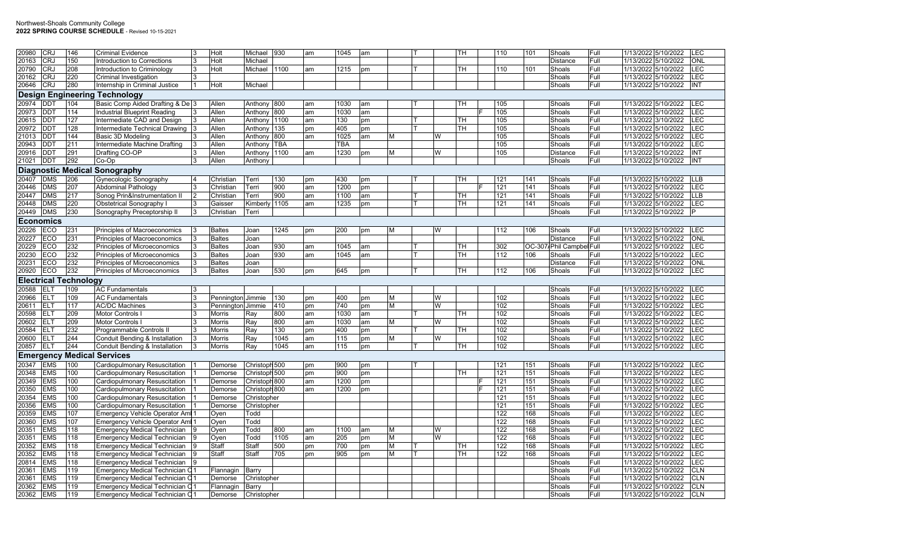| 20980          | CRJ             | 146                   | <b>Criminal Evidence</b>                                          | Holt          | Michael       | 930        | am | 1045       | am |   |   | TН        | 110 | 101 | Shoals                   | Full | 1/13/2022 5/10/2022 | LEC        |
|----------------|-----------------|-----------------------|-------------------------------------------------------------------|---------------|---------------|------------|----|------------|----|---|---|-----------|-----|-----|--------------------------|------|---------------------|------------|
| 20163          | <b>CRJ</b>      | 150                   | Introduction to Corrections                                       | Holt          | Michael       |            |    |            |    |   |   |           |     |     | <b>Distance</b>          | Full | 1/13/2022 5/10/2022 | ONL        |
|                | <b>CRJ</b>      |                       |                                                                   |               |               |            |    |            |    |   |   |           |     |     |                          |      |                     | LEC        |
| 20790          |                 | 208                   | Introduction to Criminology                                       | Holt          | Michael       | 1100       | am | 1215       | pm |   |   | <b>TH</b> | 110 | 101 | Shoals                   | Full | 1/13/2022 5/10/2022 |            |
| 20162          | <b>CRJ</b>      | 220                   | Criminal Investigation                                            |               |               |            |    |            |    |   |   |           |     |     | Shoals                   | Full | 1/13/2022 5/10/2022 | LEC        |
| 20646          | <b>CRJ</b>      | 280                   | Internship in Criminal Justice                                    | Holt          | Michael       |            |    |            |    |   |   |           |     |     | Shoals                   | Full | 1/13/2022 5/10/2022 | INT        |
|                |                 |                       | <b>Design Engineering Technology</b>                              |               |               |            |    |            |    |   |   |           |     |     |                          |      |                     |            |
| 20974          | <b>DDT</b>      | 104                   | Basic Comp Aided Drafting & De 3                                  | Allen         | Anthony 800   |            | am | 1030       | am |   |   | TН        | 105 |     | Shoals                   | Full | 1/13/2022 5/10/2022 | <b>LEC</b> |
| 20973          | DDT             | 114                   | <b>Industrial Blueprint Reading</b>                               | Allen         | Anthony       | 800        | am | 1030       | am |   |   |           | 105 |     | Shoals                   | Full | 1/13/2022 5/10/2022 | LEC        |
| 20615          | $\overline{DD}$ | 127                   | Intermediate CAD and Design                                       | Allen         | Anthony       | 1100       | am | 130        | pm |   |   | <b>TH</b> | 105 |     | Shoals                   | Full | 1/13/2022 3/10/2022 | LEC        |
| 20972          | <b>DDT</b>      | 128                   | Intermediate Technical Drawing                                    | Allen         | Anthony 135   |            | pm | 405        | pm |   |   | TН        | 105 |     | Shoals                   | Full | 1/13/2022 5/10/2022 | LEC        |
| 21013          | <b>DDT</b>      | 144                   | Basic 3D Modeling                                                 | Allen         | Anthony       | 800        | am | 1025       | am | М | W |           | 105 |     | Shoals                   | Full | 1/13/2022 5/10/2022 | LEC        |
| 20943          | <b>DDT</b>      | 211                   | Intermediate Machine Drafting                                     | Allen         | Anthony       | <b>TBA</b> |    | <b>TBA</b> |    |   |   |           | 105 |     | Shoals                   | Full | 1/13/2022 5/10/2022 | LEC        |
| 20916          | DD <sub>1</sub> | 291                   | Drafting CO-OP                                                    | Allen         | Anthony 1100  |            | am | 1230       | pm | М | W |           | 105 |     | Distance                 | Full | 1/13/2022 5/10/2022 | INT        |
| 21021          | <b>DDT</b>      | 292                   | Co-Op                                                             | Allen         | Anthony       |            |    |            |    |   |   |           |     |     | Shoals                   | Full | 1/13/2022 5/10/2022 | <b>INT</b> |
|                |                 |                       |                                                                   |               |               |            |    |            |    |   |   |           |     |     |                          |      |                     |            |
|                |                 |                       | <b>Diagnostic Medical Sonography</b>                              |               |               |            |    |            |    |   |   |           |     |     |                          |      |                     |            |
| 20407          | <b>DMS</b>      | 206                   | Gynecologic Sonography                                            | Christian     | Terri         | 130        | pm | 430        | pm |   |   | TН        | 121 | 141 | Shoals                   | Full | 1/13/2022 5/10/2022 | <b>LLB</b> |
| 20446          | <b>DMS</b>      | 207                   | <b>Abdominal Pathology</b>                                        | Christian     | Terri         | 900        | am | 1200       | pm |   |   |           | 121 | 141 | Shoals                   | Full | 1/13/2022 5/10/2022 | LEC        |
| 20447          | <b>DMS</b>      | 217                   | Sonog Prin&Instrumentation II                                     | Christian     | Terri         | 900        | am | 1100       | am |   |   | TН        | 121 | 141 | Shoals                   | Full | 1/13/2022 5/10/2022 | LLB        |
| 20448          | <b>DMS</b>      | 220                   | Obstetrical Sonography I                                          | Gaisser       | Kimber        | 1105       | am | 1235       | pm |   |   | TН        | 121 | 141 | Shoals                   | Full | 1/13/2022 5/10/2022 | LEC        |
| 20449          | <b>DMS</b>      | 230                   | Sonography Preceptorship II                                       | Christian     | Terri         |            |    |            |    |   |   |           |     |     | Shoals                   | Full | 1/13/2022 5/10/2022 | P          |
|                | Economics       |                       |                                                                   |               |               |            |    |            |    |   |   |           |     |     |                          |      |                     |            |
| 20226          | ECO             | 231                   | Principles of Macroeconomics                                      | <b>Baltes</b> | Joan          | 1245       | pm | 200        | pm |   |   |           | 112 | 106 | Shoals                   | Full | 1/13/2022 5/10/2022 | <b>LEC</b> |
| 20227          | ECO             | 231                   | Principles of Macroeconomics                                      | <b>Baltes</b> | Joan          |            |    |            |    |   |   |           |     |     | <b>Distance</b>          | Full | 1/13/2022 5/10/2022 | <b>ONL</b> |
| 20229          | ECO             | 232                   | Principles of Microeconomics                                      | <b>Baltes</b> | Joan          | 930        | am | 1045       | am |   |   | TН        | 302 |     | OC-307 Phil Campbel Full |      | 1/13/2022 5/10/2022 | LEC        |
| 20230          | ECO             | 232                   | Principles of Microeconomics                                      | <b>Baltes</b> | Joan          | 930        | am | 1045       | am |   |   | TН        | 112 | 106 | Shoals                   | Full | 1/13/2022 5/10/2022 | LEC        |
|                | ECO             | 232                   |                                                                   |               |               |            |    |            |    |   |   |           |     |     |                          |      |                     | ONL        |
| 20231          |                 |                       | Principles of Microeconomics                                      | <b>Baltes</b> | Joan          |            |    |            |    |   |   |           |     |     | Distance                 | Full | 1/13/2022 5/10/2022 |            |
|                |                 |                       |                                                                   |               |               |            |    |            |    |   |   |           |     |     |                          |      |                     |            |
| 20920          | ECO             | 232                   | Principles of Microeconomics                                      | <b>Baltes</b> | Joan          | 530        | pm | 645        | pm |   |   | TН        | 112 | 106 | Shoals                   | Full | 1/13/2022 5/10/2022 | LEC        |
|                |                 | Electrical Technology |                                                                   |               |               |            |    |            |    |   |   |           |     |     |                          |      |                     |            |
| 20588          | <b>ELT</b>      | 109                   | <b>AC Fundamentals</b>                                            |               |               |            |    |            |    |   |   |           |     |     | Shoals                   | Full | 1/13/2022 5/10/2022 | LEC        |
| 20966          | ELT             | 109                   | <b>AC Fundamentals</b>                                            | Pennington    | Jimmie        | 130        | pm | 400        | pm | М | w |           | 102 |     | Shoals                   | Full | 1/13/2022 5/10/2022 | LEC        |
| 20611          | <b>ELT</b>      | 117                   | <b>AC/DC Machines</b>                                             | Pennington    | Jimmie        | 410        | pm | 740        | pm | М | W |           | 102 |     | Shoals                   | Full | 1/13/2022 5/10/2022 | LEC        |
| 20598          | <b>ELT</b>      | 209                   | <b>Motor Controls</b>                                             | Morris        | Ray           | 800        | am | 1030       | am |   |   | TН        | 102 |     | Shoals                   | Full | 1/13/2022 5/10/2022 | LEC        |
| 20602          | <b>ELT</b>      |                       | Motor Controls I                                                  | Morris        |               | 800        | am | 1030       | am | М | W |           | 102 |     | Shoals                   | Full | 1/13/2022 5/10/2022 | LEC        |
|                |                 | 209                   |                                                                   |               | Ray           |            |    |            |    |   |   |           |     |     |                          |      |                     |            |
| 20584          | <b>ELT</b>      | 232                   | Programmable Controls II                                          | Morris        | Ray           | 130        | pm | 400        | pm |   |   | TН        | 102 |     | Shoals                   | Full | 1/13/2022 5/10/2022 | LEC        |
| 20600          | <b>IELT</b>     | 244                   | Conduit Bending & Installation                                    | Morris        | Ray           | 1045       | am | 115        | pm | М | W |           | 102 |     | Shoals                   | Full | 1/13/2022 5/10/2022 | LEC        |
| 20857          | <b>ELT</b>      | 244                   | Conduit Bending & Installation                                    | Morris        | Ray           | 1045       | am | 115        | pm |   |   | TН        | 102 |     | Shoals                   | Full | 1/13/2022 5/10/2022 | <b>LEC</b> |
| Emergency      |                 |                       | <b>Medical Services</b>                                           |               |               |            |    |            |    |   |   |           |     |     |                          |      |                     |            |
| 20347          | <b>EMS</b>      | 100                   | Cardiopulmonary Resuscitation                                     | Demorse       | Christoph 500 |            | pm | 900        | pm |   |   |           | 121 | 151 | Shoals                   | Full | 1/13/2022 5/10/2022 | LEC        |
| 20348          | <b>EMS</b>      | 100                   | Cardiopulmonary Resuscitation                                     | Demorse       | Christoph 500 |            | pm | 900        | pm |   |   | <b>TH</b> | 121 | 151 | Shoals                   | Full | 1/13/2022 5/10/2022 | LEC        |
| 20349          | <b>EMS</b>      | 100                   | Cardiopulmonary Resuscitation                                     | Demorse       | Christoph 800 |            | am | 1200       | pm |   |   |           | 121 | 151 | Shoals                   | Full | 1/13/2022 5/10/2022 | LEC        |
| 20350          | <b>EMS</b>      | 100                   | Cardiopulmonary Resuscitation                                     | Demorse       | Christoph 800 |            | am | 1200       | pm |   |   |           | 121 | 151 | Shoals                   | Full | 1/13/2022 5/10/2022 | LEC        |
| 20354          | <b>EMS</b>      | 100                   | Cardiopulmonary Resuscitation                                     | Demorse       | Christopher   |            |    |            |    |   |   |           | 121 | 151 | Shoals                   | Full | 1/13/2022 5/10/2022 | LEC        |
| 20356          | <b>EMS</b>      | 100                   | Cardiopulmonary Resuscitation                                     | Demorse       | Christopher   |            |    |            |    |   |   |           | 121 | 151 | Shoals                   | Full | 1/13/2022 5/10/2022 | LEC        |
| 20359          | <b>EMS</b>      | 107                   | Emergency Vehicle Operator Am                                     | Oyen          | Todd          |            |    |            |    |   |   |           | 122 | 168 | Shoals                   | Full | 1/13/2022 5/10/2022 | LEC        |
| 20360          | <b>EMS</b>      | 107                   | <b>Emergency Vehicle Operator Ami</b>                             | Oyen          | Todd          |            |    |            |    |   |   |           | 122 | 168 | Shoals                   | Full | 1/13/2022 5/10/2022 | LEC        |
| 20351          | <b>EMS</b>      | 118                   | <b>Emergency Medical Technician</b>                               | Oyen          | Todd          | 800        | am | 1100       | am | М | W |           | 122 | 168 | Shoals                   | Full | 1/13/2022 5/10/2022 | LEC        |
| 20351          | <b>EMS</b>      | 118                   | Emergency Medical Technician                                      | Oyen          | Todd          | 1105       | am | 205        | pm | М | W |           | 122 | 168 | Shoals                   | Full | 1/13/2022 5/10/2022 | LEC        |
| 20352          | <b>EMS</b>      | 118                   | <b>Emergency Medical Technician</b>                               | Staff         | Staff         | 500        | pm | 700        | pm | М |   | <b>TH</b> | 122 | 168 | Shoals                   | Full | 1/13/2022 5/10/2022 | LEC        |
| 20352          | <b>EMS</b>      | 118                   | <b>Emergency Medical Technician</b>                               | Staff         | Staff         | 705        | pm | 905        | pm | M |   | TH        | 122 | 168 | Shoals                   | Full | 1/13/2022 5/10/2022 | LEC        |
| 20814          | <b>EMS</b>      | 118                   | <b>Emergency Medical Technician</b>                               |               |               |            |    |            |    |   |   |           |     |     | Shoals                   | Full | 1/13/2022 5/10/2022 | LEC        |
| 20361          | <b>EMS</b>      | 119                   | Emergency Medical Technician C                                    | Flannagin     | Barry         |            |    |            |    |   |   |           |     |     | Shoals                   | Full | 1/13/2022 5/10/2022 | <b>CLN</b> |
| 20361          | <b>EMS</b>      | 119                   | <b>Emergency Medical Technician C</b>                             | Demorse       | Christopher   |            |    |            |    |   |   |           |     |     | Shoals                   | Full | 1/13/2022 5/10/2022 | <b>CLN</b> |
|                | <b>EMS</b>      | 119                   |                                                                   | Flannagin     | Barry         |            |    |            |    |   |   |           |     |     | Shoals                   | Full | 1/13/2022 5/10/2022 | <b>CLN</b> |
| 20362<br>20362 | <b>EMS</b>      | 119                   | Emergency Medical Technician C<br>Emergency Medical Technician C1 | Demorse       | Christopher   |            |    |            |    |   |   |           |     |     | Shoals                   | Full | 1/13/2022 5/10/2022 | <b>CLN</b> |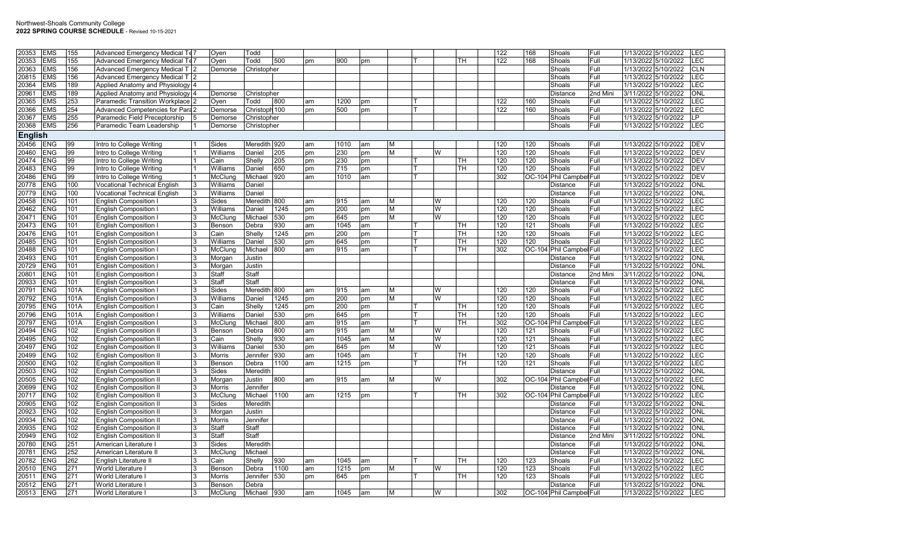| 20353          | <b>EMS</b> | 155  | Advanced Emergency Medical Te <sub>7</sub> |    |               | Todd          |      |    |      |    |   |   |     | 122 | 168 | Shoals                   | Full     | 1/13/2022 5/10/2022 |                     | <b>LEC</b> |
|----------------|------------|------|--------------------------------------------|----|---------------|---------------|------|----|------|----|---|---|-----|-----|-----|--------------------------|----------|---------------------|---------------------|------------|
|                |            |      |                                            |    | Oyen          |               |      |    |      |    |   |   |     |     |     |                          |          |                     |                     |            |
| 20353          | <b>EMS</b> | 155  | Advanced Emergency Medical Te              |    | Oven          | Todd          | 500  | pm | 900  | pm |   |   | TH. | 122 | 168 | Shoals                   | Full     | 1/13/2022 5/10/2022 |                     | <b>LEC</b> |
| 20363          | <b>EMS</b> | 156  | Advanced Emergency Medical T 2             |    | Demorse       | Christopher   |      |    |      |    |   |   |     |     |     | Shoals                   | Full     | 1/13/2022 5/10/2022 |                     | <b>CLN</b> |
| 20815          | <b>EMS</b> | 156  | <b>Advanced Emergency Medical T12</b>      |    |               |               |      |    |      |    |   |   |     |     |     | Shoals                   | Full     | 1/13/2022 5/10/2022 |                     | <b>LEC</b> |
| 20364          | <b>EMS</b> | 189  | Applied Anatomy and Physiology 4           |    |               |               |      |    |      |    |   |   |     |     |     | Shoals                   | Full     | 1/13/2022 5/10/2022 |                     | LEC        |
| 20961          | <b>EMS</b> | 189  | Applied Anatomy and Physiology 4           |    | Demorse       | Christopher   |      |    |      |    |   |   |     |     |     | <b>Distance</b>          | 2nd Mini | 3/11/2022 5/10/2022 |                     | ONL        |
| 20365          | <b>EMS</b> | 253  | Paramedic Transition Workplace             |    | Oven          | Todd          | 800  | am | 1200 | pm |   |   |     | 122 | 160 | Shoals                   | Full     | 1/13/2022 5/10/2022 |                     | <b>EC</b>  |
| 20366          | <b>EMS</b> | 254  | <b>Advanced Competencies for Para2</b>     |    | Demorse       | Christoph 100 |      | pm | 500  | pm |   |   |     | 122 | 160 | Shoals                   | Full     |                     | 1/13/2022 5/10/2022 | LEC        |
| 20367          | <b>EMS</b> | 255  | Paramedic Field Preceptorship              |    | Demorse       | Christopher   |      |    |      |    |   |   |     |     |     | Shoals                   | Full     | 1/13/2022 5/10/2022 |                     | <b>LP</b>  |
| 20368          | <b>EMS</b> | 256  | Paramedic Team Leadership                  |    |               | Christopher   |      |    |      |    |   |   |     |     |     | Shoals                   | Full     | 1/13/2022 5/10/2022 |                     | LEC        |
|                |            |      |                                            |    | Demorse       |               |      |    |      |    |   |   |     |     |     |                          |          |                     |                     |            |
| <b>English</b> |            |      |                                            |    |               |               |      |    |      |    |   |   |     |     |     |                          |          |                     |                     |            |
| 20456          | <b>ENG</b> | 99   | Intro to College Writing                   |    | Sides         | Meredith 920  |      | am | 1010 | am | M |   |     | 120 | 120 | Shoals                   | Full     | 1/13/2022 5/10/2022 |                     | <b>DEV</b> |
| 20460          | <b>ENG</b> | 99   | Intro to College Writing                   |    | Williams      | Daniel        | 205  | pm | 230  | pm | M | W |     | 120 | 120 | Shoals                   | Full     | 1/13/2022 5/10/2022 |                     | <b>DEV</b> |
| 20474          | <b>ENG</b> | 99   | Intro to College Writing                   |    | Cain          | Shelly        | 205  | pm | 230  | pm |   |   | TН  | 120 | 120 | Shoals                   | Full     | 1/13/2022 5/10/2022 |                     | <b>DEV</b> |
| 20483          | <b>ENG</b> | 99   | Intro to College Writing                   |    | Williams      | Daniel        | 650  | pm | 715  | pm |   |   | TН  | 120 | 120 | Shoals                   | Full     | 1/13/2022 5/10/2022 |                     | <b>DEV</b> |
| 20486          | <b>ENG</b> | 99   | Intro to College Writing                   |    | McClung       | Michael       | 920  | am | 1010 | am |   |   |     | 302 |     | OC-104 Phil Campbel Full |          | 1/13/2022 5/10/2022 |                     | <b>DEV</b> |
| 20778          | <b>ENG</b> | 100  | Vocational Technical English               | 3  | Williams      | Daniel        |      |    |      |    |   |   |     |     |     | <b>Distance</b>          | Full     | 1/13/2022 5/10/2022 |                     | <b>ONL</b> |
|                |            |      |                                            |    |               |               |      |    |      |    |   |   |     |     |     |                          |          |                     |                     |            |
| 20779          | <b>ENG</b> | 100  | <b>Vocational Technical English</b>        | 3  | Williams      | Daniel        |      |    |      |    |   |   |     |     |     | Distance                 | Full     | 1/13/2022 5/10/2022 |                     | <b>ONL</b> |
| 20458          | <b>ENG</b> | 101  | <b>English Composition</b>                 | 3  | <b>Sides</b>  | Meredith 800  |      | am | 915  | am | М | W |     | 120 | 120 | Shoals                   | Full     | 1/13/2022 5/10/2022 |                     | LEC        |
| 20462          | <b>ENG</b> | 101  | English Composition                        | 3  | Williams      | Daniel        | 1245 | pm | 200  | pm | M | W |     | 120 | 120 | Shoals                   | Full     | 1/13/2022 5/10/2022 |                     | LEC        |
| 20471          | <b>ENG</b> | 101  | <b>English Composition</b>                 |    | McClunc       | Michae        | 530  | pm | 645  | pm | M | W |     | 120 | 120 | Shoals                   | Full     | 1/13/2022 5/10/2022 |                     | LEC        |
| 20473          | <b>ENG</b> | 101  | <b>English Composition</b>                 | 3  | Benson        | Debra         | 930  | am | 1045 | am |   |   | TН  | 120 | 121 | Shoals                   | Full     | 1/13/2022 5/10/2022 |                     | <b>LEC</b> |
| 20476          | <b>ENG</b> | 101  | <b>English Composition</b>                 |    | Cain          | Shelly        | 1245 | pm | 200  | pm |   |   | TH. | 120 | 120 | Shoals                   | Full     | 1/13/2022 5/10/2022 |                     | LEC        |
| 20485          | <b>ENG</b> | 101  | <b>English Composition</b>                 |    | Williams      | Daniel        | 530  | pm | 645  | pm |   |   | TН  | 120 | 120 | Shoals                   | Full     | 1/13/2022 5/10/2022 |                     | <b>EC</b>  |
| 20488          | <b>ENG</b> | 101  | <b>English Composition</b>                 | R. | McClung       | Michael       | 800  | am | 915  | am |   |   | TH  | 302 |     | OC-104 Phil Campbel Full |          | 1/13/2022 5/10/2022 |                     | <b>LEC</b> |
| 20493          | <b>ENG</b> | 101  | <b>English Composition</b>                 |    | Morgan        | Justin        |      |    |      |    |   |   |     |     |     | <b>Distance</b>          | Full     | 1/13/2022 5/10/2022 |                     | <b>ONL</b> |
| 20729          | <b>ENG</b> | 101  | <b>English Composition</b>                 |    | Morgan        | Justin        |      |    |      |    |   |   |     |     |     | Distance                 | Full     | 1/13/2022 5/10/2022 |                     | ONL        |
|                |            |      |                                            |    |               |               |      |    |      |    |   |   |     |     |     |                          |          |                     |                     |            |
| 20801          | <b>ENG</b> | 101  | English Composition                        | 3  | Staff         | Staff         |      |    |      |    |   |   |     |     |     | <b>Distance</b>          | 2nd Mini | 3/11/2022 5/10/2022 |                     | <b>ONL</b> |
| 20933          | <b>ENG</b> | 101  | <b>English Composition</b>                 |    | Staff         | Staff         |      |    |      |    |   |   |     |     |     | <b>Distance</b>          | Full     | 1/13/2022 5/10/2022 |                     | <b>ONL</b> |
| 20791          | <b>ENG</b> | 101A | <b>English Composition</b>                 |    | Sides         | Meredith      | 800  | am | 915  | am | M | W |     | 120 | 120 | Shoals                   | Full     | 1/13/2022 5/10/2022 |                     | LEC        |
| 20792          | <b>ENG</b> | 101A | <b>English Composition</b>                 |    | Williams      | Daniel        | 1245 | pm | 200  | pm | M | W |     | 120 | 120 | Shoals                   | Full     | 1/13/2022 5/10/2022 |                     | LEC        |
| 20795          | <b>ENG</b> | 101A | <b>English Composition</b>                 |    | Cain          | Shelly        | 1245 | pm | 200  | pm |   |   | TН  | 120 | 120 | Shoals                   | Full     | 1/13/2022 5/10/2022 |                     | LEC        |
| 20796          | <b>ENG</b> | 101A | English Composition                        | 3  | Williams      | Daniel        | 530  | pm | 645  | pm |   |   | TН  | 120 | 120 | Shoals                   | Full     | 1/13/2022 5/10/2022 |                     | <b>LEC</b> |
| 20797          | <b>ENG</b> | 101A | English Composition                        |    | McClung       | Michael       | 800  | am | 915  | am |   |   | TH. | 302 |     | OC-104 Phil Campbel Full |          | 1/13/2022 5/10/2022 |                     | LEC        |
| 20494          | <b>ENG</b> | 102  | <b>English Composition I</b>               |    | Benson        | Debra         | 800  | am | 915  | am | M | W |     | 120 | 121 | Shoals                   | Full     | 1/13/2022 5/10/2022 |                     | <b>EC</b>  |
| 20495          | <b>ENG</b> | 102  | <b>English Composition II</b>              | 3  | Cain          | Shelly        | 930  | am | 1045 | am | M | W |     | 120 | 121 | Shoals                   | Full     | 1/13/2022 5/10/2022 |                     | LEC        |
| 20497          | <b>ENG</b> | 102  | <b>English Composition I</b>               |    | Williams      | Daniel        | 530  | pm | 645  | pm | M | W |     | 120 | 121 | Shoals                   | Full     | 1/13/2022 5/10/2022 |                     | LEC        |
| 20499          | <b>ENG</b> | 102  | <b>English Composition I</b>               | 3  | Morris        | Jennifer      | 930  | am | 1045 | am |   |   | TН  | 120 | 120 | Shoals                   | Full     | 1/13/2022 5/10/2022 |                     | LEC        |
|                |            |      |                                            |    |               |               |      |    |      |    |   |   |     |     |     |                          |          |                     |                     |            |
| 20500          | <b>ENG</b> | 102  | <b>English Composition II</b>              |    | Benson        | Debra         | 1100 | am | 1215 | pm |   |   | TН  | 120 | 121 | Shoals                   | Full     | 1/13/2022 5/10/2022 |                     | <b>LEC</b> |
| 20503          | <b>ENG</b> | 102  | <b>English Composition I</b>               |    | Sides         | Meredith      |      |    |      |    |   |   |     |     |     | <b>Distance</b>          | Full     | 1/13/2022 5/10/2022 |                     | <b>ONL</b> |
| 20505          | <b>ENG</b> | 102  | <b>English Composition I</b>               | 3  | Morgan        | Justin        | 800  | am | 915  | am | М | W |     | 302 |     | OC-104 Phil Campbel Full |          | 1/13/2022 5/10/2022 |                     | LEC        |
| 20699          | <b>ENG</b> | 102  | <b>English Composition I</b>               |    | Morris        | Jennifer      |      |    |      |    |   |   |     |     |     | <b>Distance</b>          | Full     | 1/13/2022 5/10/2022 |                     | <b>ONL</b> |
| 20717          | <b>ENG</b> | 102  | <b>English Composition I</b>               |    | McCluno       | Michael       | 1100 | am | 1215 | pm |   |   | TН  | 302 |     | OC-104 Phil Campbel Full |          | 1/13/2022 5/10/2022 |                     | EC.        |
| 20905          | <b>ENG</b> | 102  | <b>English Composition I</b>               | 3  | Sides         | Meredith      |      |    |      |    |   |   |     |     |     | <b>Distance</b>          | Full     | 1/13/2022 5/10/2022 |                     | <b>ONL</b> |
| 20923          | <b>ENG</b> | 102  | <b>English Composition I</b>               |    | Morgan        | Justin        |      |    |      |    |   |   |     |     |     | <b>Distance</b>          | Full     | 1/13/2022 5/10/2022 |                     | <b>ONL</b> |
| 20934          | <b>ENG</b> | 102  | <b>English Composition II</b>              |    | <b>Morris</b> | Jennifer      |      |    |      |    |   |   |     |     |     | <b>Distance</b>          | Full     | 1/13/2022 5/10/2022 |                     | <b>ONL</b> |
| 20935          | <b>ENG</b> | 102  | <b>English Composition I</b>               | 3  | Staff         | Staff         |      |    |      |    |   |   |     |     |     | Distance                 | Full     | 1/13/2022 5/10/2022 |                     | <b>ONL</b> |
| 20949          | <b>ENG</b> | 102  | <b>English Composition I</b>               | 3  | Staff         | Staff         |      |    |      |    |   |   |     |     |     | <b>Distance</b>          | 2nd Mini | 3/11/2022 5/10/2022 |                     | <b>ONL</b> |
|                | <b>ENG</b> | 251  |                                            |    | Sides         |               |      |    |      |    |   |   |     |     |     |                          | Full     |                     |                     |            |
| 20780          |            |      | American Literature                        |    |               | Meredith      |      |    |      |    |   |   |     |     |     | <b>Distance</b>          |          | 1/13/2022 5/10/2022 |                     | <b>ONL</b> |
| 20781          | <b>ENG</b> | 252  | American Literature I                      |    | McClung       | Michael       |      |    |      |    |   |   |     |     |     | <b>Distance</b>          | Full     | 1/13/2022 5/10/2022 |                     | <b>ONL</b> |
| 20782          | <b>ENG</b> | 262  | English Literature II                      | 3  | Cain          | Shelly        | 930  | am | 1045 | am |   |   | TH  | 120 | 123 | Shoals                   | Full     | 1/13/2022 5/10/2022 |                     | <b>EC</b>  |
| 20510          | <b>ENG</b> | 271  | World Literature I                         |    | Benson        | Debra         | 1100 | am | 1215 | pm | м | W |     | 120 | 123 | Shoals                   | Full     | 1/13/2022 5/10/2022 |                     | LEC        |
| 20511          | <b>ENG</b> | 271  | World Literature                           |    | Morris        | Jennifer      | 530  | pm | 645  | pm |   |   | TН  | 120 | 123 | Shoals                   | Full     | 1/13/2022 5/10/2022 |                     | LEC        |
| 20512          | <b>ENG</b> | 271  | World Literature I                         | 3  | Benson        | Debra         |      |    |      |    |   |   |     |     |     | Distance                 | Full     | 1/13/2022 5/10/2022 |                     | <b>ONL</b> |
| 20513          | <b>ENG</b> | 271  | World Literature I                         | 3  | McClung       | Michael 930   |      | am | 1045 | am | M | W |     | 302 |     | OC-104 Phil Campbel Full |          | 1/13/2022 5/10/2022 |                     | <b>LEC</b> |
|                |            |      |                                            |    |               |               |      |    |      |    |   |   |     |     |     |                          |          |                     |                     |            |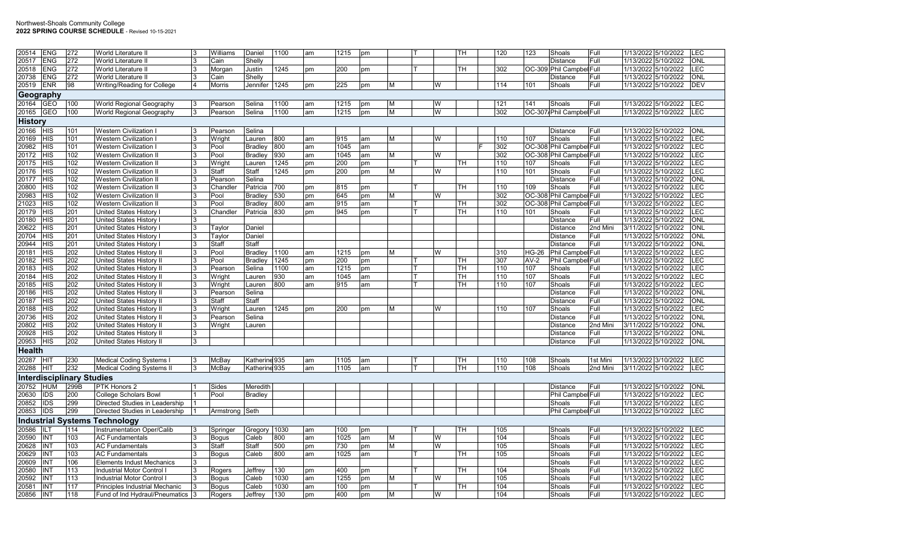## Northwest-Shoals Community College **2022 SPRING COURSE SCHEDULE** - Revised 10-15-2021

| 20514<br><b>ENG</b>                        | 272        | World Literature II                                              | Williams         | Daniel                   | 1100         | am       | 1215        | pm       |   |   | TH        | 120 | 123        | Shoals                             | Full         | 1/13/2022 5/10/2022<br>LEC                                             |
|--------------------------------------------|------------|------------------------------------------------------------------|------------------|--------------------------|--------------|----------|-------------|----------|---|---|-----------|-----|------------|------------------------------------|--------------|------------------------------------------------------------------------|
| <b>ENG</b><br>20517                        | 272        | World Literature II                                              | Cain             | Shelly                   |              |          |             |          |   |   |           |     |            | <b>Distance</b>                    | Full         | 1/13/2022 5/10/2022<br><b>ONL</b>                                      |
| 20518<br><b>ENG</b>                        | 272        | World Literature II                                              | Morgan           | Justin                   | 1245         | pm       | 200         | pm       |   |   | <b>TH</b> | 302 |            | OC-309 Phil Campbel Full           |              | <b>LEC</b><br>1/13/2022 5/10/2022                                      |
| 20738<br><b>ENG</b>                        | 272        | World Literature II                                              | Cain             | Shelly                   |              |          |             |          |   |   |           |     |            | Distance                           | Full         | 1/13/2022 5/10/2022<br>ONL                                             |
| 20519<br><b>ENR</b>                        | 98         | Writing/Reading for College                                      | Morris           | Jennifer                 | 1245         | pm       | 225         | pm       | M | W |           | 114 | 101        | Shoals                             | Full         | 1/13/2022 5/10/2022<br><b>DEV</b>                                      |
| Geography                                  |            |                                                                  |                  |                          |              |          |             |          |   |   |           |     |            |                                    |              |                                                                        |
| 20164<br><b>GEO</b>                        | 100        | World Regional Geography                                         | Pearson          | Selina                   | 1100         | am       | 1215        | pm       | м | W |           | 121 | 141        | Shoals                             | Full         | 1/13/2022 5/10/2022<br>LEC                                             |
| <b>GEO</b><br>20165                        | 100        | World Regional Geography                                         | Pearson          | Selina                   | 1100         | am       | 1215        | pm       | M | W |           | 302 |            | OC-307 Phil Campbel Full           |              | 1/13/2022 5/10/2022<br><b>LEC</b>                                      |
| <b>History</b>                             |            |                                                                  |                  |                          |              |          |             |          |   |   |           |     |            |                                    |              |                                                                        |
|                                            |            |                                                                  |                  |                          |              |          |             |          |   |   |           |     |            |                                    |              |                                                                        |
| 20166<br><b>HIS</b>                        | 101<br>101 | Western Civilization                                             | Pearson          | Selina                   |              |          |             |          |   |   |           | 110 | 107        | <b>Distance</b>                    | Full<br>Full | 1/13/2022 5/10/2022<br><b>ONL</b><br><b>LEC</b><br>1/13/2022 5/10/2022 |
| 20169<br><b>HIS</b><br>20982<br><b>HIS</b> | 101        | <b>Western Civilization</b>                                      | Wright<br>Pool   | Lauren<br><b>Bradley</b> | 800<br>800   | am       | 915<br>1045 | am       | м | W |           | 302 |            | Shoals<br>OC-308 Phil Campbel Full |              | 1/13/2022 5/10/2022<br>LEC                                             |
| 20172<br><b>HIS</b>                        | 102        | Western Civilization  <br><b>Western Civilization II</b>         | Pool             | <b>Bradley</b>           | 930          | am<br>am | 1045        | am       | М | W |           | 302 |            | OC-308 Phil Campbel Full           |              | 1/13/2022 5/10/2022<br>LEC                                             |
|                                            |            |                                                                  |                  |                          |              |          |             | am       |   |   |           | 110 |            |                                    |              | LEC                                                                    |
| 20175<br><b>HIS</b><br><b>HIS</b><br>20176 | 102<br>102 | <b>Western Civilization II</b><br><b>Western Civilization II</b> | Wright<br>Staff  | Lauren<br>Staff          | 1245<br>1245 | pm       | 200<br>200  | pm       | М | W | <b>TH</b> | 110 | 107<br>101 | Shoals<br>Shoals                   | Full<br>Full | 1/13/2022 5/10/2022<br><b>LEC</b><br>1/13/2022 5/10/2022               |
| HIS<br>20177                               | 102        | <b>Western Civilization II</b>                                   | Pearson          | Selina                   |              | pm       |             | pm       |   |   |           |     |            | <b>Distance</b>                    | Full         | ONL<br>1/13/2022 5/10/2022                                             |
| <b>HIS</b><br>20800                        | 102        | <b>Western Civilization II</b>                                   | Chandler         | Patricia                 | 700          |          | 815         |          |   |   | lTH.      | 110 | 109        | Shoals                             | Full         | <b>LEC</b><br>1/13/2022 5/10/2022                                      |
| 20983<br><b>HIS</b>                        | 102        | <b>Western Civilization II</b>                                   | Pool             | <b>Bradley</b>           | 530          | pm       | 645         | pm       | М | W |           | 302 |            | OC-308 Phil Campbel Full           |              | <b>LEC</b><br>1/13/2022 5/10/2022                                      |
| 21023<br><b>HIS</b>                        | 102        | <b>Western Civilization II</b>                                   | Pool             | Bradley                  | 800          | pm<br>am | 915         | pm<br>am |   |   | TH        | 302 |            | OC-308 Phil Campbel Full           |              | <b>LEC</b><br>1/13/2022 5/10/2022                                      |
| 20179<br><b>HIS</b>                        | 201        | United States History                                            | Chandler         | Patricia                 | 830          | pm       | 945         | pm       |   |   | <b>TH</b> | 110 | 101        | Shoals                             | Full         | LEC<br>1/13/2022 5/10/2022                                             |
| <b>HIS</b><br>20180                        | 201        | <b>United States History</b>                                     |                  |                          |              |          |             |          |   |   |           |     |            | <b>Distance</b>                    | Full         | 1/13/2022 5/10/2022<br><b>ONL</b>                                      |
| HIS<br>20622                               | 201        | United States History                                            | Taylor           | Daniel                   |              |          |             |          |   |   |           |     |            | <b>Distance</b>                    | 2nd Mini     | 3/11/2022 5/10/2022<br>ONL                                             |
| 20704<br><b>HIS</b>                        | 201        | United States History                                            | Taylor           | Daniel                   |              |          |             |          |   |   |           |     |            | Distance                           | Full         | 1/13/2022 5/10/2022<br><b>ONL</b>                                      |
| 20944<br>HIS                               | 201        | United States History                                            | Staff            | <b>Staff</b>             |              |          |             |          |   |   |           |     |            | <b>Distance</b>                    | Full         | ONL<br>1/13/2022 5/10/2022                                             |
| <b>HIS</b><br>20181                        | 202        | United States History II                                         | Pool             | <b>Bradley</b>           | 1100         | am       | 1215        | pm       | м | W |           | 310 | HG-26      | Phil Campbel Full                  |              | 1/13/2022 5/10/2022<br><b>LEC</b>                                      |
| <b>HIS</b><br>20182                        | 202        | United States History II                                         | Pool             | <b>Bradlev</b>           | 1245         | pm       | 200         | pm       |   |   | TH        | 307 | AV-2       | Phil Campbel Full                  |              | 1/13/2022 5/10/2022<br><b>LEC</b>                                      |
| HIS<br>20183                               | 202        | United States History II                                         | Pearson          | Selina                   | 1100         | am       | 1215        | pm       |   |   | TН        | 110 | 107        | Shoals                             | Full         | <b>LEC</b><br>1/13/2022 5/10/2022                                      |
| 20184<br><b>HIS</b>                        | 202        | United States History II                                         |                  | Lauren                   | 930          | am       | 1045        | am       |   |   | TН        | 110 | 107        | Shoals                             | Full         | LEC<br>1/13/2022 5/10/2022                                             |
| 20185<br><b>HIS</b>                        | 202        | United States History II                                         | Wright<br>Wright | Lauren                   | 800          | am       | 915         | am       |   |   | <b>TH</b> | 110 | 107        | Shoals                             | Full         | LEC<br>1/13/2022 5/10/2022                                             |
| 20186<br><b>HIS</b>                        | 202        | United States History II                                         | Pearson          | Selina                   |              |          |             |          |   |   |           |     |            | Distance                           | Full         | 1/13/2022 5/10/2022<br><b>ONL</b>                                      |
| 20187<br><b>HIS</b>                        | 202        | United States History II                                         | Staff            | Staff                    |              |          |             |          |   |   |           |     |            | <b>Distance</b>                    | Full         | 1/13/2022 5/10/2022<br><b>ONL</b>                                      |
| 20188<br><b>HIS</b>                        | 202        | United States History II                                         | Wright           | Lauren                   | 1245         | pm       | 200         | pm       | М | W |           | 110 | 107        | Shoals                             | Full         | 1/13/2022 5/10/2022<br><b>LEC</b>                                      |
| 20736<br><b>HIS</b>                        | 202        | United States History II                                         | Pearson          | Selina                   |              |          |             |          |   |   |           |     |            | <b>Distance</b>                    | Full         | ONL<br>1/13/2022 5/10/2022                                             |
| <b>HIS</b><br>20802                        | 202        | United States History II                                         | Wright           | Lauren                   |              |          |             |          |   |   |           |     |            | Distance                           | 2nd Mini     | 3/11/2022 5/10/2022<br><b>ONL</b>                                      |
| 20928<br>HIS                               | 202        | United States History II                                         |                  |                          |              |          |             |          |   |   |           |     |            | Distance                           | Full         | 1/13/2022 5/10/2022<br>ONL                                             |
| <b>HIS</b><br>20953                        | 202        | United States History II                                         |                  |                          |              |          |             |          |   |   |           |     |            | Distance                           | Full         | 1/13/2022 5/10/2022<br><b>ONL</b>                                      |
|                                            |            |                                                                  |                  |                          |              |          |             |          |   |   |           |     |            |                                    |              |                                                                        |
| Health                                     |            |                                                                  |                  |                          |              |          |             |          |   |   |           |     |            |                                    |              |                                                                        |
| 20287<br><b>HIT</b>                        | 230        | <b>Medical Coding Systems I</b>                                  | McBay            | Katherine 935            |              | am       | 1105        | am       |   |   | TH        | 110 | 108        | Shoals                             | 1st Mini     | 1/13/2022 3/10/2022<br><b>LEC</b>                                      |
| 20288<br>HIT                               | 232        | <b>Medical Coding Systems II</b>                                 | McBay            | Katherine 935            |              | am       | 1105        | am       |   |   | <b>TH</b> | 110 | 108        | Shoals                             | 2nd Mini     | 3/11/2022 5/10/2022<br>LEC                                             |
| <b>Interdisciplinary Studies</b>           |            |                                                                  |                  |                          |              |          |             |          |   |   |           |     |            |                                    |              |                                                                        |
| 20752<br><b>HUM</b>                        | 299B       | PTK Honors 2                                                     | Sides            | Meredith                 |              |          |             |          |   |   |           |     |            | <b>Distance</b>                    | Full         | 1/13/2022 5/10/2022<br><b>ONL</b>                                      |
| <b>IDS</b><br>20630                        | 200        | <b>College Scholars Bowl</b>                                     | Pool             | <b>Bradley</b>           |              |          |             |          |   |   |           |     |            | Phil Campbel Full                  |              | LEC<br>1/13/2022 5/10/2022                                             |
| 20852<br><b>IDS</b>                        | 299        | Directed Studies in Leadership                                   |                  |                          |              |          |             |          |   |   |           |     |            | Shoals                             | Full         | <b>LEC</b><br>1/13/2022 5/10/2022                                      |
| 20853<br><b>IDS</b>                        | 299        | Directed Studies in Leadership                                   | Armstrong        | Seth                     |              |          |             |          |   |   |           |     |            | Phil Campbel Full                  |              | 1/13/2022 5/10/2022<br><b>LEC</b>                                      |
|                                            |            | <b>Industrial Systems Technology</b>                             |                  |                          |              |          |             |          |   |   |           |     |            |                                    |              |                                                                        |
| 20586<br>ILT                               | 114        | <b>Instrumentation Oper/Calib</b>                                | Springer         | Gregory                  | 1030         | am       | 100         | pm       |   |   | TH        | 105 |            | Shoals                             | Full         | 1/13/2022 5/10/2022<br><b>LEC</b>                                      |
| INT<br>20590                               | 103        | <b>AC Fundamentals</b>                                           | <b>Bogus</b>     | Caleb                    | 800          | am       | 1025        | am       | M | W |           | 104 |            | Shoals                             | Full         | <b>LEC</b><br>1/13/2022<br>5/10/2022                                   |
| 20628<br>INT                               | 103        | <b>AC Fundamentals</b>                                           | Staff            | Staff                    | 500          | pm       | 730         | pm       | М | W |           | 105 |            | Shoals                             | Full         | 1/13/2022 5/10/2022<br><b>LEC</b>                                      |
| INT<br>20629                               | 103        | <b>AC Fundamentals</b>                                           | <b>Bogus</b>     | Caleb                    | 800          | am       | 1025        | am       |   |   | <b>TH</b> | 105 |            | Shoals                             | Full         | LEC<br>1/13/2022 5/10/2022                                             |
| INT<br>20609                               | 106        | <b>Elements Indust Mechanics</b>                                 |                  |                          |              |          |             |          |   |   |           |     |            | Shoals                             | Full         | 1/13/2022 5/10/2022<br><b>LEC</b>                                      |
| INT<br>20580                               | 113        | Industrial Motor Control I                                       | Rogers           | Jeffrey                  | 130          | pm       | 400         | pm       |   |   | TH        | 104 |            | Shoals                             | Full         | LEC<br>1/13/2022 5/10/2022                                             |
| 20592<br>INT                               | 113        | Industrial Motor Control                                         | <b>Bogus</b>     | Caleb                    | 1030         | am       | 1255        | pm       | М | W |           | 105 |            | Shoals                             | Full         | LEC<br>1/13/2022 5/10/2022                                             |
| INT<br>20581                               | 117        | Principles Industrial Mechanic                                   | <b>Bogus</b>     | Caleb                    | 1030         | am       | 100         | pm       |   |   | l TH      | 104 |            | Shoals                             | Full         | <b>LEC</b><br>1/13/2022 5/10/2022                                      |
| 20856 INT                                  | 118        | Fund of Ind Hydraul/Pneumatics 3                                 | Rogers           | Jeffrey                  | 130          | pm       | 400         | pm       | M | W |           | 104 |            | Shoals                             | Full         | LEC<br>1/13/2022 5/10/2022                                             |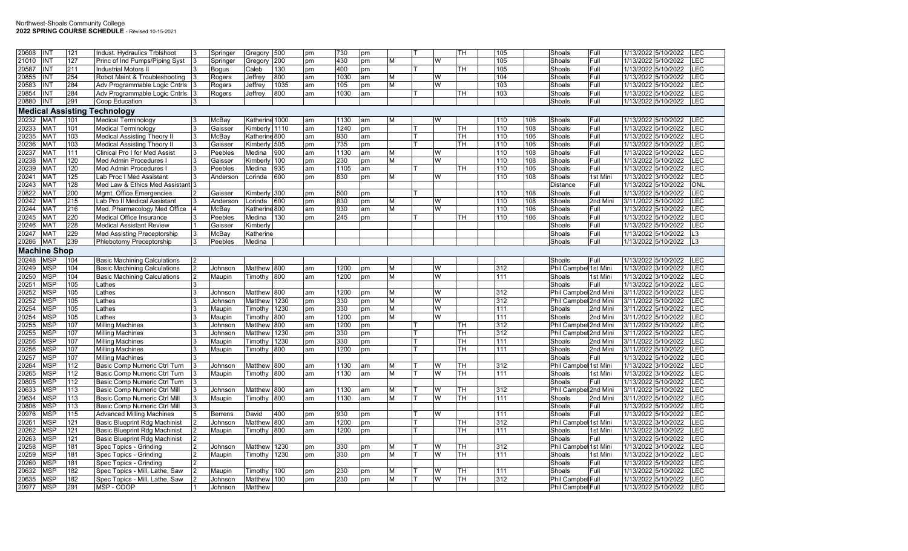## Northwest-Shoals Community College **2022 SPRING COURSE SCHEDULE** - Revised 10-15-2021

| 20608 | <b>INT</b>          | 121              | Indust. Hydraulics Trblshoot         |                | Springer       | Gregory 500    |      | pm | 730  | pm |   |   | TН  | 105 |     | Shoals                | Full     | LEC<br>1/13/2022 5/10/2022            |
|-------|---------------------|------------------|--------------------------------------|----------------|----------------|----------------|------|----|------|----|---|---|-----|-----|-----|-----------------------|----------|---------------------------------------|
| 21010 | <b>INT</b>          | 127              | Princ of Ind Pumps/Piping Syst       |                | Springer       | Gregory 200    |      | pm | 430  | pm | М | W |     | 105 |     | Shoals                | Full     | LEC<br>1/13/2022 5/10/2022            |
| 20587 | INT                 | 211              | <b>Industrial Motors II</b>          |                | <b>Bogus</b>   | Caleb          | 130  | pm | 400  | pm |   |   | TH. | 105 |     | Shoals                | Full     | 1/13/2022 5/10/2022<br>LEC            |
| 20855 | <b>INT</b>          | 254              | Robot Maint & Troubleshooting        |                | Rogers         | Jeffrey        | 800  | am | 1030 | am | М | W |     | 104 |     | Shoals                | Full     | LEC<br>1/13/2022 5/10/2022            |
| 20583 | <b>INT</b>          | 284              | Adv Programmable Logic Cntrls        |                | Rogers         | Jeffrey        | 1035 | am | 105  | pm | М | W |     | 103 |     | Shoals                | Full     | LEC<br>1/13/2022 5/10/2022            |
| 20854 | <b>INT</b>          | 284              | Adv Programmable Logic Cntrls        |                | Rogers         | Jeffrey        | 800  | am | 1030 | am |   |   | TН  | 103 |     | Shoals                | Full     | LEC<br>1/13/2022 5/10/2022            |
| 20880 | <b>INT</b>          | 291              | Coop Education                       |                |                |                |      |    |      |    |   |   |     |     |     | Shoals                | Full     | LEC<br>1/13/2022 5/10/2022            |
|       |                     |                  | <b>Medical Assisting Technology</b>  |                |                |                |      |    |      |    |   |   |     |     |     |                       |          |                                       |
| 20232 | MA <sub>1</sub>     | 101              | <b>Medical Terminology</b>           |                | McBay          | Katherine 1000 |      | am | 1130 | am | м | W |     | 110 | 106 | Shoals                | Full     | 1/13/2022 5/10/2022<br>LEC            |
|       | <b>MAT</b>          |                  |                                      |                |                |                |      | am | 1240 |    |   |   | TН  | 110 |     |                       | Full     | LEC<br>1/13/2022 5/10/2022            |
| 20233 |                     | 101              | <b>Medical Terminology</b>           |                | Gaisser        | Kimberly 1110  |      |    |      | pm |   |   |     |     | 108 | Shoals                |          |                                       |
| 20235 | <b>MAT</b>          | 103              | <b>Medical Assisting Theory II</b>   |                | McBay          | Katherine 800  |      | am | 930  | am |   |   | TН  | 110 | 106 | Shoals                | Full     | 1/13/2022 5/10/2022<br>LEC            |
| 20236 | MA <sub>1</sub>     | 103              | <b>Medical Assisting Theory II</b>   |                | Gaisser        | Kimberly 505   |      | pm | 735  | pm |   |   | ГH  | 110 | 106 | Shoals                | Full     | LEC<br>1/13/2022 5/10/2022            |
| 20237 | MA <sub>1</sub>     | 111              | <b>Clinical Pro I for Med Assist</b> |                | Peebles        | Medina         | 900  | am | 1130 | am | м | W |     | 110 | 108 | Shoals                | Full     | LEC<br>1/13/2022 5/10/2022            |
| 20238 | MA <sub>1</sub>     | 120              | Med Admin Procedures I               | l3             | Gaisser        | Kimberly       | 100  | pm | 230  | pm | М | W |     | 110 | 108 | Shoals                | Full     | LEC<br>1/13/2022 5/10/2022            |
| 20239 | MA <sub>1</sub>     | 120              | Med Admin Procedures                 |                | Peebles        | Medina         | 935  | am | 1105 | am |   |   | TН  | 110 | 106 | Shoals                | Full     | 1/13/2022 5/10/2022<br>LEC            |
| 20241 | <b>MAT</b>          | 125              | Lab Proc I Med Assistant             |                | Anderson       | Lorinda        | 600  | pm | 830  | pm | М | W |     | 110 | 108 | Shoals                | 1st Mini | LEC<br>1/13/2022 3/10/2022            |
| 20243 | MA <sub>1</sub>     | 128              | Med Law & Ethics Med Assistant 3     |                |                |                |      |    |      |    |   |   |     |     |     | Distance              | Full     | 1/13/2022 5/10/2022<br><b>ONL</b>     |
| 20822 | MA <sub>1</sub>     | 200              | Mgmt. Office Emergencies             |                | Gaisser        | Kimberly 300   |      | pm | 500  | pm |   |   |     | 110 | 108 | Shoals                | Full     | LEC<br>1/13/2022 5/10/2022            |
| 20242 | MA <sub>1</sub>     | 215              | Lab Pro II Medical Assistant         |                | Anderson       | Lorinda        | 600  | pm | 830  | pm | М | W |     | 110 | 108 | Shoals                | 2nd Mini | LEC<br>3/11/2022 5/10/2022            |
| 20244 | MA <sub>1</sub>     | 216              | Med. Pharmacology Med Office         |                | <b>McBav</b>   | Katherine 800  |      | am | 930  | am | М | W |     | 110 | 106 | Shoals                | Full     | 1/13/2022 5/10/2022<br>LEC            |
| 20245 | MA <sub>1</sub>     | 220              | Medical Office Insurance             |                | Peebles        | Medina         | 130  | pm | 245  | pm |   |   | TН  | 110 | 106 | Shoals                | Full     | E<br>1/13/2022 5/10/2022              |
| 20246 | MA <sub>1</sub>     | 228              | <b>Medical Assistant Review</b>      |                | Gaisser        | Kimberly       |      |    |      |    |   |   |     |     |     | Shoals                | Full     | 1/13/2022 5/10/2022<br>LEC            |
| 20247 | <b>MAT</b>          | 229              | Med Assisting Preceptorship          |                | McBay          | Katherine      |      |    |      |    |   |   |     |     |     | Shoals                | Full     | 1/13/2022 5/10/2022<br>L <sub>3</sub> |
| 20286 | MA <sub>1</sub>     | 239              | Phlebotomy Preceptorship             |                | Peebles        | Medina         |      |    |      |    |   |   |     |     |     | Shoals                | Full     | 1/13/2022 5/10/2022<br>L3             |
|       | <b>Machine Shop</b> |                  |                                      |                |                |                |      |    |      |    |   |   |     |     |     |                       |          |                                       |
|       |                     |                  |                                      |                |                |                |      |    |      |    |   |   |     |     |     |                       |          |                                       |
| 20248 | <b>MSP</b>          | 104              | <b>Basic Machining Calculations</b>  | $\overline{2}$ |                |                |      |    |      |    |   |   |     |     |     | Shoals                | Full     | 1/13/2022 5/10/2022<br><b>LEC</b>     |
| 20249 | <b>MSP</b>          | 104              | <b>Basic Machining Calculations</b>  |                | Johnson        | Matthew 800    |      | am | 1200 | pm | М | W |     | 312 |     | Phil Campbel 1st Mini |          | 1/13/2022 3/10/2022<br>LEC            |
| 20250 | <b>MSP</b>          | 104              | <b>Basic Machining Calculations</b>  | 2              | Maupin         | Timothy 800    |      | am | 1200 | pm | М | W |     | 111 |     | Shoals                | 1st Mini | LEC<br>1/13/2022 3/10/2022            |
| 20251 | <b>MSP</b>          | 105              | Lathes                               |                |                |                |      |    |      |    |   |   |     |     |     | Shoals                | Full     | 1/13/2022 5/10/2022<br>LEC            |
| 20252 | <b>MSP</b>          | 105              | Lathes                               |                | Johnson        | Matthew 800    |      | am | 1200 | pm | М | W |     | 312 |     | Phil Campbel 2nd Mini |          | 3/11/2022 5/10/2022<br>LEC            |
| 20252 | <b>MSP</b>          | 105              | Lathes                               | 3              | Johnson        | Matthew        | 1230 | pm | 330  | pm | М | W |     | 312 |     | Phil Campbel 2nd Mini |          | LEC<br>3/11/2022 5/10/2022            |
| 20254 | <b>MSP</b>          | 105              | Lathes                               |                | Maupin         | Timothy        | 1230 | pm | 330  | pm | М | W |     | 111 |     | Shoals                | 2nd Mini | 3/11/2022 5/10/2022<br>LEC            |
| 20254 | <b>MSP</b>          | 105              | Lathes                               |                | Maupin         | Timothy        | 800  | am | 1200 | pm | М | W |     | 111 |     | Shoals                | 2nd Mini | 3/11/2022 5/10/2022<br>LEC            |
| 20255 | <b>MSP</b>          | 107              | <b>Milling Machines</b>              |                | Johnson        | Matthew        | 800  | am | 1200 | pm |   |   | TН  | 312 |     | <b>Phil Campbe</b>    | 2nd Mini | 3/11/2022 5/10/2022<br>LEC            |
| 20255 | <b>MSP</b>          | 107              | <b>Milling Machines</b>              |                | Johnson        | Matthew        | 1230 | pm | 330  | pm |   |   | TН  | 312 |     | Phil Campbel 2nd Min  |          | LEC<br>3/11/2022 5/10/2022            |
| 20256 | <b>MSP</b>          | 107              | <b>Milling Machines</b>              |                | Maupin         | Timothy        | 1230 | pm | 330  | pm |   |   | ΓН  | 111 |     | Shoals                | 2nd Mini | 3/11/2022 5/10/2022<br>LEC            |
| 20256 | <b>MSP</b>          | 107              | <b>Milling Machines</b>              |                | Maupin         | Timothy        | 800  | am | 1200 | pm |   |   | TН  | 111 |     | Shoals                | 2nd Mini | 3/11/2022 5/10/2022<br>LEC            |
| 20257 | <b>MSP</b>          | 107              | <b>Milling Machines</b>              |                |                |                |      |    |      |    |   |   |     |     |     | Shoals                | Full     | 1/13/2022 5/10/2022<br>LEC            |
| 20264 | <b>MSP</b>          | $\overline{112}$ | Basic Comp Numeric Ctrl Turn         |                | Johnson        | Matthew 800    |      | am | 1130 | am | м | W | TH  | 312 |     | Phil Campbel 1st Mini |          | LEC<br>1/13/2022 3/10/2022            |
| 20265 | <b>MSP</b>          | 112              | Basic Comp Numeric Ctrl Turn         |                | Maupin         | Timothy 800    |      | am | 1130 | am | М | W | TН  | 111 |     | Shoals                | 1st Mini | 1/13/2022 3/10/2022<br>LEC            |
| 20805 | <b>MSP</b>          | 112              | Basic Comp Numeric Ctrl Turn         |                |                |                |      |    |      |    |   |   |     |     |     | Shoals                | Full     | 1/13/2022 5/10/2022<br>LEC            |
|       | <b>MSP</b>          | 113              |                                      |                |                |                |      | am |      | am | М | W |     |     |     |                       |          | LEC<br>3/11/2022 5/10/2022            |
| 20633 |                     |                  | Basic Comp Numeric Ctrl Mill         |                | Johnson        | Matthew 800    |      |    | 1130 |    |   |   | TН  | 312 |     | Phil Campbel 2nd Mini |          |                                       |
| 20634 | <b>MSP</b>          | 113              | Basic Comp Numeric Ctrl Mill         |                | Maupin         | Timothy        | 800  | am | 1130 | am | М | W | TН  | 111 |     | Shoals                | 2nd Mini | 3/11/2022 5/10/2022<br>LEC            |
| 20806 | <b>MSP</b>          | 113              | Basic Comp Numeric Ctrl Mill         |                |                |                |      |    |      |    |   |   |     |     |     | Shoals                | Full     | 1/13/2022 5/10/2022<br>LEC            |
| 20976 | <b>MSP</b>          | 115              | <b>Advanced Milling Machines</b>     |                | <b>Berrens</b> | David          | 400  | pm | 930  | pm |   | W |     | 111 |     | Shoals                | Full     | LEC<br>1/13/2022 5/10/2022            |
| 20261 | <b>MSP</b>          | 121              | <b>Basic Blueprint Rdg Machinist</b> |                | Johnson        | Matthew 800    |      | am | 1200 | pm |   |   | TН  | 312 |     | Phil Campbel 1st Mini |          | LEC<br>1/13/2022 3/10/2022            |
| 20262 | <b>MSP</b>          | 121              | <b>Basic Blueprint Rdg Machinist</b> |                | Maupin         | Timothy 800    |      | am | 1200 | pm |   |   | TН  | 111 |     | Shoals                | 1st Mini | 1/13/2022 3/10/2022<br>LEC            |
| 20263 | <b>MSP</b>          | 121              | <b>Basic Blueprint Rdg Machinist</b> | $\overline{2}$ |                |                |      |    |      |    |   |   |     |     |     | Shoals                | Full     | LEC<br>1/13/2022 5/10/2022            |
| 20258 | <b>MSP</b>          | 181              | Spec Topics - Grinding               |                | Johnson        | Matthew        | 1230 | pm | 330  | pm | м | W | TН  | 312 |     | Phil Campbel 1st Mini |          | LEC<br>1/13/2022 3/10/2022            |
| 20259 | <b>MSP</b>          | 181              | Spec Topics - Grinding               | 2              | Maupin         | Timothy        | 1230 | pm | 330  | pm | м | W | TН  | 111 |     | Shoals                | 1st Mini | LEC<br>1/13/2022 3/10/2022            |
| 20260 | <b>MSP</b>          | 181              | Spec Topics - Grinding               |                |                |                |      |    |      |    |   |   |     |     |     | Shoals                | Full     | LEC<br>1/13/2022 5/10/2022            |
| 20632 | <b>MSP</b>          | 182              | Spec Topics - Mill, Lathe, Saw       |                | Maupin         | Timothv        | 100  | pm | 230  | pm | м | W | TН  | 111 |     | Shoals                | Full     | 1/13/2022 5/10/2022<br>LEC            |
| 20635 | <b>MSP</b>          | 182              | Spec Topics - Mill, Lathe, Saw       |                | Johnson        | Matthew        | 100  | pm | 230  | pm | М | W | TН  | 312 |     | Phil Campbel Full     |          | LEC<br>1/13/2022 5/10/2022            |
| 20977 | <b>MSP</b>          | 291              | MSP - COOP                           |                | Johnson        | Matthew        |      |    |      |    |   |   |     |     |     | Phil Campbel Full     |          | 1/13/2022 5/10/2022<br>LEC            |
|       |                     |                  |                                      |                |                |                |      |    |      |    |   |   |     |     |     |                       |          |                                       |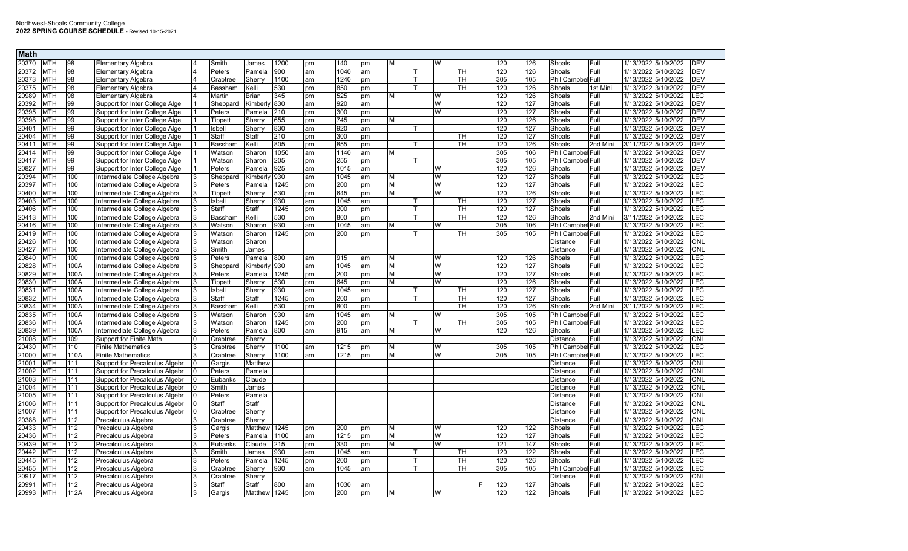| <b>Math</b>         |                  |                                       |          |              |      |    |      |    |   |   |    |                  |     |                   |          |                     |                 |
|---------------------|------------------|---------------------------------------|----------|--------------|------|----|------|----|---|---|----|------------------|-----|-------------------|----------|---------------------|-----------------|
| 20370<br><b>MTH</b> | 98               | Elementary Algebra                    | Smith    | James        | 1200 | pm | 140  | pm | м | W |    | 120              | 126 | Shoals            | Full     | 1/13/2022 5/10/2022 | <b>DEV</b>      |
| 20372<br><b>MTH</b> | 98               | <b>Elementary Algebra</b>             | Peters   | Pamela       | 900  | am | 1040 | am |   |   | TН | 120              | 126 | Shoals            | Full     | 1/13/2022 5/10/2022 | <b>DEV</b>      |
| 20373<br><b>MTH</b> | 98               | Elementary Algebra                    | Crabtree | Sherry       | 1100 | am | 1240 | pm |   |   | TН | 305              | 105 | Phil Campbel Full |          | 1/13/2022 5/10/2022 | <b>DEV</b>      |
| 20375<br><b>MTH</b> | 98               | Elementary Algebra                    | Bassham  | Kelli        | 530  | pm | 850  | pm |   |   | TН | 120              | 126 | Shoals            | 1st Mini | 1/13/2022 3/10/2022 | <b>DEV</b>      |
| 20989<br><b>MTH</b> | 98               | Elementary Algebra                    | Martin   | Brian        | 345  | pm | 525  | pm | м | W |    | 120              | 126 | Shoals            | Full     | 1/13/2022 5/10/2022 | LEC             |
| 20392<br><b>MTH</b> | 99               | Support for Inter College Alge        | Sheppard | Kimberly     | 830  | am | 920  | am |   | W |    | 120              | 127 | Shoals            | Full     | 1/13/2022 5/10/2022 | <b>DEV</b>      |
| 20395<br><b>MTH</b> | 99               | Support for Inter College Alge        | Peters   | Pamela       | 210  | pm | 300  | pm |   | W |    | 120              | 127 | Shoals            | Full     | 1/13/2022 5/10/2022 | <b>DEV</b>      |
| 20398<br><b>MTH</b> | 99               | Support for Inter College Alge        | Tippett  | Sherry       | 655  | pm | 745  | pm | M |   |    | 120              | 126 | Shoals            | Full     | 1/13/2022 5/10/2022 | <b>DEV</b>      |
| 20401<br><b>MTH</b> | 99               | Support for Inter College Alge        | Isbell   | Sherry       | 830  | am | 920  | am |   |   |    | 120              | 127 | Shoals            | Full     | 1/13/2022 5/10/2022 | <b>DEV</b>      |
| 20404<br><b>MTH</b> | 99               | Support for Inter College Alge        | Staff    | Staff        | 210  | pm | 300  | pm |   |   | тн | 120              | 127 | Shoals            | l Full   | 1/13/2022 5/10/2022 | <b>DEV</b>      |
| 20411<br><b>MTH</b> | 99               | Support for Inter College Alge        | Bassham  | Kelli        | 805  | pm | 855  | pm |   |   | TН | 120              | 126 | Shoals            | 2nd Mini | 3/11/2022 5/10/2022 | <b>DEV</b>      |
| 20414<br><b>MTH</b> | 99               | Support for Inter College Alge        | Watson   | Sharon       | 1050 | am | 1140 | am | м |   |    | 305              | 106 | Phil Campbel Full |          | 1/13/2022 5/10/2022 | <b>DEV</b>      |
| 20417<br><b>MTH</b> | 99               | Support for Inter College Alge        | Watson   | Sharon       | 205  | pm | 255  | pm |   |   |    | 305              | 105 | Phil Campbel Full |          | 1/13/2022 5/10/2022 | <b>DEV</b>      |
| <b>MTH</b><br>20827 | 99               | Support for Inter College Alge        | Peters   | Pamela       | 925  | am | 1015 | am |   | W |    | 120              | 126 | Shoals            | Full     | 1/13/2022 5/10/2022 | <b>DEV</b>      |
| 20394<br><b>MTH</b> | 100              | Intermediate College Algebra          | Sheppard | Kimberlv     | 930  | am | 1045 | am | M | W |    | 120              | 127 | Shoals            | Full     | 1/13/2022 5/10/2022 | E               |
| 20397<br><b>MTH</b> | 100              | Intermediate College Algebra          | Peters   | Pamela       | 1245 | pm | 200  | pm | M | W |    | 120              | 127 | Shoals            | Full     | 1/13/2022 5/10/2022 | LEC             |
| 20400<br><b>MTH</b> | 100              | Intermediate College Algebra          | Tippett  | Sherry       | 530  | pm | 645  | pm | M | W |    | $\overline{120}$ | 126 | Shoals            | Full     | 1/13/2022 5/10/2022 | E               |
| 20403<br><b>MTH</b> | 100              | Intermediate College Algebra          | Isbell   | Sherry       | 930  | am | 1045 | am |   |   | TH | 120              | 127 | Shoals            | Full     | 1/13/2022 5/10/2022 | LEC             |
| 20406<br><b>MTH</b> | 100              | Intermediate College Algebra          | Staff    | Staff        | 1245 | pm | 200  | pm |   |   | TН | 120              | 127 | Shoals            | Full     | 1/13/2022 5/10/2022 | LEC             |
| 20413<br><b>MTH</b> | 100              | Intermediate College Algebra          | Bassham  | Kelli        | 530  | pm | 800  | pm |   |   | TН | 120              | 126 | Shoals            | 2nd Mini | 3/11/2022 5/10/2022 | <b>EC</b>       |
| 20416<br><b>MTH</b> | 100              | Intermediate College Algebra          | Watson   | Sharon       | 930  | am | 1045 | am | м | W |    | 305              | 106 | Phil Campbel Full |          | 1/13/2022 5/10/2022 | LEC             |
| 20419<br><b>MTH</b> | 100              | Intermediate College Algebra          | Watson   | Sharon       | 1245 | pm | 200  | pm |   |   | TН | 305              | 105 | Phil Campbel Full |          | 1/13/2022 5/10/2022 | LEC             |
| 20426<br><b>MTH</b> | 100              | Intermediate College Algebra          | Watson   | Sharon       |      |    |      |    |   |   |    |                  |     | Distance          | Full     | 1/13/2022 5/10/2022 | ONL             |
| 20427<br><b>MTH</b> | 100              | Intermediate College Algebra          | Smith    | James        |      |    |      |    |   |   |    |                  |     | <b>Distance</b>   | Full     | 1/13/2022 5/10/2022 | ONL             |
| <b>MTH</b><br>20840 | 100              | Intermediate College Algebra          | Peters   | Pamela       | 800  | am | 915  | am | M | W |    | 120              | 126 | Shoals            | Full     | 1/13/2022 5/10/2022 | LEC             |
| <b>MTH</b><br>20828 | 100A             | Intermediate College Algebra          | Sheppard | Kimberlv     | 930  | am | 1045 | am | M | W |    | 120              | 127 | Shoals            | Full     | 1/13/2022 5/10/2022 | EC.             |
| <b>MTH</b><br>20829 | 100A             | Intermediate College Algebra          | Peters   | Pamela       | 1245 | pm | 200  | pm | M | W |    | 120              | 127 | Shoals            | Full     | 1/13/2022 5/10/2022 | LEC             |
| 20830<br><b>MTH</b> | 100A             | Intermediate College Algebra          | Tippett  | Sherry       | 530  | pm | 645  | pm | M | W |    | 120              | 126 | Shoals            | Full     | 1/13/2022 5/10/2022 | LEC             |
| <b>MTH</b><br>20831 | 100A             | Intermediate College Algebra          | Isbell   | Sherry       | 930  | am | 1045 | am |   |   | TН | 120              | 127 | Shoals            | Full     | 1/13/2022 5/10/2022 | $\overline{EC}$ |
| 20832<br><b>MTH</b> | 100A             | Intermediate College Algebra          | Staff    | Staff        | 1245 | pm | 200  | pm |   |   | TH | 120              | 127 | Shoals            | Full     | 1/13/2022 5/10/2022 | EC              |
| 20834<br><b>MTH</b> | 100A             | Intermediate College Algebra          | Bassham  | Kelli        | 530  | pm | 800  | pm |   |   | TН | 120              | 126 | Shoals            | 2nd Mini | 3/11/2022 5/10/2022 | LEC             |
| 20835<br><b>MTH</b> | 100A             | Intermediate College Algebra          | Watson   | Sharon       | 930  | am | 1045 | am | М | W |    | 305              | 105 | Phil Campbel Full |          | 1/13/2022 5/10/2022 | EC.             |
| 20836<br><b>MTH</b> | 100A             | Intermediate College Algebra          | Watson   | Sharon       | 1245 | pm | 200  | pm |   |   | TH | 305              | 105 | Phil Campbel Full |          | 1/13/2022 5/10/2022 | .EC             |
| 20839<br><b>MTH</b> | 100A             | Intermediate College Algebra          | Peters   | Pamela       | 800  | am | 915  | am | M | W |    | 120              | 126 | Shoals            | Full     | 1/13/2022 5/10/2022 | <b>EC</b>       |
| 21008<br><b>MTH</b> | 109              | Support for Finite Math               | Crabtree | Sherry       |      |    |      |    |   |   |    |                  |     | <b>Distance</b>   | Full     | 1/13/2022 5/10/2022 | ONL             |
| 20430<br><b>MTH</b> | 110              | <b>Finite Mathematics</b>             | Crabtree | Sherry       | 1100 | am | 1215 | pm | М | W |    | 305              | 105 | Phil Campbel Full |          | 1/13/2022 5/10/2022 | LEC             |
| <b>MTH</b><br>21000 | 110A             | <b>Finite Mathematics</b>             | Crabtree | Sherry       | 1100 | am | 1215 | pm | M | W |    | 305              | 105 | Phil Campbel Full |          | 1/13/2022 5/10/2022 | <b>EC</b>       |
| 21001<br><b>MTH</b> | 111              | Support for Precalculus Algebr        | Gargis   | Matthew      |      |    |      |    |   |   |    |                  |     | Distance          | Full     | 1/13/2022 5/10/2022 | ONL             |
| <b>MTH</b><br>21002 | 111              | Support for Precalculus Algebr        | Peters   | Pamela       |      |    |      |    |   |   |    |                  |     | Distance          | Full     | 1/13/2022 5/10/2022 | <b>ONL</b>      |
| <b>MTH</b><br>21003 | 111              | <b>Support for Precalculus Algebr</b> | Eubanks  | Claude       |      |    |      |    |   |   |    |                  |     | <b>Distance</b>   | Full     | 1/13/2022 5/10/2022 | ONL             |
| <b>MTH</b><br>21004 | 111              | <b>Support for Precalculus Algebr</b> | Smith    | James        |      |    |      |    |   |   |    |                  |     | Distance          | Full     | 1/13/2022 5/10/2022 | ONL             |
| <b>MTH</b><br>21005 | 111              | Support for Precalculus Algebr        | Peters   | Pamela       |      |    |      |    |   |   |    |                  |     | <b>Distance</b>   | Full     | 1/13/2022 5/10/2022 | ONL             |
| 21006<br><b>MTH</b> | 111              | Support for Precalculus Algebr        | Staff    | Staff        |      |    |      |    |   |   |    |                  |     | <b>Distance</b>   | Full     | 1/13/2022 5/10/2022 | ONL             |
| 21007<br><b>MTH</b> | 111              | Support for Precalculus Algebr        | Crabtree | Sherry       |      |    |      |    |   |   |    |                  |     | Distance          | Full     | 1/13/2022 5/10/2022 | <b>ONL</b>      |
| 20388<br><b>MTH</b> | $\overline{112}$ | Precalculus Algebra                   | Crabtree | Sherry       |      |    |      |    |   |   |    |                  |     | Distance          | Full     | 1/13/2022 5/10/2022 | ONL             |
| 20433<br><b>MTH</b> | 112              | Precalculus Algebra                   | Gargis   | Matthew      | 1245 | pm | 200  | pm | м | W |    | 120              | 122 | Shoals            | Full     | 1/13/2022 5/10/2022 | LEC             |
| 20436<br><b>MTH</b> | 112              | Precalculus Algebra                   | Peters   | Pamela       | 1100 | am | 1215 | pm | м | W |    | 120              | 127 | Shoals            | Full     | 1/13/2022 5/10/2022 | LEC             |
| 20439<br><b>MTH</b> | 112              | Precalculus Algebra                   | Eubanks  | Claude       | 215  | pm | 330  | pm | M | W |    | 121              | 147 | Shoals            | Full     | 1/13/2022 5/10/2022 | <b>EC</b>       |
| 20442<br><b>MTH</b> | 112              | Precalculus Algebra                   | Smith    | James        | 930  | am | 1045 | am |   |   | TН | 120              | 122 | Shoals            | Full     | 1/13/2022 5/10/2022 | LEC             |
| 20445<br><b>MTH</b> | 112              | Precalculus Algebra                   | Peters   | Pamela       | 1245 | pm | 200  | pm |   |   | TН | 120              | 126 | Shoals            | Full     | 1/13/2022 5/10/2022 | LEC             |
| <b>MTH</b><br>20455 | 112              | Precalculus Algebra                   | Crabtree | Sherry       | 930  | am | 1045 | am |   |   | TН | 305              | 105 | Phil Campbel Full |          | 1/13/2022 5/10/2022 | EC.             |
| 20917<br>MTH        | 112              | Precalculus Algebra                   | Crabtree | Sherry       |      |    |      |    |   |   |    |                  |     | Distance          | Full     | 1/13/2022 5/10/2022 | ONL             |
| 20991<br><b>MTH</b> | 112              | Precalculus Algebra                   | Staff    | Staff        | 800  | am | 1030 | am |   |   |    | 120              | 127 | Shoals            | Full     | 1/13/2022 5/10/2022 | LEC             |
| 20993<br><b>MTH</b> | 112A             | Precalculus Algebra                   | Gargis   | Matthew 1245 |      | pm | 200  | pm | м | W |    | 120              | 122 | Shoals            | Full     | 1/13/2022 5/10/2022 | LEC             |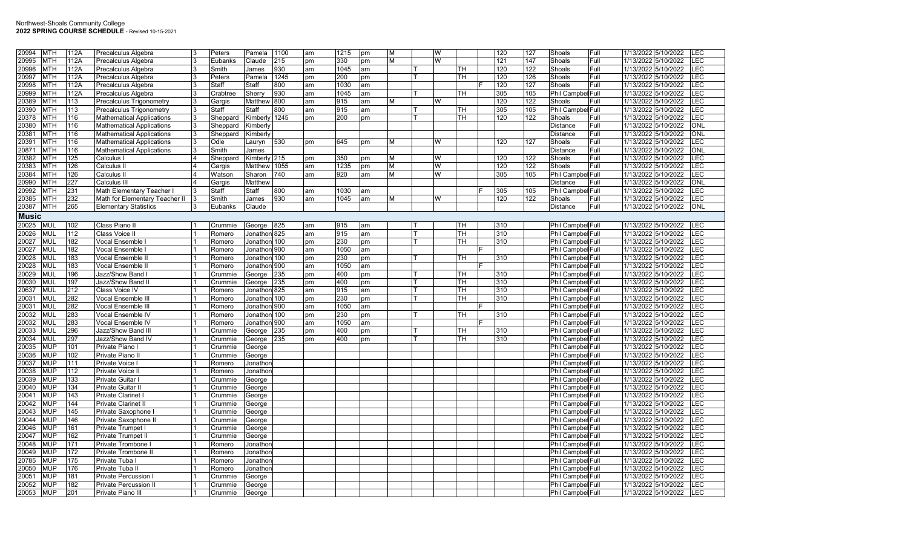| 20994        | <b>MTH</b> | 112A             | Precalculus Algebra                    |   | Peters   | Pamela        | 1100 | am | 1215 | pm | M | W |          | 120 | 127 | Shoals                   | Full | 1/13/2022 5/10/2022 | LEC        |
|--------------|------------|------------------|----------------------------------------|---|----------|---------------|------|----|------|----|---|---|----------|-----|-----|--------------------------|------|---------------------|------------|
| 20995        | <b>MTH</b> | 112A             | Precalculus Algebra                    |   | Eubanks  | Claude        | 215  | pm | 330  | pm | M | W |          | 121 | 147 | Shoals                   | Full | 1/13/2022 5/10/2022 | <b>LEC</b> |
| 20996        | <b>MTH</b> | 112A             | Precalculus Algebra                    |   | Smith    | James         | 930  | am | 1045 | am |   |   | TН       | 120 | 122 | Shoals                   | Full | 1/13/2022 5/10/2022 | <b>EC</b>  |
| 20997        | <b>MTH</b> | 112A             | Precalculus Algebra                    |   | Peters   | Pamela        | 1245 | pm | 200  | pm |   |   | TН       | 120 | 126 | Shoals                   | Full | 1/13/2022 5/10/2022 | LEC        |
| 20998        | <b>MTH</b> | 112A             | Precalculus Algebra                    |   | Staff    | Staff         | 800  | am | 1030 | am |   |   |          | 120 | 127 | Shoals                   | Full | 1/13/2022 5/10/2022 | <b>LEC</b> |
| 20999        | <b>MTH</b> | 112A             | Precalculus Algebra                    |   | Crabtree | Sherry        | 930  | am | 1045 | am |   |   | TН       | 305 | 105 | Phil Campbel Full        |      | 1/13/2022 5/10/2022 | <b>EC</b>  |
| 20389        | <b>MTH</b> | 113              | Precalculus Trigonometry               |   | Gargis   | Matthew       | 800  | am | 915  | am | м | W |          | 120 | 122 | Shoals                   | Full | 1/13/2022 5/10/2022 | LEC        |
| 20390        | <b>MTH</b> | 113              | Precalculus Trigonometry               |   | Staff    | Staff         | 800  | am | 915  | am |   |   | TН       | 305 | 105 | Phil Campbel Full        |      | 1/13/2022 5/10/2022 | LEC        |
| 20378        | <b>MTH</b> | 116              | <b>Mathematical Applications</b>       |   | Sheppard | Kimberly 1245 |      | pm | 200  | pm |   |   | TН       | 120 | 122 | Shoals                   | Full | 1/13/2022 5/10/2022 | LEC        |
| 20380        | <b>MTH</b> | 116              | <b>Mathematical Applications</b>       | 3 | Sheppard | Kimberly      |      |    |      |    |   |   |          |     |     | Distance                 | Full | 1/13/2022 5/10/2022 | ONL        |
| 20381        | <b>MTH</b> | 116              | <b>Mathematical Applications</b>       | 3 | Sheppard | Kimberly      |      |    |      |    |   |   |          |     |     | <b>Distance</b>          | Full | 1/13/2022 5/10/2022 | ONL        |
| 20391        | <b>MTH</b> | 116              | <b>Mathematical Applications</b>       |   | Odle     | Lauryn        | 530  | pm | 645  | pm | М | W |          | 120 | 127 | Shoals                   | Full | 1/13/2022 5/10/2022 | LEC        |
| 20871        | <b>MTH</b> | 116              | <b>Mathematical Applications</b>       | 3 | Smith    | James         |      |    |      |    |   |   |          |     |     | Distance                 | Full | 1/13/2022 5/10/2022 | <b>ONL</b> |
| 20382        | <b>MTH</b> | 125              | Calculus I                             |   | Sheppard | Kimberly 215  |      | pm | 350  | pm | M | W |          | 120 | 122 | Shoals                   | Full | 1/13/2022 5/10/2022 | LEC        |
| 20383        | <b>MTH</b> | 126              | Calculus II                            |   | Gargis   | Matthew 1055  |      | am | 1235 | pm | М | W |          | 120 | 122 | Shoals                   | Full | 1/13/2022 5/10/2022 | <b>EC</b>  |
| 20384        | <b>MTH</b> | 126              | Calculus II                            |   | Watson   | Sharon        | 740  | am | 920  | am | M | W |          | 305 | 105 | Phil Campbel Full        |      | 1/13/2022 5/10/2022 | <b>LEC</b> |
| 20990        | <b>MTH</b> | 227              | Calculus III                           |   | Gargis   | Matthew       |      |    |      |    |   |   |          |     |     | Distance                 | Full | 1/13/2022 5/10/2022 | <b>ONL</b> |
| 20992        | <b>MTH</b> | 231              | Math Elementary Teacher I              |   | Staff    | Staff         | 800  | am | 1030 | am |   |   |          | 305 | 105 | Phil Campbel Full        |      | 1/13/2022 5/10/2022 | LEC        |
| 20385        | <b>MTH</b> | 232              | Math for Elementary Teacher II         |   | Smith    | James         | 930  | am | 1045 | am | M | W |          | 120 | 122 | Shoals                   | Full | 1/13/2022 5/10/2022 | LEC        |
| 20387        | <b>MTH</b> | 265              | <b>Elementary Statistics</b>           |   | Eubanks  | Claude        |      |    |      |    |   |   |          |     |     | Distance                 | Full | 1/13/2022 5/10/2022 | <b>ONL</b> |
|              |            |                  |                                        |   |          |               |      |    |      |    |   |   |          |     |     |                          |      |                     |            |
| <b>Music</b> |            |                  |                                        |   |          |               |      |    |      |    |   |   |          |     |     |                          |      |                     |            |
| 20025        | <b>MUI</b> | 102              | Class Piano II                         |   | Crummie  | George        | 825  | am | 915  | am |   |   | TН       | 310 |     | Phil Campbel Full        |      | 1/13/2022 5/10/2022 | <b>LEC</b> |
| 20026        | <b>MUL</b> | 112              | Class Voice II                         |   | Romero   | Jonathon 825  |      | am | 915  | am |   |   | TН       | 310 |     | Phil Campbel Full        |      | 1/13/2022 5/10/2022 | LEC        |
| 20027        | <b>MUL</b> | 182              | Vocal Ensemble                         |   | Romero   | Jonathon 100  |      | pm | 230  | pm |   |   | TН       | 310 |     | Phil Campbel Full        |      | 1/13/2022 5/10/2022 | LEC        |
| 20027        | <b>MUL</b> | 182              | Vocal Ensemble                         |   | Romero   | Jonathon 900  |      | am | 1050 | am |   |   |          |     |     | Phil Campbel Full        |      | 1/13/2022 5/10/2022 | LEC        |
| 20028        | <b>MUL</b> | 183              | <b>Vocal Ensemble II</b>               |   | Romero   | Jonathon 100  |      | pm | 230  | pm |   |   | TН       | 310 |     | Phil Campbel Full        |      | 1/13/2022 5/10/2022 | LEC        |
| 20028        | <b>MUL</b> | 183              | Vocal Ensemble II                      |   | Romero   | Jonathon 900  |      | am | 1050 | am |   |   |          |     |     | Phil Campbel Full        |      | 1/13/2022 5/10/2022 | LEC        |
| 20029        | <b>MUL</b> | 196              | Jazz/Show Band                         |   | Crummie  | George        | 235  | pm | 400  | pm |   |   | TН       | 310 |     | Phil Campbel Full        |      | 1/13/2022 5/10/2022 | LEC        |
| 20030        | <b>MUI</b> | 197              | Jazz/Show Band II                      |   | Crummie  | George        | 235  | pm | 400  | pm |   |   | TН       | 310 |     | <b>Phil Campbel Full</b> |      | 1/13/2022 5/10/2022 | LEC        |
| 20637        | <b>MUL</b> | 212              | Class Voice IV                         |   | Romero   | Jonathon      | 825  | am | 915  | am |   |   | TН       | 310 |     | Phil Campbel Full        |      | 1/13/2022 5/10/2022 | LEC        |
| 20031        | <b>MUL</b> | 282              | Vocal Ensemble III                     |   | Romero   | Jonathon 100  |      | pm | 230  | pm |   |   | TН       | 310 |     | Phil Campbel Full        |      | 1/13/2022 5/10/2022 | LEC        |
| 20031        | <b>NUL</b> | 282              | Vocal Ensemble III                     |   | Romero   | Jonathon 900  |      | am | 1050 | am |   |   |          |     |     | Phil Campbel Full        |      | 1/13/2022 5/10/2022 | LEC        |
| 20032        | <b>MUI</b> | 283              | <b>Vocal Ensemble IV</b>               |   | Romero   | Jonathon 100  |      | pm | 230  | pm |   |   | TH       | 310 |     | Phil Campbel Full        |      | 1/13/2022 5/10/2022 | LEC        |
| 20032        | <b>MUI</b> | 283              | Vocal Ensemble IV                      |   | Romero   | Jonathon 900  |      | am | 1050 | am |   |   |          |     |     | Phil Campbel Full        |      | 1/13/2022 5/10/2022 | LEC        |
| 20033        | <b>MUL</b> | 296              |                                        |   |          |               |      |    | 400  |    |   |   |          | 310 |     | Phil Campbel Full        |      | 1/13/2022 5/10/2022 | LEC        |
| 20034        | <b>MUI</b> | 297              | Jazz/Show Band II<br>Jazz/Show Band IV |   | Crummie  | George        | 235  | pm | 400  | pm |   |   | TН<br>TН | 310 |     | Phil Campbel Full        |      | 1/13/2022 5/10/2022 | LEC        |
|              |            |                  |                                        |   | Crummie  | George        | 235  | pm |      | pm |   |   |          |     |     |                          |      |                     |            |
| 20035        | <b>MUP</b> | 101              | Private Piano                          |   | Crummie  | George        |      |    |      |    |   |   |          |     |     | Phil Campbel Full        |      | 1/13/2022 5/10/2022 | <b>EC</b>  |
| 20036        | <b>MUP</b> | 102              | Private Piano I                        |   | Crummie  | George        |      |    |      |    |   |   |          |     |     | <b>Phil Campbel Full</b> |      | 1/13/2022 5/10/2022 | LEC        |
| 20037        | <b>MUF</b> | 111              | Private Voice                          |   | Romero   | Jonathor      |      |    |      |    |   |   |          |     |     | Phil Campbel Full        |      | 1/13/2022 5/10/2022 | LEC        |
| 20038        | <b>MUF</b> | $\overline{112}$ | Private Voice I                        |   | Romero   | Jonathor      |      |    |      |    |   |   |          |     |     | Phil Campbel Full        |      | 1/13/2022 5/10/2022 | $E$ C      |
| 20039        | <b>MUP</b> | 133              | Private Guitar                         |   | Crummie  | George        |      |    |      |    |   |   |          |     |     | Phil Campbel Full        |      | 1/13/2022 5/10/2022 | LEC        |
| 20040        | <b>MUP</b> | 134              | Private Guitar II                      |   | Crummie  | George        |      |    |      |    |   |   |          |     |     | Phil Campbel Full        |      | 1/13/2022 5/10/2022 | LEC        |
| 20041        | <b>MUP</b> | $\overline{143}$ | Private Clarinet                       |   | Crummie  | George        |      |    |      |    |   |   |          |     |     | Phil Campbel Full        |      | 1/13/2022 5/10/2022 | LEC        |
| 20042        | <b>MUP</b> | 144              | <b>Private Clarinet II</b>             |   | Crummie  | George        |      |    |      |    |   |   |          |     |     | Phil Campbel Full        |      | 1/13/2022 5/10/2022 | LEC        |
| 20043        | <b>MUP</b> | 145              | Private Saxophone                      |   | Crummie  | George        |      |    |      |    |   |   |          |     |     | Phil Campbel Full        |      | 1/13/2022 5/10/2022 | LEC        |
| 20044        | <b>MUP</b> | 146              | Private Saxophone II                   |   | Crummie  | George        |      |    |      |    |   |   |          |     |     | Phil Campbel Full        |      | 1/13/2022 5/10/2022 | LEC        |
| 20046        | <b>MUP</b> | 161              | <b>Private Trumpet</b>                 |   | Crummie  | George        |      |    |      |    |   |   |          |     |     | Phil Campbel Full        |      | 1/13/2022 5/10/2022 | LEC        |
| 20047        | <b>MUP</b> | 162              | Private Trumpet II                     |   | Crummie  | George        |      |    |      |    |   |   |          |     |     | Phil Campbel Full        |      | 1/13/2022 5/10/2022 | LEC        |
| 20048        | <b>MUP</b> | 171              | Private Trombone                       |   | Romero   | Jonathor      |      |    |      |    |   |   |          |     |     | Phil Campbel Full        |      | 1/13/2022 5/10/2022 | LEC        |
| 20049        | <b>MUP</b> | 172              | Private Trombone II                    |   | Romero   | Jonathor      |      |    |      |    |   |   |          |     |     | Phil Campbel Full        |      | 1/13/2022 5/10/2022 | LEC        |
| 20785        | <b>MUP</b> | 175              | Private Tuba                           |   | Romero   | Jonathon      |      |    |      |    |   |   |          |     |     | Phil Campbel Full        |      | 1/13/2022 5/10/2022 | LEC        |
| 20050        | <b>MUP</b> | 176              | Private Tuba II                        |   | Romero   | Jonathor      |      |    |      |    |   |   |          |     |     | Phil Campbel Full        |      | 1/13/2022 5/10/2022 | LEC        |
| 20051        | <b>MUP</b> | 181              | Private Percussion                     |   | Crummie  | George        |      |    |      |    |   |   |          |     |     | Phil Campbel Full        |      | 1/13/2022 5/10/2022 | LEC        |
| 20052        | <b>MUP</b> | 182              | <b>Private Percussion II</b>           |   | Crummie  | George        |      |    |      |    |   |   |          |     |     | Phil Campbel Full        |      | 1/13/2022 5/10/2022 | LEC        |
| 20053        | <b>MUP</b> | 201              | Private Piano III                      |   | Crummie  | George        |      |    |      |    |   |   |          |     |     | Phil Campbel Full        |      | 1/13/2022 5/10/2022 | <b>LEC</b> |
|              |            |                  |                                        |   |          |               |      |    |      |    |   |   |          |     |     |                          |      |                     |            |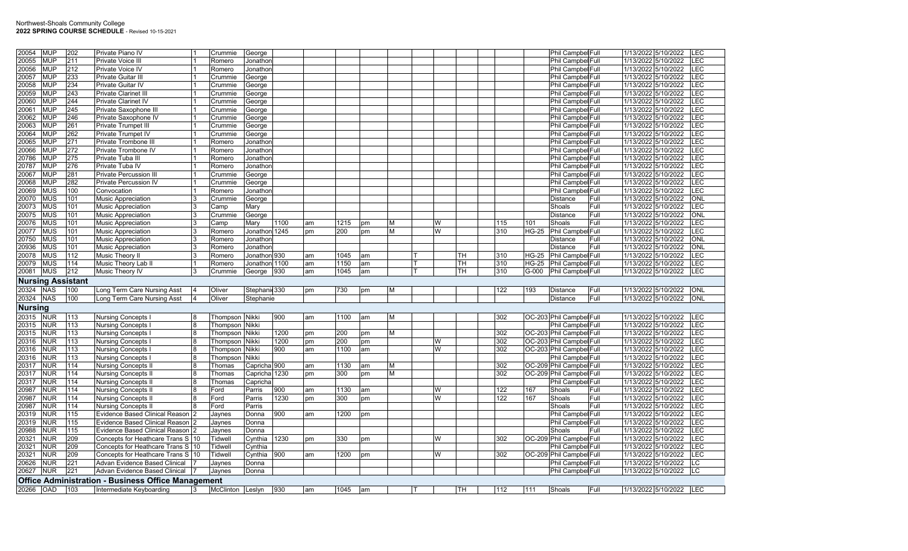| 20054          | <b>MUP</b> | 202                      | Private Piano IV                                                                      |                | Crummie          | George                  |                  |    |      |    |          |   |     |     |              | Phil Campbel Full        | 1/13/2022 5/10/2022     | LEC        |
|----------------|------------|--------------------------|---------------------------------------------------------------------------------------|----------------|------------------|-------------------------|------------------|----|------|----|----------|---|-----|-----|--------------|--------------------------|-------------------------|------------|
| 20055          | MUP        | 211                      | Private Voice III                                                                     |                | Romero           | Jonathon                |                  |    |      |    |          |   |     |     |              | Phil Campbel Full        | 1/13/2022 5/10/2022     | LEC        |
| 20056          | <b>MUP</b> | 212                      | Private Voice IV                                                                      |                | Romero           | Jonathon                |                  |    |      |    |          |   |     |     |              | Phil Campbel Full        | 1/13/2022 5/10/2022     | <b>LEC</b> |
| 20057          | <b>MUP</b> | 233                      | Private Guitar III                                                                    |                | Crummie          | George                  |                  |    |      |    |          |   |     |     |              | Phil Campbel Full        | 1/13/2022 5/10/2022     | <b>LEC</b> |
| 20058          | <b>MUP</b> | 234                      | Private Guitar IV                                                                     |                | Crummie          | George                  |                  |    |      |    |          |   |     |     |              | Phil Campbel Full        | 1/13/2022 5/10/2022     | <b>LEC</b> |
| 20059          | MUP        | 243                      | Private Clarinet III                                                                  |                | Crummie          | George                  |                  |    |      |    |          |   |     |     |              | Phil Campbel Full        | 1/13/2022 5/10/2022     | <b>LEC</b> |
| 20060          | <b>MUP</b> | 244                      | Private Clarinet IV                                                                   |                | Crummie          | George                  |                  |    |      |    |          |   |     |     |              | Phil Campbel Full        | 1/13/2022 5/10/2022     | LEC        |
| 20061          | <b>MUP</b> | 245                      | Private Saxophone III                                                                 |                | Crummie          | George                  |                  |    |      |    |          |   |     |     |              | Phil Campbel Full        | 1/13/2022 5/10/2022     | <b>LEC</b> |
| 20062          | MUP        | 246                      | Private Saxophone IV                                                                  |                | Crummie          | George                  |                  |    |      |    |          |   |     |     |              | Phil Campbel Full        | 1/13/2022 5/10/2022     | <b>LEC</b> |
| 20063          | <b>MUP</b> | 261                      | Private Trumpet III                                                                   |                | Crummie          | George                  |                  |    |      |    |          |   |     |     |              | Phil Campbel Full        | 1/13/2022 5/10/2022     | <b>LEC</b> |
| 20064          | MUP        | 262                      | Private Trumpet IV                                                                    |                | Crummie          | George                  |                  |    |      |    |          |   |     |     |              | Phil Campbel Full        | 1/13/2022 5/10/2022     | <b>LEC</b> |
| 20065          | <b>MUP</b> | 271                      | Private Trombone II                                                                   |                | Romero           | Jonathon                |                  |    |      |    |          |   |     |     |              | Phil Campbel Full        | 1/13/2022 5/10/2022     | <b>LEC</b> |
| 20066          | <b>MUP</b> | 272                      | Private Trombone IV                                                                   |                | Romero           | Jonathon                |                  |    |      |    |          |   |     |     |              | Phil Campbel Full        | 1/13/2022 5/10/2022     | <b>LEC</b> |
| 20786          | MUP        | 275                      | Private Tuba III                                                                      |                | Romero           | Jonathon                |                  |    |      |    |          |   |     |     |              | Phil Campbel Full        | 1/13/2022 5/10/2022     | <b>LEC</b> |
| 20787          | MUP        | 276                      | Private Tuba IV                                                                       |                | Romero           | Jonathon                |                  |    |      |    |          |   |     |     |              | Phil Campbel Full        | 1/13/2022 5/10/2022     | <b>LEC</b> |
| 20067          | <b>MUP</b> | 281                      | Private Percussion III                                                                |                | Crummie          | George                  |                  |    |      |    |          |   |     |     |              | Phil Campbel Full        | 1/13/2022 5/10/2022     | <b>LEC</b> |
| 20068          | <b>MUP</b> | 282                      | <b>Private Percussion IV</b>                                                          |                | Crummie          | George                  |                  |    |      |    |          |   |     |     |              | Phil Campbel Full        | 1/13/2022 5/10/2022     | <b>LEC</b> |
| 20069          | <b>MUS</b> | 100                      | Convocation                                                                           |                | Romero           | Jonathon                |                  |    |      |    |          |   |     |     |              | Phil Campbel Full        | 1/13/2022 5/10/2022     | <b>LEC</b> |
| 20070          | <b>MUS</b> | 101                      | Music Appreciation                                                                    | 3              | Crummie          | George                  |                  |    |      |    |          |   |     |     |              | Distance<br>Full         | 1/13/2022 5/10/2022     | <b>ONL</b> |
| 20073          | <b>MUS</b> | 101                      | <b>Music Appreciation</b>                                                             | Ι3             | Camp             | Mary                    |                  |    |      |    |          |   |     |     |              | Shoals<br>Full           | 1/13/2022 5/10/2022     | <b>LEC</b> |
| 20075          | <b>MUS</b> | 101                      | <b>Music Appreciation</b>                                                             | Ι3             | Crummie          | George                  |                  |    |      |    |          |   |     |     |              | Distance<br>Full         | 1/13/2022 5/10/2022     | <b>ONL</b> |
|                | <b>MUS</b> | 101                      |                                                                                       |                |                  |                         | 1100             |    |      |    |          | W |     | 115 |              | Full                     | 1/13/2022 5/10/2022     | LEC        |
| 20076          |            |                          | <b>Music Appreciation</b>                                                             | 3              | Camp             | Mary                    |                  | am | 1215 | pm | M        |   |     | 310 | 101          | Shoals                   |                         |            |
| 20077          | <b>MUS</b> | 101                      | <b>Music Appreciation</b>                                                             |                | Romero           | Jonathon 1245           |                  | pm | 200  | pm | <b>M</b> | W |     |     | <b>HG-25</b> | Phil Campbel Full        | 1/13/2022 5/10/2022     | LEC        |
| 20750          | <b>MUS</b> | 101                      | Music Appreciation                                                                    | 3              | Romero           | Jonathon                |                  |    |      |    |          |   |     |     |              | Distance<br>Full         | 1/13/2022 5/10/2022     | <b>ONL</b> |
| 20936          | <b>MUS</b> | 101                      | <b>Music Appreciation</b>                                                             |                | Romero           | Jonathon                |                  |    |      |    |          |   |     |     |              | <b>Distance</b><br>Full  | 1/13/2022 5/10/2022     | ONL        |
| 20078          | <b>MUS</b> | 112                      | <b>Music Theory II</b>                                                                |                | Romero           | Jonathon 930            |                  | am | 1045 | am |          |   | TH. | 310 | <b>HG-25</b> | Phil Campbel Full        | 1/13/2022 5/10/2022     | <b>LEC</b> |
| 20079          | <b>MUS</b> | 114                      | Music Theory Lab II                                                                   |                | Romero           | Jonathon 1100           |                  | am | 1150 | am |          |   | TH  | 310 |              | HG-25 Phil Campbel Full  | 1/13/2022 5/10/2022     | <b>LEC</b> |
| 20081          | <b>MUS</b> | 212                      | Music Theory IV                                                                       | 3              | Crummie          | George 930              |                  | am | 1045 | am |          |   | TH. | 310 | $G-000$      | Phil Campbel Full        | 1/13/2022 5/10/2022     | LEC        |
|                |            | <b>Nursing Assistant</b> |                                                                                       |                |                  |                         |                  |    |      |    |          |   |     |     |              |                          |                         |            |
| 20324          | <b>NAS</b> | 100                      |                                                                                       |                |                  |                         |                  |    |      |    |          |   |     |     |              |                          |                         |            |
|                |            |                          |                                                                                       | 14             | Oliver           | Stephanic 330           |                  | pm | 730  | pm | M        |   |     | 122 | 193          | <b>Distance</b><br>Full  | 1/13/2022 5/10/2022     | <b>ONL</b> |
| 20324          | <b>NAS</b> | 100                      | Long Term Care Nursing Asst<br>Long Term Care Nursing Asst                            |                | Oliver           | Stephanie               |                  |    |      |    |          |   |     |     |              | <b>Distance</b><br>Full  | 1/13/2022 5/10/2022     | ONL        |
|                |            |                          |                                                                                       |                |                  |                         |                  |    |      |    |          |   |     |     |              |                          |                         |            |
| <b>Nursing</b> |            |                          |                                                                                       |                |                  |                         |                  |    |      |    |          |   |     |     |              |                          |                         |            |
| 20315          | <b>NUR</b> | 113                      | Nursing Concepts                                                                      | 8              | Thompson Nikki   |                         | 900              | am | 1100 | am | M        |   |     | 302 |              | OC-203 Phil Campbel Full | 1/13/2022 5/10/2022     | LEC        |
| 20315          | <b>NUR</b> | 113                      | <b>Nursing Concepts</b>                                                               |                | Thompson Nikki   |                         |                  |    |      |    |          |   |     |     |              | Phil Campbel Full        | 1/13/2022 5/10/2022     | <b>LEC</b> |
| 20315          | <b>NUR</b> | 113                      | Nursing Concepts                                                                      |                | Thompson Nikki   |                         | 1200             | pm | 200  | pm | M        |   |     | 302 |              | OC-203 Phil Campbel Full | 1/13/2022 5/10/2022     | <b>LEC</b> |
| 20316          | <b>NUR</b> | 113                      | <b>Nursing Concepts</b>                                                               | $\overline{8}$ | Thompson Nikki   |                         | 1200             | pm | 200  | pm |          | W |     | 302 |              | OC-203 Phil Campbel Full | 1/13/2022 5/10/2022     | <b>LEC</b> |
| 20316          | <b>NUR</b> | 113                      | <b>Nursing Concepts</b>                                                               | $\overline{8}$ | Thompson Nikki   |                         | 900              | am | 1100 | am |          | W |     | 302 |              | OC-203 Phil Campbel Full | 1/13/2022 5/10/2022     | <b>LEC</b> |
| 20316          | <b>NUR</b> | 113                      | <b>Nursing Concepts I</b>                                                             |                | Thompson         | Nikki                   |                  |    |      |    |          |   |     |     |              | Phil Campbel Full        | 1/13/2022 5/10/2022     | <b>LEC</b> |
| 20317          | <b>NUR</b> | 114                      | <b>Nursing Concepts II</b>                                                            | $\overline{8}$ | Thomas           | Capricha <sup>900</sup> |                  | am | 1130 | am | ΙM       |   |     | 302 |              | OC-209 Phil Campbel Full | 1/13/2022 5/10/2022     | <b>LEC</b> |
| 20317          | NUR        | 114                      | <b>Nursing Concepts II</b>                                                            | 8              | Thomas           | Capricha 1230           |                  | pm | 300  | pm | M        |   |     | 302 |              | OC-209 Phil Campbel Full | 1/13/2022 5/10/2022     | <b>LEC</b> |
| 20317          | NUR        | 114                      | <b>Nursing Concepts II</b>                                                            |                | Thomas           | Capricha                |                  |    |      |    |          |   |     |     |              | Phil Campbel Full        | 1/13/2022 5/10/2022     | <b>LEC</b> |
| 20987          | <b>NUR</b> | 114                      | <b>Nursing Concepts II</b>                                                            | $\overline{8}$ | Ford             | Parris                  | 900              | am | 1130 | am |          | W |     | 122 | 167          | Shoals<br>Full           | 1/13/2022 5/10/2022     | <b>LEC</b> |
| 20987          | <b>NUR</b> | 114                      | <b>Nursing Concepts II</b>                                                            | 8              | Ford             | Parris                  | 1230             | pm | 300  | pm |          | W |     | 122 | 167          | Shoals<br>Full           | 1/13/2022 5/10/2022     | <b>LEC</b> |
| 20987          | <b>NUR</b> | 114                      | <b>Nursing Concepts II</b>                                                            |                | Ford             | Parris                  |                  |    |      |    |          |   |     |     |              | Shoals<br>Full           | 1/13/2022 5/10/2022     | <b>LEC</b> |
| 20319          | NUR        | 115                      | <b>Evidence Based Clinical Reason</b>                                                 |                | Jaynes           | Donna                   | $\overline{900}$ | am | 1200 | pm |          |   |     |     |              | Phil Campbel Full        | 1/13/2022 5/10/2022     | <b>LEC</b> |
|                | <b>NUR</b> | 115                      | Evidence Based Clinical Reason                                                        |                | Jaynes           | Donna                   |                  |    |      |    |          |   |     |     |              | Phil Campbel Full        | 1/13/2022 5/10/2022     | <b>LEC</b> |
| 20319<br>20988 | <b>NUR</b> | 115                      | Evidence Based Clinical Reason 2                                                      |                | Jaynes           | Donna                   |                  |    |      |    |          |   |     |     |              | Shoals<br>Full           | 1/13/2022 5/10/2022     | <b>LEC</b> |
| 20321          | <b>NUR</b> | 209                      | Concepts for Heathcare Trans S 10                                                     |                | Tidwell          | Cynthia                 | 1230             | pm | 330  | pm |          | W |     | 302 |              | OC-209 Phil Campbel Full | 1/13/2022 5/10/2022     | <b>LEC</b> |
| 20321          | <b>NUR</b> | 209                      | Concepts for Heathcare Trans S   10                                                   |                | Tidwell          | Cynthia                 |                  |    |      |    |          |   |     |     |              | Phil Campbel Full        | 1/13/2022 5/10/2022     | <b>LEC</b> |
| 20321          | NUR        | 209                      | Concepts for Heathcare Trans S   10                                                   |                | Tidwell          | Cynthia                 | 900              | am | 1200 | pm |          | W |     | 302 |              | OC-209 Phil Campbel Full | 1/13/2022 5/10/2022     | LEC        |
| 20626          | <b>NUR</b> | 221                      | <b>Advan Evidence Based Clinical</b>                                                  |                | Jaynes           | Donna                   |                  |    |      |    |          |   |     |     |              | Phil Campbel Full        | 1/13/2022 5/10/2022     | LC         |
|                | <b>NUR</b> | 221                      | Advan Evidence Based Clinical                                                         |                | Jaynes           | Donna                   |                  |    |      |    |          |   |     |     |              | Phil Campbel Full        | 1/13/2022 5/10/2022     | LC         |
| 20627          |            |                          |                                                                                       |                |                  |                         |                  |    |      |    |          |   |     |     |              |                          |                         |            |
| 20266 OAD      |            | 103                      | <b>Office Administration - Business Office Management</b><br>Intermediate Keyboarding | 3              | McClinton Leslyn |                         | 930              | am | 1045 | am |          |   | TH  | 112 | 111          | Shoals<br>Full           | 1/13/2022 5/10/2022 LEC |            |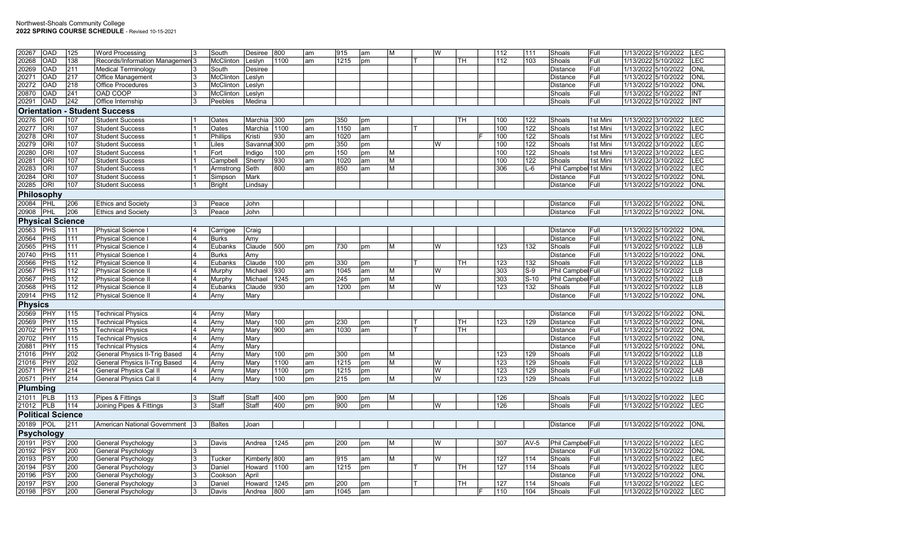| 20267          | OAD                      | 125 | <b>Word Processing</b>          | 3  | South            | <b>Desiree</b> | 800    | am | 915  | am | M | W   |     | 112 | 111    | Shoals                | Full     | 1/13/2022 5/10/2022<br>LEC         |
|----------------|--------------------------|-----|---------------------------------|----|------------------|----------------|--------|----|------|----|---|-----|-----|-----|--------|-----------------------|----------|------------------------------------|
| 20268          | OAD                      | 138 | Records/Information Managemen 3 |    | McClinton        | Leslyn         | 1100   | am | 1215 | pm |   |     | TH. | 112 | 103    | Shoals                | Full     | LEC<br>1/13/2022 5/10/2022         |
| 20269          | OAD                      | 211 | <b>Medical Terminology</b>      |    | South            | <b>Desiree</b> |        |    |      |    |   |     |     |     |        | <b>Distance</b>       | Full     | ONL<br>1/13/2022 5/10/2022         |
| 20271          | OAD                      | 217 | Office Management               |    | <b>McClinton</b> | Leslyn         |        |    |      |    |   |     |     |     |        | Distance              | Full     | <b>ONL</b><br>1/13/2022 5/10/2022  |
| 20272          | OAD                      | 218 | Office Procedures               |    | McClinton        | Leslyn         |        |    |      |    |   |     |     |     |        | <b>Distance</b>       | Full     | ONL<br>1/13/2022 5/10/2022         |
| 20870          | OAD                      | 241 | OAD COOP                        |    | McClinton        | Leslyn         |        |    |      |    |   |     |     |     |        | Shoals                | Full     | 1/13/2022 5/10/2022<br>INT         |
| 20291          | OAD                      | 242 | Office Internship               | 3  | Peebles          | Medina         |        |    |      |    |   |     |     |     |        | Shoals                | Full     | INT<br>1/13/2022 5/10/2022         |
|                | <b>Orientation</b>       |     | - Student Success               |    |                  |                |        |    |      |    |   |     |     |     |        |                       |          |                                    |
| 20276          | ORI                      | 107 | <b>Student Success</b>          |    | Oates            | Marchia        | 300    | pm | 350  | pm |   |     | TН  | 100 | 122    | Shoals                | 1st Mini | 1/13/2022 3/10/2022<br>LEC         |
| 20277          | ORI                      | 107 | Student Success                 |    | Oates            | Marchia        | 1100   | am | 1150 | am |   |     |     | 100 | 122    | Shoals                | 1st Mini | <b>ILEC</b><br>1/13/2022 3/10/2022 |
| 20278          | ORI                      | 107 | <b>Student Success</b>          |    | Phillips         | Kristi         | 930    | am | 1020 | am |   |     |     | 100 | 122    | Shoals                | 1st Mini | 1/13/2022 3/10/2022<br>LEC         |
| 20279          | ORI                      | 107 | <b>Student Success</b>          |    | Liles            | Savanna        | al 300 | pm | 350  | pm |   | W   |     | 100 | 122    | Shoals                | 1st Mini | 1/13/2022 3/10/2022<br><b>LEC</b>  |
| 20280          | ORI                      | 107 | <b>Student Success</b>          |    | Fort             | Indiao         | 100    | pm | 150  | pm | м |     |     | 100 | 122    | Shoals                | 1st Mini | LEC<br>1/13/2022 3/10/2022         |
| 20281          | ORI                      | 107 | <b>Student Success</b>          |    | Campbell         | Sherry         | 930    | am | 1020 | am | M |     |     | 100 | 122    | Shoals                | 1st Mini | 1/13/2022 3/10/2022<br><b>LEC</b>  |
| 20283          | ORI                      | 107 | <b>Student Success</b>          |    | Armstrong        | Seth           | 800    | am | 850  | am | M |     |     | 306 | $L-6$  | Phil Campbel 1st Mini |          | 1/13/2022 3/10/2022<br><b>LEC</b>  |
| 20284          | ORI                      | 107 | <b>Student Success</b>          |    | Simpson          | Mark           |        |    |      |    |   |     |     |     |        | Distance              | Full     | <b>ONL</b><br>1/13/2022 5/10/2022  |
| 20285          | ORI                      | 107 | <b>Student Success</b>          |    | <b>Bright</b>    | Lindsay        |        |    |      |    |   |     |     |     |        | <b>Distance</b>       | Full     | 1/13/2022 5/10/2022<br><b>ONL</b>  |
|                | Philosophy               |     |                                 |    |                  |                |        |    |      |    |   |     |     |     |        |                       |          |                                    |
| 20084          | PHL                      | 206 | <b>Ethics and Society</b>       | 13 | Peace            | John           |        |    |      |    |   |     |     |     |        | Distance              | Full     | 1/13/2022 5/10/2022<br>ONL         |
| 20908          | <b>PHL</b>               | 206 | <b>Ethics and Society</b>       |    | Peace            | John           |        |    |      |    |   |     |     |     |        | Distance              | Full     | 1/13/2022 5/10/2022<br>ONL         |
|                | <b>Physical Science</b>  |     |                                 |    |                  |                |        |    |      |    |   |     |     |     |        |                       |          |                                    |
| 20563          | PHS                      | 111 | Physical Science I              |    | Carrigee         | Craig          |        |    |      |    |   |     |     |     |        | <b>Distance</b>       | Full     | ONL<br>1/13/2022 5/10/2022         |
| 20564          | PHS                      | 111 | Physical Science I              |    | <b>Burks</b>     | Amy            |        |    |      |    |   |     |     |     |        | Distance              | Full     | 1/13/2022 5/10/2022<br><b>ONL</b>  |
| 20565          | PHS                      | 111 | Physical Science                |    | Eubanks          | Claude         | 500    | pm | 730  | pm | M | W   |     | 123 | 132    | Shoals                | Full     | <b>LLB</b><br>1/13/2022 5/10/2022  |
| 20740          | PHS                      | 111 | Physical Science l              |    | <b>Burks</b>     | Amy            |        |    |      |    |   |     |     |     |        | <b>Distance</b>       | Full     | <b>ONL</b><br>1/13/2022 5/10/2022  |
| 20566          | PHS                      | 112 | <b>Physical Science II</b>      |    | Eubanks          | Claude         | 100    | pm | 330  | pm |   |     | TH  | 123 | 132    | Shoals                | Full     | 1/13/2022 5/10/2022<br><b>LLB</b>  |
| 20567          | PHS                      | 112 | <b>Physical Science II</b>      |    | Murphy           | Michael        | 930    | am | 1045 | am | м | W   |     | 303 | $S-9$  | Phil Campbel Full     |          | 1/13/2022 5/10/2022<br><b>LLB</b>  |
| 20567          | PHS                      | 112 | <b>Physical Science II</b>      |    | Murphy           | Michael        | 1245   | pm | 245  | pm | М |     |     | 303 | $S-10$ | Phil Campbel Full     |          | 1/13/2022 5/10/2022<br><b>LLB</b>  |
| 20568          | PHS                      | 112 | <b>Physical Science II</b>      |    | Eubanks          | Claude         | 930    | am | 1200 | pm | M | W   |     | 123 | 132    | Shoals                | Full     | 1/13/2022 5/10/2022<br>LLB         |
| 20914          | PHS                      | 112 | Physical Science II             |    | Arny             | Mary           |        |    |      |    |   |     |     |     |        | Distance              | Full     | ONL<br>1/13/2022 5/10/2022         |
| <b>Physics</b> |                          |     |                                 |    |                  |                |        |    |      |    |   |     |     |     |        |                       |          |                                    |
| 20569          | PHY                      | 115 | <b>Technical Physics</b>        |    | Arny             | Mary           |        |    |      |    |   |     |     |     |        | Distance              | Full     | 1/13/2022 5/10/2022<br><b>ONL</b>  |
| 20569          | PHY                      | 115 | <b>Technical Physics</b>        |    | Arny             | Mary           | 100    | pm | 230  | pm |   |     | TH  | 123 | 129    | Distance              | Full     | 1/13/2022 5/10/2022<br><b>ONL</b>  |
| 20702          | PHY                      | 115 | Technical Physics               |    | Arny             | Mary           | 900    | am | 1030 | am |   |     | TН  |     |        | <b>Distance</b>       | Full     | 1/13/2022 5/10/2022<br><b>ONL</b>  |
| 20702          | PHY                      | 115 | <b>Technical Physics</b>        |    | Arny             | Mary           |        |    |      |    |   |     |     |     |        | Distance              | Full     | <b>ONL</b><br>1/13/2022 5/10/2022  |
| 20881          | PHY                      | 115 | <b>Technical Physics</b>        |    | Arny             | Mary           |        |    |      |    |   |     |     |     |        | Distance              | Full     | 1/13/2022 5/10/2022<br><b>ONL</b>  |
| 21016          | PHY                      | 202 | General Physics II-Trig Based   |    | Arny             | Mary           | 100    | pm | 300  | pm | M |     |     | 123 | 129    | Shoals                | Full     | <b>LLB</b><br>1/13/2022 5/10/2022  |
| 21016          | PHY                      | 202 | General Physics II-Trig Based   |    | Arny             | Mary           | 1100   | am | 1215 | pm | М | W   |     | 123 | 129    | Shoals                | Full     | 1/13/2022 5/10/2022<br><b>LLB</b>  |
| 20571          | PHY                      | 214 | General Physics Cal II          |    | Arny             | Mary           | 1100   | pm | 1215 | pm |   | W   |     | 123 | 129    | Shoals                | Full     | LAB<br>1/13/2022 5/10/2022         |
| 20571          | PHY                      | 214 | <b>General Physics Cal II</b>   |    | Arny             | Mary           | 100    | pm | 215  | pm | M | W   |     | 123 | 129    | Shoals                | Full     | 1/13/2022 5/10/2022<br><b>LLB</b>  |
| Plumbing       |                          |     |                                 |    |                  |                |        |    |      |    |   |     |     |     |        |                       |          |                                    |
| 21011          | PLB                      | 113 | Pipes & Fittings                |    | <b>Staff</b>     | Staff          | 400    | pm | 900  | pm | М |     |     | 126 |        | Shoals                | Full     | 1/13/2022 5/10/2022<br>LEC         |
| 21012          | <b>PLB</b>               | 114 | Joining Pipes & Fittings        |    | Staff            | Staff          | 400    | pm | 900  | pm |   | W   |     | 126 |        | Shoals                | Full     | 1/13/2022 5/10/2022<br>LEC         |
|                | <b>Political Science</b> |     |                                 |    |                  |                |        |    |      |    |   |     |     |     |        |                       |          |                                    |
| 20189          | POL                      | 211 | American National Government 3  |    | <b>Baltes</b>    | Joan           |        |    |      |    |   |     |     |     |        | <b>Distance</b>       | Full     | 1/13/2022 5/10/2022<br><b>ONL</b>  |
|                | <b>Psychology</b>        |     |                                 |    |                  |                |        |    |      |    |   |     |     |     |        |                       |          |                                    |
| 20191          | PSY                      | 200 | General Psychology              |    | Davis            | Andrea         | 1245   | pm | 200  | pm | M | l W |     | 307 | AV-5   | Phil Campbel Full     |          | 1/13/2022 5/10/2022<br>LEC         |
| 20192          | PSY                      | 200 | General Psychology              |    |                  |                |        |    |      |    |   |     |     |     |        | Distance              | Full     | <b>ONL</b><br>1/13/2022 5/10/2022  |
| 20193          | PSY                      | 200 | General Psychology              | 3  | Tucker           | Kimberly       | 800    | am | 915  | am | M | W   |     | 127 | 114    | Shoals                | Full     | <b>LEC</b><br>1/13/2022 5/10/2022  |
| 20194          | PSY                      | 200 | General Psychology              |    | Daniel           | Howard         | 1100   | am | 1215 | pm |   |     | TH  | 127 | 114    | Shoals                | Full     | LEC<br>1/13/2022 5/10/2022         |
| 20196          | PSY                      | 200 | General Psychology              |    | Cookson          | April          |        |    |      |    |   |     |     |     |        | Distance              | Full     | 1/13/2022 5/10/2022<br><b>ONL</b>  |
| 20197          | PSY                      | 200 | General Psychology              |    | Daniel           | Howard         | 1245   | pm | 200  | pm |   |     | TH  | 127 | 114    | Shoals                | Full     | <b>LEC</b><br>1/13/2022 5/10/2022  |
| 20198          | <b>PSY</b>               | 200 | General Psychology              | 3  | Davis            | Andrea         | 800    | am | 1045 | am |   |     |     | 110 | 104    | Shoals                | Full     | 1/13/2022 5/10/2022<br><b>LEC</b>  |
|                |                          |     |                                 |    |                  |                |        |    |      |    |   |     |     |     |        |                       |          |                                    |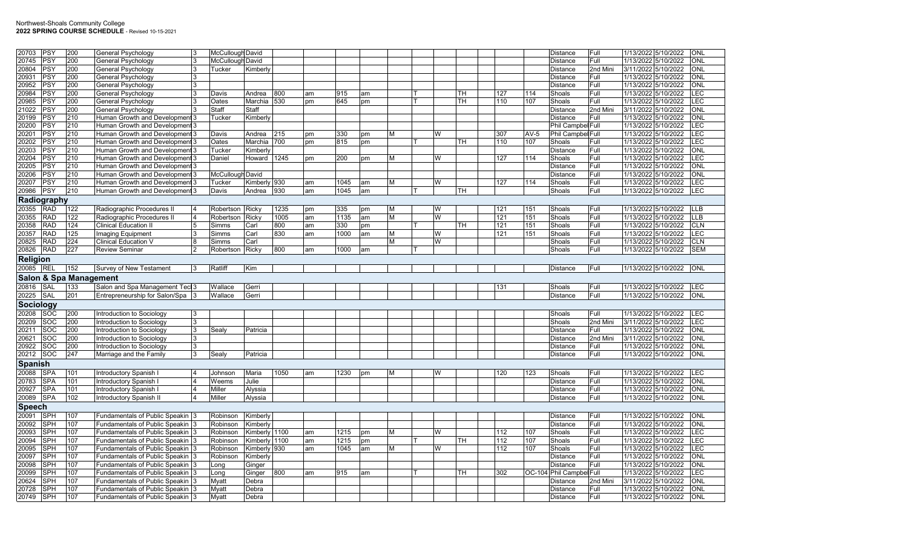|                | PSY         | 200                               |                                       |                  |             |      |    |      |    |   |   |           |     |        |                          | Full     |                                            | ONL        |
|----------------|-------------|-----------------------------------|---------------------------------------|------------------|-------------|------|----|------|----|---|---|-----------|-----|--------|--------------------------|----------|--------------------------------------------|------------|
| 20703          |             |                                   | General Psychology                    | McCullough David |             |      |    |      |    |   |   |           |     |        | <b>Distance</b>          | Full     | 1/13/2022 5/10/2022<br>1/13/2022 5/10/2022 | <b>ONL</b> |
| 20745          | PSY         | 200                               | General Psychology                    | McCullough David |             |      |    |      |    |   |   |           |     |        | Distance                 |          |                                            |            |
| 20804          | PSY         | 200                               | General Psychology                    | Tucker           | Kimberly    |      |    |      |    |   |   |           |     |        | Distance                 | 2nd Mini | 3/11/2022 5/10/2022                        | ONL        |
| 20931          | PSY         | 200                               | General Psychology                    |                  |             |      |    |      |    |   |   |           |     |        | <b>Distance</b>          | Full     | 1/13/2022 5/10/2022                        | ONL        |
| 20952          | PSY         | 200                               | General Psychology                    |                  |             |      |    |      |    |   |   |           |     |        | Distance                 | Full     | 1/13/2022 5/10/2022                        | <b>ONL</b> |
| 20984          | PSY         | 200                               | General Psychology                    | Davis            | Andrea      | 800  | am | 915  | am |   |   | TH        | 127 | 114    | Shoals                   | Full     | 1/13/2022 5/10/2022                        | LEC        |
| 20985          | PSY         | 200                               | General Psychology                    | Oates            | Marchia 530 |      | pm | 645  | pm |   |   | TН        | 110 | 107    | Shoals                   | Full     | 1/13/2022 5/10/2022                        | <b>LEC</b> |
| 21022          | PSY         | 200                               | General Psychology                    | Staff            | Staff       |      |    |      |    |   |   |           |     |        | Distance                 | 2nd Mini | 3/11/2022 5/10/2022                        | <b>ONL</b> |
| 20199          | PSY         | 210                               | Human Growth and Development 3        | Tucker           | Kimberly    |      |    |      |    |   |   |           |     |        | Distance                 | Full     | 1/13/2022 5/10/2022                        | <b>ONL</b> |
| 20200          | PSY         | 210                               | Human Growth and Development 3        |                  |             |      |    |      |    |   |   |           |     |        | Phil Campbel Full        |          | 1/13/2022 5/10/2022                        | LEC        |
| 20201          | PSY         | 210                               | Human Growth and Development 3        | Davis            | Andrea      | 215  | pm | 330  | pm | M | W |           | 307 | $AV-5$ | Phil Campbel Full        |          | 1/13/2022 5/10/2022                        | LEC        |
| 20202          | PSY         | 210                               | Human Growth and Development 3        | Oates            | Marchia     | 700  | pm | 815  | pm |   |   | <b>TH</b> | 110 | 107    | Shoals                   | Full     | 1/13/2022 5/10/2022                        | LEC        |
| 20203          | PSY         | 210                               | Human Growth and Development 3        | Tucker           | Kimberly    |      |    |      |    |   |   |           |     |        | Distance                 | Full     | 1/13/2022 5/10/2022                        | ONL        |
| 20204          | PSY         | 210                               | Human Growth and Development 3        | Daniel           | Howard      | 1245 | pm | 200  | pm | M | W |           | 127 | 114    | Shoals                   | Full     | 1/13/2022 5/10/2022                        | LEC        |
| 20205          | PSY         | 210                               | Human Growth and Development 3        |                  |             |      |    |      |    |   |   |           |     |        | Distance                 | Full     | 1/13/2022 5/10/2022                        | ONL        |
| 20206          | PSY         | 210                               | Human Growth and Development 3        | McCullough David |             |      |    |      |    |   |   |           |     |        | Distance                 | Full     | 1/13/2022 5/10/2022                        | ONL        |
| 20207          | PSY         | 210                               | Human Growth and Development 3        | Tucker           | Kimberly    | 930  | am | 1045 | am | M | W |           | 127 | 114    | Shoals                   | Full     | 1/13/2022 5/10/2022                        | LEC        |
| 20986          | PSY         | 210                               | Human Growth and Development 3        | Davis            | Andrea      | 930  | am | 1045 | am |   |   | TH        |     |        | Shoals                   | Full     | 1/13/2022 5/10/2022                        | <b>LEC</b> |
|                | Radiography |                                   |                                       |                  |             |      |    |      |    |   |   |           |     |        |                          |          |                                            |            |
| 20355          | <b>RAD</b>  | 122                               | Radiographic Procedures II            | Robertson        | Ricky       | 1235 | pm | 335  | pm | M | W |           | 121 | 151    | Shoals                   | Full     | 1/13/2022 5/10/2022                        | <b>LLB</b> |
| 20355          | <b>RAD</b>  | 122                               | Radiographic Procedures II            | Robertson        | Ricky       | 1005 | am | 1135 | am | M | W |           | 121 | 151    | Shoals                   | Full     | 1/13/2022 5/10/2022                        | <b>LLB</b> |
| 20358          | <b>RAD</b>  | 124                               | <b>Clinical Education II</b>          | Simms            | Carl        | 800  | am | 330  | pm |   |   | ТH        | 121 | 151    | Shoals                   | Full     | 1/13/2022 5/10/2022                        | <b>CLN</b> |
| 20357          | <b>RAD</b>  | 125                               | Imaging Equipment                     | Simms            | Carl        | 830  | am | 1000 | am | M | W |           | 121 | 151    | Shoals                   | Full     | 1/13/2022 5/10/2022                        | LEC        |
| 20825          | <b>RAD</b>  | 224                               | Clinical Education V                  | Simms            | Carl        |      |    |      |    | M | W |           |     |        | Shoals                   | Full     | 1/13/2022 5/10/2022                        | <b>CLN</b> |
| 20826          | <b>RAD</b>  | 227                               | Review Seminar                        | Robertson        | Ricky       | 800  | am | 1000 | am |   |   |           |     |        | Shoals                   | Full     | 1/13/2022 5/10/2022                        | <b>SEM</b> |
| Religion       |             |                                   |                                       |                  |             |      |    |      |    |   |   |           |     |        |                          |          |                                            |            |
|                |             |                                   |                                       |                  |             |      |    |      |    |   |   |           |     |        |                          |          |                                            |            |
| 20085 REL      |             | 152                               | <b>Survey of New Testament</b>        | Ratliff          | Kim         |      |    |      |    |   |   |           |     |        | <b>Distance</b>          | Full     | 1/13/2022 5/10/2022 ONL                    |            |
|                |             |                                   |                                       |                  |             |      |    |      |    |   |   |           |     |        |                          |          |                                            |            |
|                |             | <b>Salon &amp; Spa Management</b> |                                       |                  |             |      |    |      |    |   |   |           |     |        |                          |          |                                            |            |
| 20816          | SAL         | 133                               | Salon and Spa Management Tecl 3       | Wallace          | Gerri       |      |    |      |    |   |   |           | 131 |        | Shoals                   | Full     | 1/13/2022 5/10/2022                        | <b>LEC</b> |
| 20225          | SAL         | 201                               | Entrepreneurship for Salon/Spa 3      | Wallace          | Gerri       |      |    |      |    |   |   |           |     |        | <b>Distance</b>          | Full     | 1/13/2022 5/10/2022                        | <b>ONL</b> |
|                |             |                                   |                                       |                  |             |      |    |      |    |   |   |           |     |        |                          |          |                                            |            |
| Sociology      |             |                                   |                                       |                  |             |      |    |      |    |   |   |           |     |        |                          |          |                                            |            |
| 20208          | SOC         | 200                               | Introduction to Sociology             |                  |             |      |    |      |    |   |   |           |     |        | Shoals                   | Full     | 1/13/2022 5/10/2022                        | <b>LEC</b> |
| 20209          | <b>SOC</b>  | 200                               | Introduction to Sociology             |                  |             |      |    |      |    |   |   |           |     |        | Shoals                   | 2nd Mini | 3/11/2022 5/10/2022                        | LEC        |
| 20211          | SOC         | 200                               | Introduction to Sociology             | Sealy            | Patricia    |      |    |      |    |   |   |           |     |        | Distance                 | Full     | 1/13/2022 5/10/2022                        | ONL        |
| 20621          | <b>SOC</b>  | 200                               | Introduction to Sociology             |                  |             |      |    |      |    |   |   |           |     |        | <b>Distance</b>          | 2nd Mini | 3/11/2022 5/10/2022                        | <b>ONL</b> |
| 20922          | <b>SOC</b>  | 200                               | Introduction to Sociology             |                  |             |      |    |      |    |   |   |           |     |        | Distance                 | Full     | 1/13/2022 5/10/2022                        | ONL        |
| 20212          | SOC         | 247                               | Marriage and the Family               | Sealy            | Patricia    |      |    |      |    |   |   |           |     |        | <b>Distance</b>          | Full     | 1/13/2022 5/10/2022                        | <b>ONL</b> |
| <b>Spanish</b> |             |                                   |                                       |                  |             |      |    |      |    |   |   |           |     |        |                          |          |                                            |            |
| 20088          | <b>SPA</b>  | 101                               | Introductory Spanish I                | Johnson          | Maria       | 1050 | am | 1230 | pm | M | W |           | 120 | 123    | Shoals                   | Full     | 1/13/2022 5/10/2022                        | <b>LEC</b> |
| 20783          | <b>SPA</b>  | 101                               | Introductory Spanish                  | Weems            | Julie       |      |    |      |    |   |   |           |     |        | Distance                 | Full     | 1/13/2022 5/10/2022                        | ONL        |
| 20927          | <b>SPA</b>  | 101                               | Introductory Spanish I                | Miller           | Alyssia     |      |    |      |    |   |   |           |     |        | <b>Distance</b>          | Full     | 1/13/2022 5/10/2022                        | <b>ONL</b> |
| 20089          | <b>SPA</b>  | 102                               | <b>Introductory Spanish II</b>        | Miller           | Alyssia     |      |    |      |    |   |   |           |     |        | <b>Distance</b>          | Full     | 1/13/2022 5/10/2022                        | ONL        |
| <b>Speech</b>  |             |                                   |                                       |                  |             |      |    |      |    |   |   |           |     |        |                          |          |                                            |            |
| 20091          | <b>SPH</b>  | 107                               | Fundamentals of Public Speakin        | Robinson         | Kimberly    |      |    |      |    |   |   |           |     |        | Distance                 | Full     | 1/13/2022 5/10/2022                        | <b>ONL</b> |
| 20092          | <b>SPH</b>  | 107                               | Fundamentals of Public Speakin 3      | Robinson         | Kimberly    |      |    |      |    |   |   |           |     |        | Distance                 | Full     | 1/13/2022 5/10/2022                        | <b>ONL</b> |
| 20093          | SPH         | 107                               | Fundamentals of Public Speakin 3      | Robinson         | Kimberly    | 1100 | am | 1215 | pm | M | W |           | 112 | 107    | Shoals                   | Full     | 1/13/2022 5/10/2022                        | <b>LEC</b> |
| 20094          | SPH         | 107                               | <b>Fundamentals of Public Speakin</b> | Robinson         | Kimberly    | 1100 | am | 1215 | pm |   |   | <b>TH</b> | 112 | 107    | Shoals                   | Full     | 1/13/2022 5/10/2022                        | LEC        |
| 20095          | SPH         | 107                               | Fundamentals of Public Speakin        | Robinson         | Kimberly    | 930  | am | 1045 | am | M | W |           | 112 | 107    | Shoals                   | Full     | 1/13/2022 5/10/2022                        | LEC        |
| 20097          | <b>SPH</b>  | 107                               | Fundamentals of Public Speakin 3      | Robinson         | Kimberly    |      |    |      |    |   |   |           |     |        | Distance                 | Full     | 1/13/2022 5/10/2022                        | ONL        |
| 20098          | SPH         | 107                               | Fundamentals of Public Speakin        | Long             | Ginger      |      |    |      |    |   |   |           |     |        | Distance                 | Full     | 1/13/2022 5/10/2022                        | <b>ONL</b> |
| 20099          | SPH         | 107                               | Fundamentals of Public Speakin        | Long             | Ginger      | 800  | am | 915  | am |   |   | TН        | 302 |        | OC-104 Phil Campbel Full |          | 1/13/2022 5/10/2022                        | LEC        |
| 20624          | SPH         | 107                               | Fundamentals of Public Speakin  3     | Myatt            | Debra       |      |    |      |    |   |   |           |     |        | Distance                 | 2nd Mini | 3/11/2022 5/10/2022                        | <b>ONL</b> |
| 20728          | SPH         | 107                               | <b>Fundamentals of Public Speakin</b> | Myatt            | Debra       |      |    |      |    |   |   |           |     |        | Distance                 | Full     | 1/13/2022 5/10/2022                        | <b>ONL</b> |